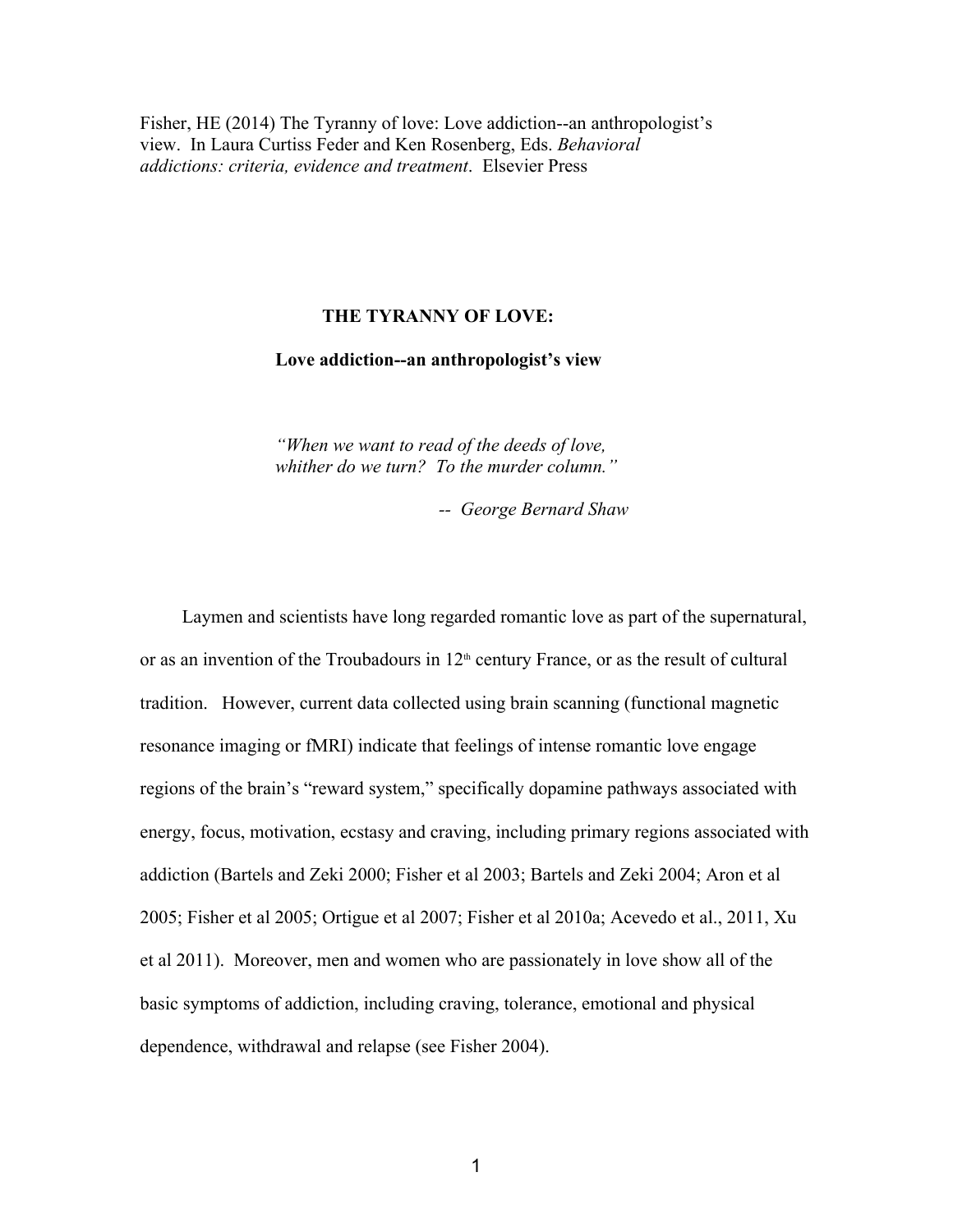Fisher, HE (2014) The Tyranny of love: Love addiction--an anthropologist's view. In Laura Curtiss Feder and Ken Rosenberg, Eds. *Behavioral addictions: criteria, evidence and treatment*.Elsevier Press

# **THE TYRANNY OF LOVE:**

# Love addiction--an anthropologist's view

 *"When we want to read of the deeds of love,*  whither do we turn? To the murder column."

 *George Bernard Shaw* 

 Laymen and scientists have long regarded romantic love as part of the supernatural, or as an invention of the Troubadours in  $12<sup>th</sup>$  century France, or as the result of cultural tradition. However, current data collected using brain scanning (functional magnetic resonance imaging or fMRI) indicate that feelings of intense romantic love engage regions of the brain's "reward system," specifically dopamine pathways associated with energy, focus, motivation, ecstasy and craving, including primary regions associated with addiction (Bartels and Zeki 2000; Fisher et al 2003; Bartels and Zeki 2004; Aron et al 2005; Fisher et al 2005; Ortigue et al 2007; Fisher et al 2010a; Acevedo et al., 2011, Xu et al 2011). Moreover, men and women who are passionately in love show all of the basic symptoms of addiction, including craving, tolerance, emotional and physical dependence, withdrawal and relapse (see Fisher 2004).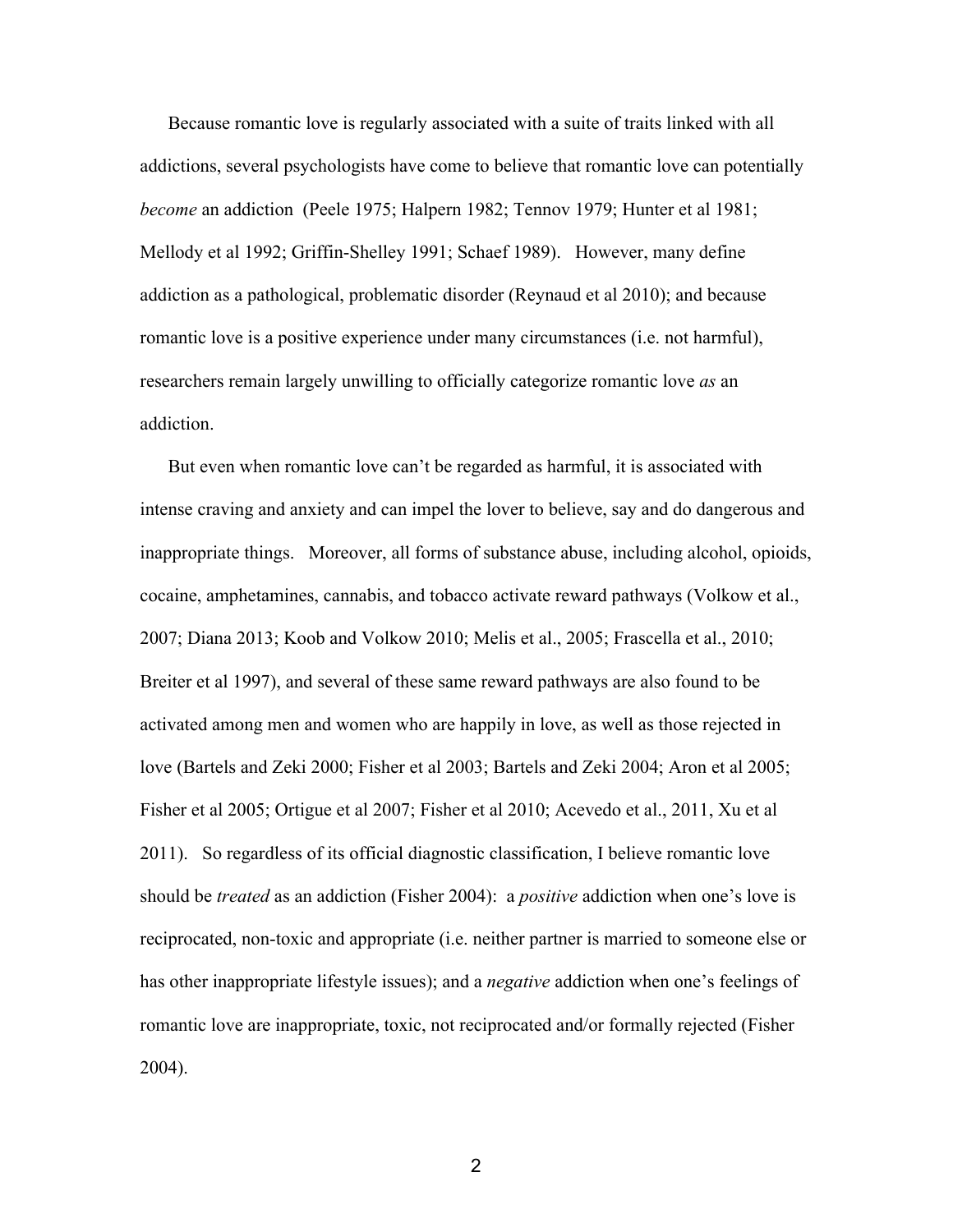Because romantic love is regularly associated with a suite of traits linked with all addictions, several psychologists have come to believe that romantic love can potentially *become* an addiction (Peele 1975; Halpern 1982; Tennov 1979; Hunter et al 1981; Mellody et al 1992; Griffin-Shelley 1991; Schaef 1989). However, many define addiction as a pathological, problematic disorder (Reynaud et al 2010); and because romantic love is a positive experience under many circumstances (i.e. not harmful), researchers remain largely unwilling to officially categorize romantic love *as* an addiction.

 But even when romantic love can't be regarded as harmful, it is associated with intense craving and anxiety and can impel the lover to believe, say and do dangerous and inappropriate things. Moreover, all forms of substance abuse, including alcohol, opioids, cocaine, amphetamines, cannabis, and tobacco activate reward pathways (Volkow et al., 2007; Diana 2013; Koob and Volkow 2010; Melis et al., 2005; Frascella et al., 2010; Breiter et al 1997), and several of these same reward pathways are also found to be activated among men and women who are happily in love, as well as those rejected in love (Bartels and Zeki 2000; Fisher et al 2003; Bartels and Zeki 2004; Aron et al 2005; Fisher et al 2005; Ortigue et al 2007; Fisher et al 2010; Acevedo et al., 2011, Xu et al 2011). So regardless of its official diagnostic classification, I believe romantic love should be *treated* as an addiction (Fisher 2004): a *positive* addiction when one's love is reciprocated, non-toxic and appropriate (i.e. neither partner is married to someone else or has other inappropriate lifestyle issues); and a *negative* addiction when one's feelings of romantic love are inappropriate, toxic, not reciprocated and/or formally rejected (Fisher 2004).

2 and 2 and 2 and 2 and 2 and 2 and 2 and 2 and 2 and 2 and 2 and 2 and 2 and 2 and 2 and 2 and 2 and 2 and 2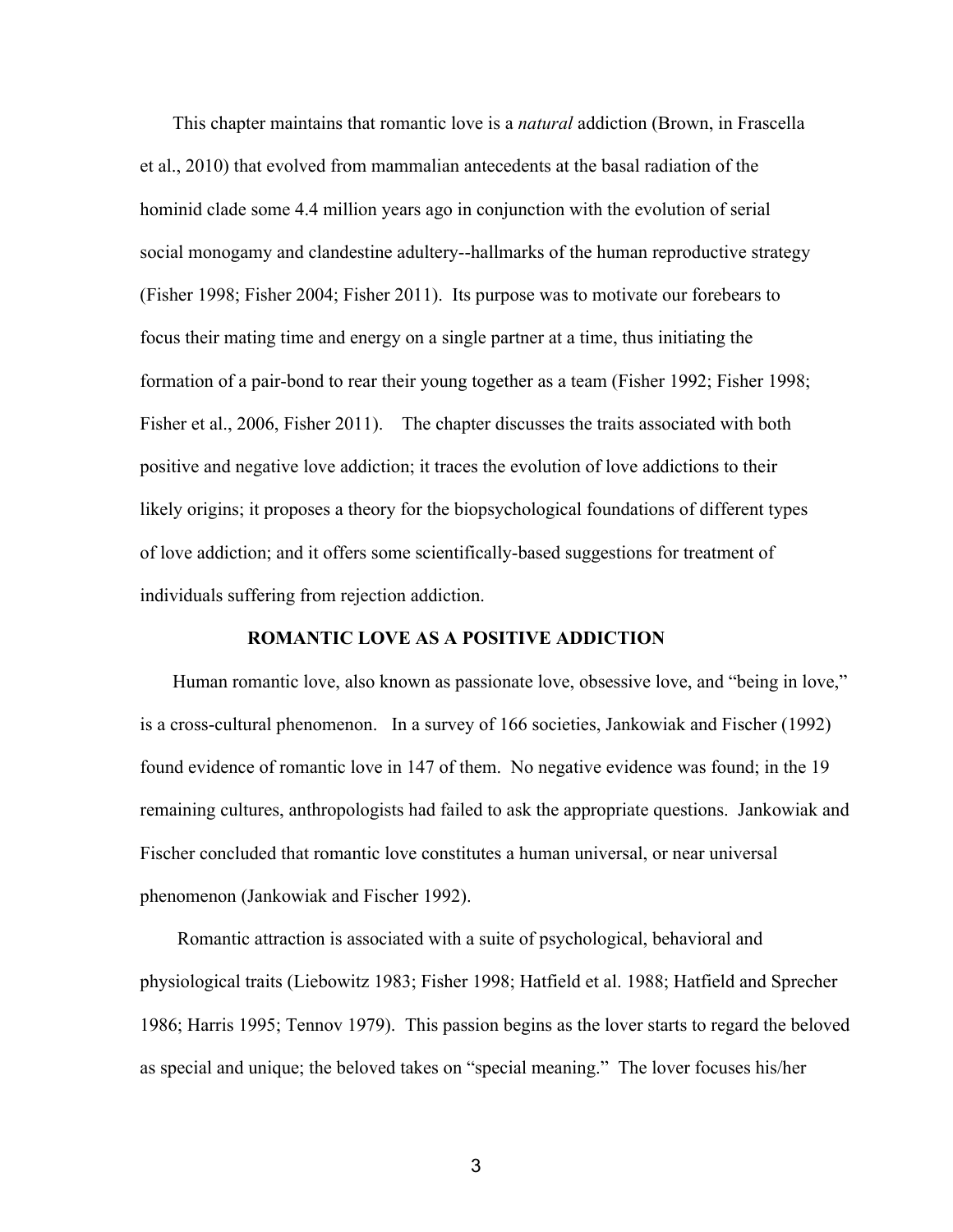This chapter maintains that romantic love is a *natural* addiction (Brown, in Frascella et al., 2010) that evolved from mammalian antecedents at the basal radiation of the hominid clade some 4.4 million years ago in conjunction with the evolution of serial social monogamy and clandestine adultery--hallmarks of the human reproductive strategy (Fisher 1998; Fisher 2004; Fisher 2011). Its purpose was to motivate our forebears to focus their mating time and energy on a single partner at a time, thus initiating the formation of a pair-bond to rear their young together as a team (Fisher 1992; Fisher 1998; Fisher et al., 2006, Fisher 2011). The chapter discusses the traits associated with both positive and negative love addiction; it traces the evolution of love addictions to their likely origins; it proposes a theory for the biopsychological foundations of different types of love addiction; and it offers some scientifically-based suggestions for treatment of individuals suffering from rejection addiction.

# **ROMANTIC LOVE AS A POSITIVE ADDICTION**

 Human romantic love, also known as passionate love, obsessive love, and "being in love," is a cross-cultural phenomenon. In a survey of 166 societies, Jankowiak and Fischer (1992) found evidence of romantic love in 147 of them. No negative evidence was found; in the 19 remaining cultures, anthropologists had failed to ask the appropriate questions. Jankowiak and Fischer concluded that romantic love constitutes a human universal, or near universal phenomenon (Jankowiak and Fischer 1992).

 Romantic attraction is associated with a suite of psychological, behavioral and physiological traits (Liebowitz 1983; Fisher 1998; Hatfield et al. 1988; Hatfield and Sprecher 1986; Harris 1995; Tennov 1979). This passion begins as the lover starts to regard the beloved as special and unique; the beloved takes on "special meaning." The lover focuses his/her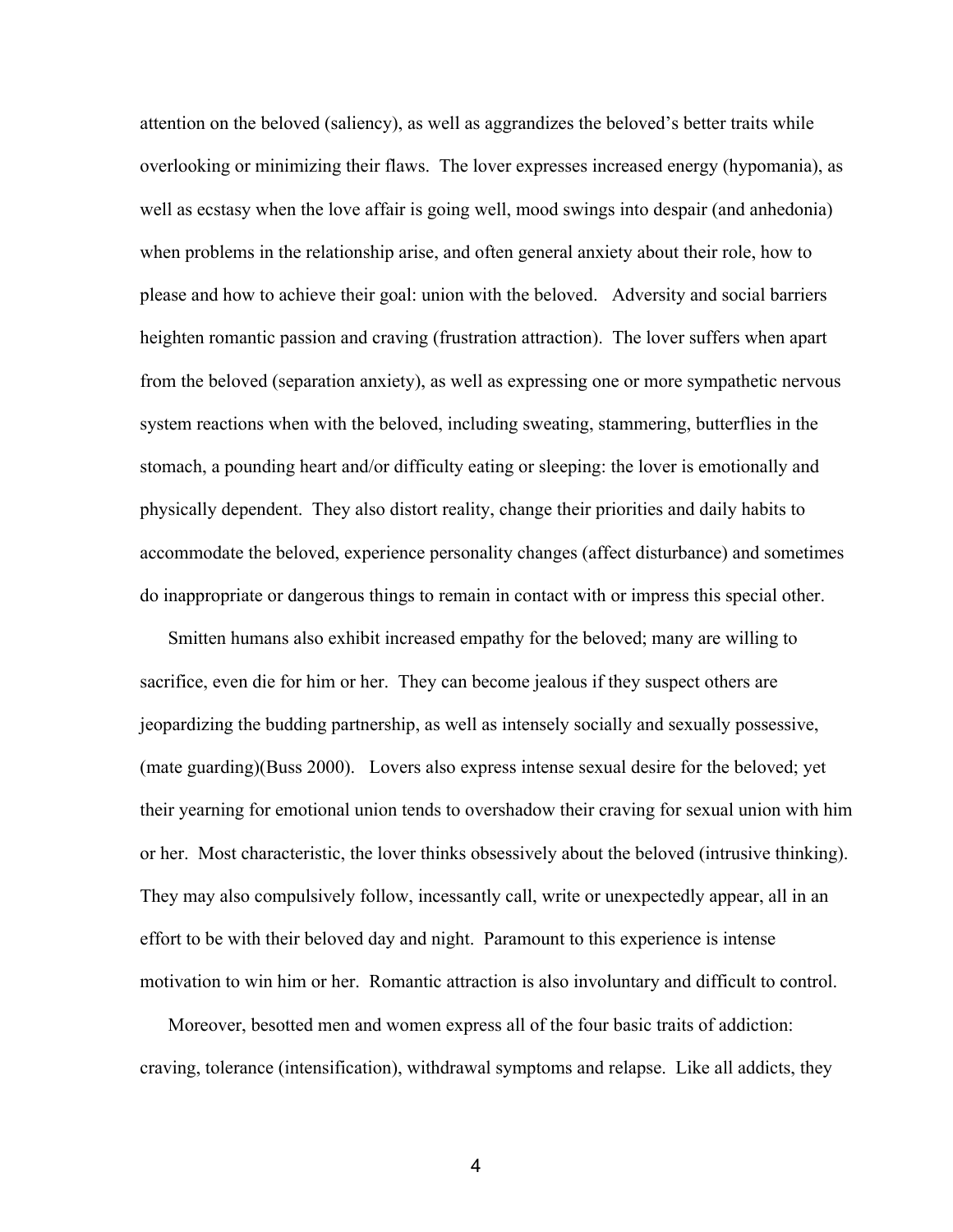attention on the beloved (saliency), as well as aggrandizes the beloved's better traits while overlooking or minimizing their flaws. The lover expresses increased energy (hypomania), as well as ecstasy when the love affair is going well, mood swings into despair (and anhedonia) when problems in the relationship arise, and often general anxiety about their role, how to please and how to achieve their goal: union with the beloved. Adversity and social barriers heighten romantic passion and craving (frustration attraction). The lover suffers when apart from the beloved (separation anxiety), as well as expressing one or more sympathetic nervous system reactions when with the beloved, including sweating, stammering, butterflies in the stomach, a pounding heart and/or difficulty eating or sleeping: the lover is emotionally and physically dependent. They also distort reality, change their priorities and daily habits to accommodate the beloved, experience personality changes (affect disturbance) and sometimes do inappropriate or dangerous things to remain in contact with or impress this special other.

 Smitten humans also exhibit increased empathy for the beloved; many are willing to sacrifice, even die for him or her. They can become jealous if they suspect others are jeopardizing the budding partnership, as well as intensely socially and sexually possessive, (mate guarding)(Buss 2000). Lovers also express intense sexual desire for the beloved; yet their yearning for emotional union tends to overshadow their craving for sexual union with him or her. Most characteristic, the lover thinks obsessively about the beloved (intrusive thinking). They may also compulsively follow, incessantly call, write or unexpectedly appear, all in an effort to be with their beloved day and night. Paramount to this experience is intense motivation to win him or her. Romantic attraction is also involuntary and difficult to control.

 Moreover, besotted men and women express all of the four basic traits of addiction: craving, tolerance (intensification), withdrawal symptoms and relapse. Like all addicts, they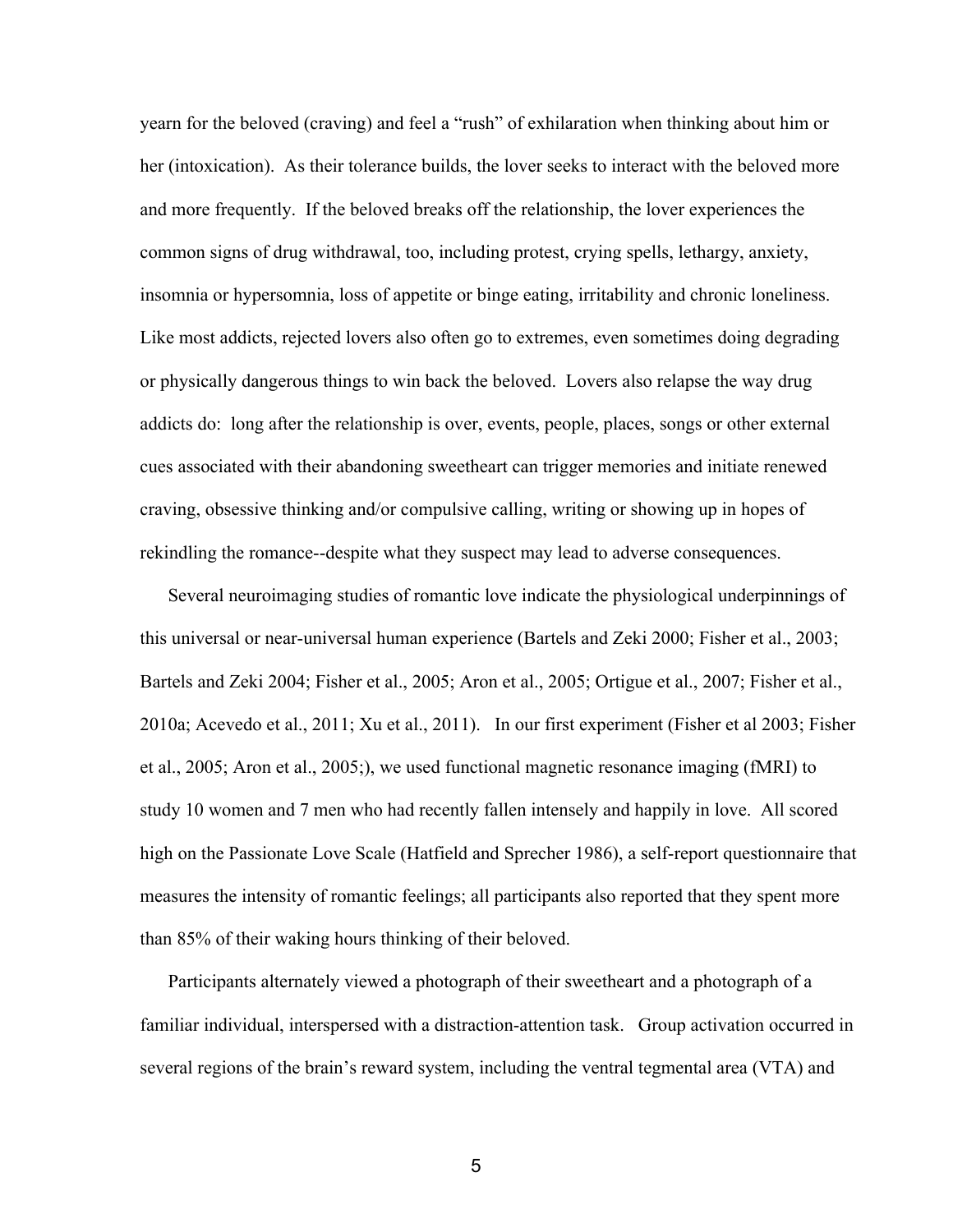yearn for the beloved (craving) and feel a "rush" of exhilaration when thinking about him or her (intoxication). As their tolerance builds, the lover seeks to interact with the beloved more and more frequently. If the beloved breaks off the relationship, the lover experiences the common signs of drug withdrawal, too, including protest, crying spells, lethargy, anxiety, insomnia or hypersomnia, loss of appetite or binge eating, irritability and chronic loneliness. Like most addicts, rejected lovers also often go to extremes, even sometimes doing degrading or physically dangerous things to win back the beloved. Lovers also relapse the way drug addicts do: long after the relationship is over, events, people, places, songs or other external cues associated with their abandoning sweetheart can trigger memories and initiate renewed craving, obsessive thinking and/or compulsive calling, writing or showing up in hopes of rekindling the romance--despite what they suspect may lead to adverse consequences.

 Several neuroimaging studies of romantic love indicate the physiological underpinnings of this universal or near-universal human experience (Bartels and Zeki 2000; Fisher et al.,  $2003$ ; Bartels and Zeki 2004; Fisher et al., 2005; Aron et al., 2005; Ortigue et al., 2007; Fisher et al., 2010a; Acevedo et al., 2011; Xu et al., 2011). In our first experiment (Fisher et al 2003; Fisher et al., 2005; Aron et al., 2005;), we used functional magnetic resonance imaging (fMRI) to study 10 women and 7 men who had recently fallen intensely and happily in love. All scored high on the Passionate Love Scale (Hatfield and Sprecher 1986), a self-report questionnaire that measures the intensity of romantic feelings; all participants also reported that they spent more than 85% of their waking hours thinking of their beloved.

 Participants alternately viewed a photograph of their sweetheart and a photograph of a familiar individual, interspersed with a distraction-attention task. Group activation occurred in several regions of the brain's reward system, including the ventral tegmental area (VTA) and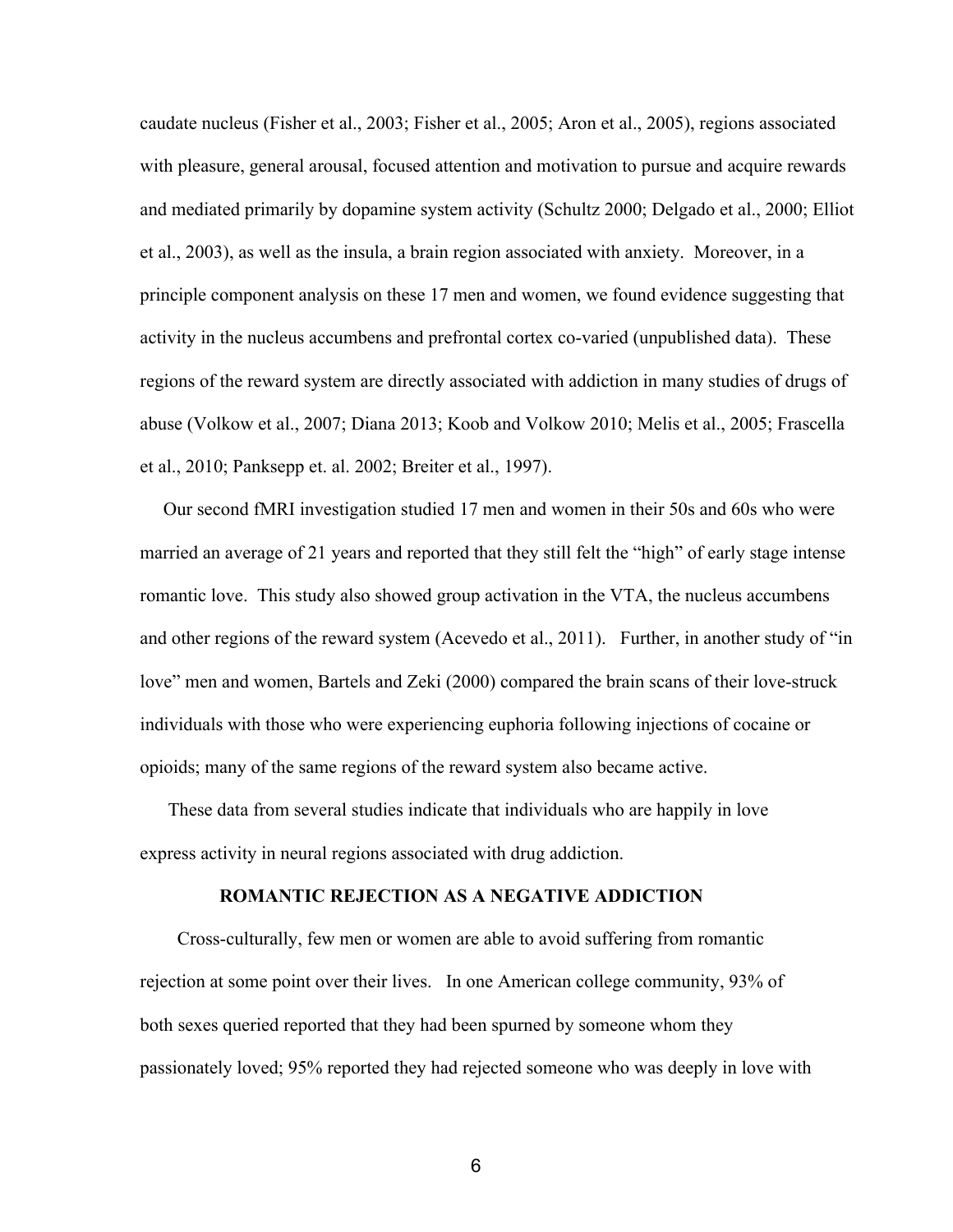caudate nucleus (Fisher et al., 2003; Fisher et al., 2005; Aron et al., 2005), regions associated with pleasure, general arousal, focused attention and motivation to pursue and acquire rewards and mediated primarily by dopamine system activity (Schultz 2000; Delgado et al., 2000; Elliot et al., 2003), as well as the insula, a brain region associated with anxiety. Moreover, in a principle component analysis on these 17 men and women, we found evidence suggesting that activity in the nucleus accumbens and prefrontal cortex co-varied (unpublished data). These regions of the reward system are directly associated with addiction in many studies of drugs of abuse (Volkow et al., 2007; Diana 2013; Koob and Volkow 2010; Melis et al., 2005; Frascella et al., 2010; Panksepp et. al. 2002; Breiter et al., 1997).

 Our second fMRI investigation studied 17 men and women in their 50s and 60s who were married an average of 21 years and reported that they still felt the "high" of early stage intense romantic love. This study also showed group activation in the VTA, the nucleus accumbens and other regions of the reward system (Acevedo et al., 2011). Further, in another study of "in love" men and women, Bartels and Zeki (2000) compared the brain scans of their love-struck individuals with those who were experiencing euphoria following injections of cocaine or opioids; many of the same regions of the reward system also became active.

 These data from several studies indicate that individuals who are happily in love express activity in neural regions associated with drug addiction.

#### **ROMANTIC REJECTION AS A NEGATIVE ADDICTION**

Cross-culturally, few men or women are able to avoid suffering from romantic rejection at some point over their lives. In one American college community, 93% of both sexes queried reported that they had been spurned by someone whom they passionately loved; 95% reported they had rejected someone who was deeply in love with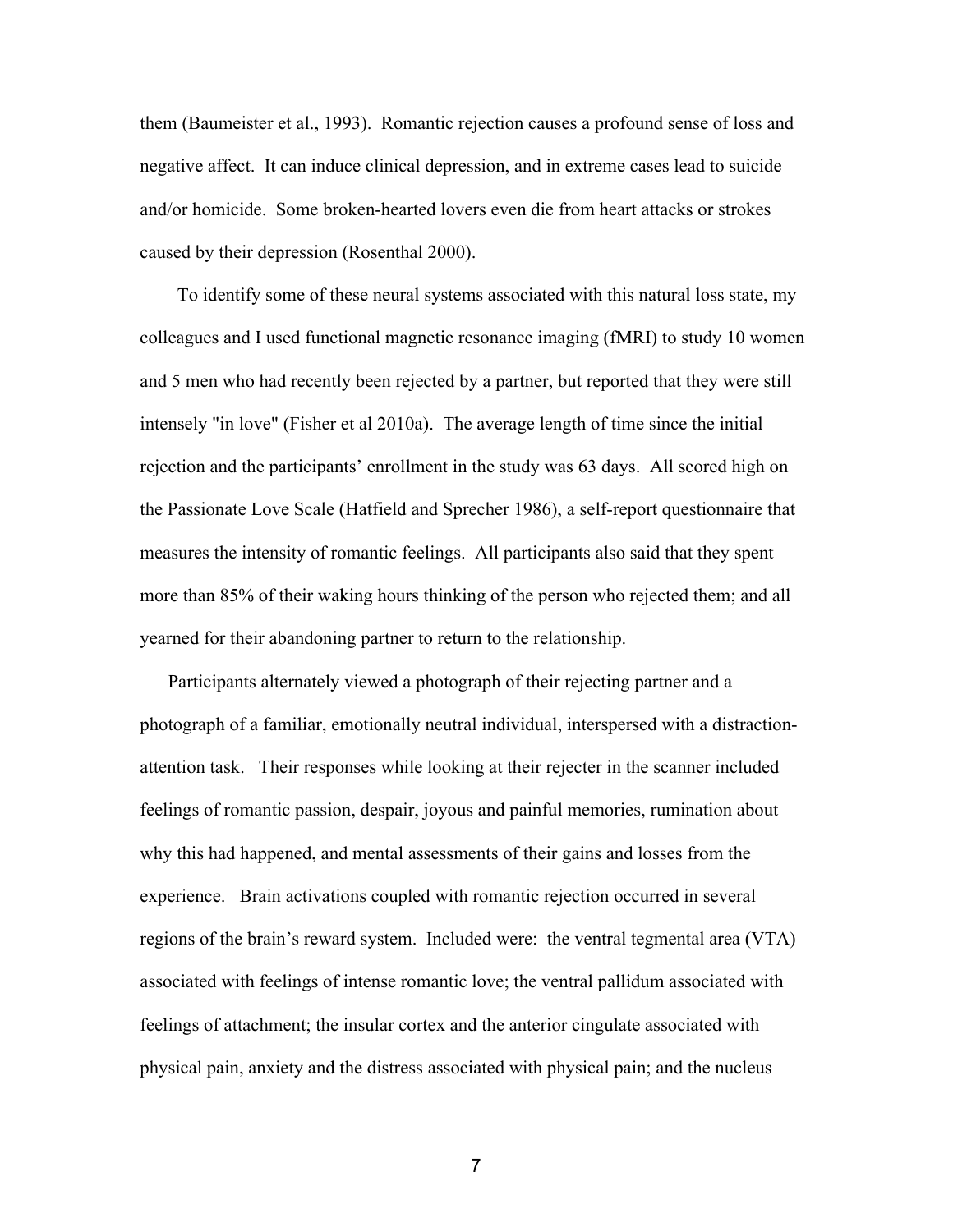them (Baumeister et al., 1993). Romantic rejection causes a profound sense of loss and negative affect. It can induce clinical depression, and in extreme cases lead to suicide and/or homicide. Some broken-hearted lovers even die from heart attacks or strokes caused by their depression (Rosenthal 2000).

 To identify some of these neural systems associated with this natural loss state, my colleagues and I used functional magnetic resonance imaging (fMRI) to study 10 women and 5 men who had recently been rejected by a partner, but reported that they were still intensely "in love" (Fisher et al 2010a). The average length of time since the initial rejection and the participants' enrollment in the study was 63 days. All scored high on the Passionate Love Scale (Hatfield and Sprecher 1986), a self-report questionnaire that measures the intensity of romantic feelings. All participants also said that they spent more than 85% of their waking hours thinking of the person who rejected them; and all yearned for their abandoning partner to return to the relationship.

 Participants alternately viewed a photograph of their rejecting partner and a photograph of a familiar, emotionally neutral individual, interspersed with a distractionattention task. Their responses while looking at their rejecter in the scanner included feelings of romantic passion, despair, joyous and painful memories, rumination about why this had happened, and mental assessments of their gains and losses from the experience. Brain activations coupled with romantic rejection occurred in several regions of the brain's reward system. Included were: the ventral tegmental area (VTA) associated with feelings of intense romantic love; the ventral pallidum associated with feelings of attachment; the insular cortex and the anterior cingulate associated with physical pain, anxiety and the distress associated with physical pain; and the nucleus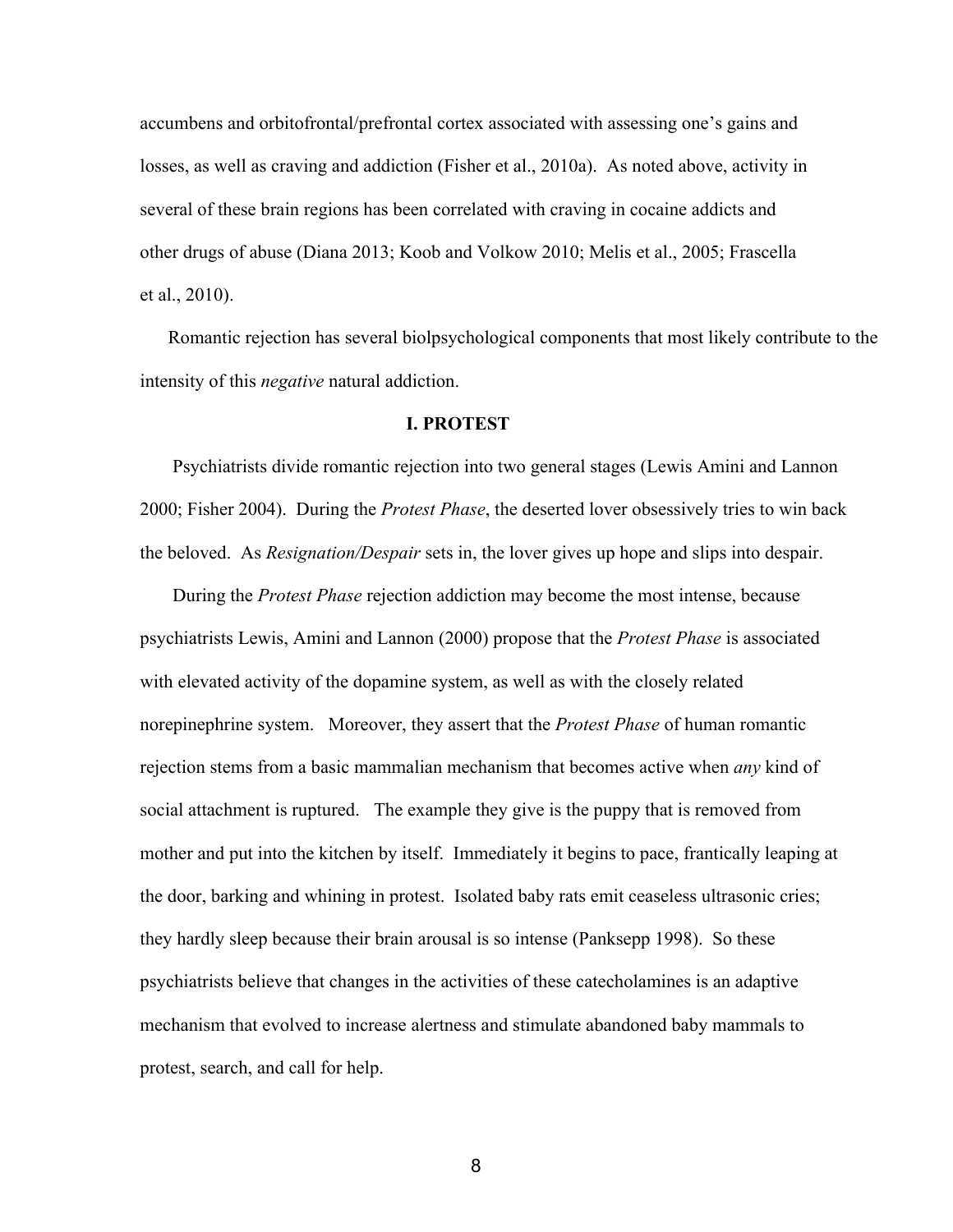accumbens and orbitofrontal/prefrontal cortex associated with assessing one's gains and losses, as well as craving and addiction (Fisher et al., 2010a). As noted above, activity in several of these brain regions has been correlated with craving in cocaine addicts and other drugs of abuse (Diana 2013; Koob and Volkow 2010; Melis et al., 2005; Frascella et al., 2010).

 Romantic rejection has several biolpsychological components that most likely contribute to the intensity of this *negative* natural addiction.

### **I. PROTEST**

 Psychiatrists divide romantic rejection into two general stages (Lewis Amini and Lannon 2000; Fisher 2004). During the *Protest Phase*, the deserted lover obsessively tries to win back the beloved. As *Resignation/Despair* sets in, the lover gives up hope and slips into despair.

 During the *Protest Phase* rejection addiction may become the most intense, because psychiatrists Lewis, Amini and Lannon (2000) propose that the *Protest Phase* is associated with elevated activity of the dopamine system, as well as with the closely related norepinephrine system. Moreover, they assert that the *Protest Phase* of human romantic rejection stems from a basic mammalian mechanism that becomes active when *any* kind of social attachment is ruptured. The example they give is the puppy that is removed from mother and put into the kitchen by itself. Immediately it begins to pace, frantically leaping at the door, barking and whining in protest. Isolated baby rats emit ceaseless ultrasonic cries; they hardly sleep because their brain arousal is so intense (Panksepp 1998). So these psychiatrists believe that changes in the activities of these catecholamines is an adaptive mechanism that evolved to increase alertness and stimulate abandoned baby mammals to protest, search, and call for help.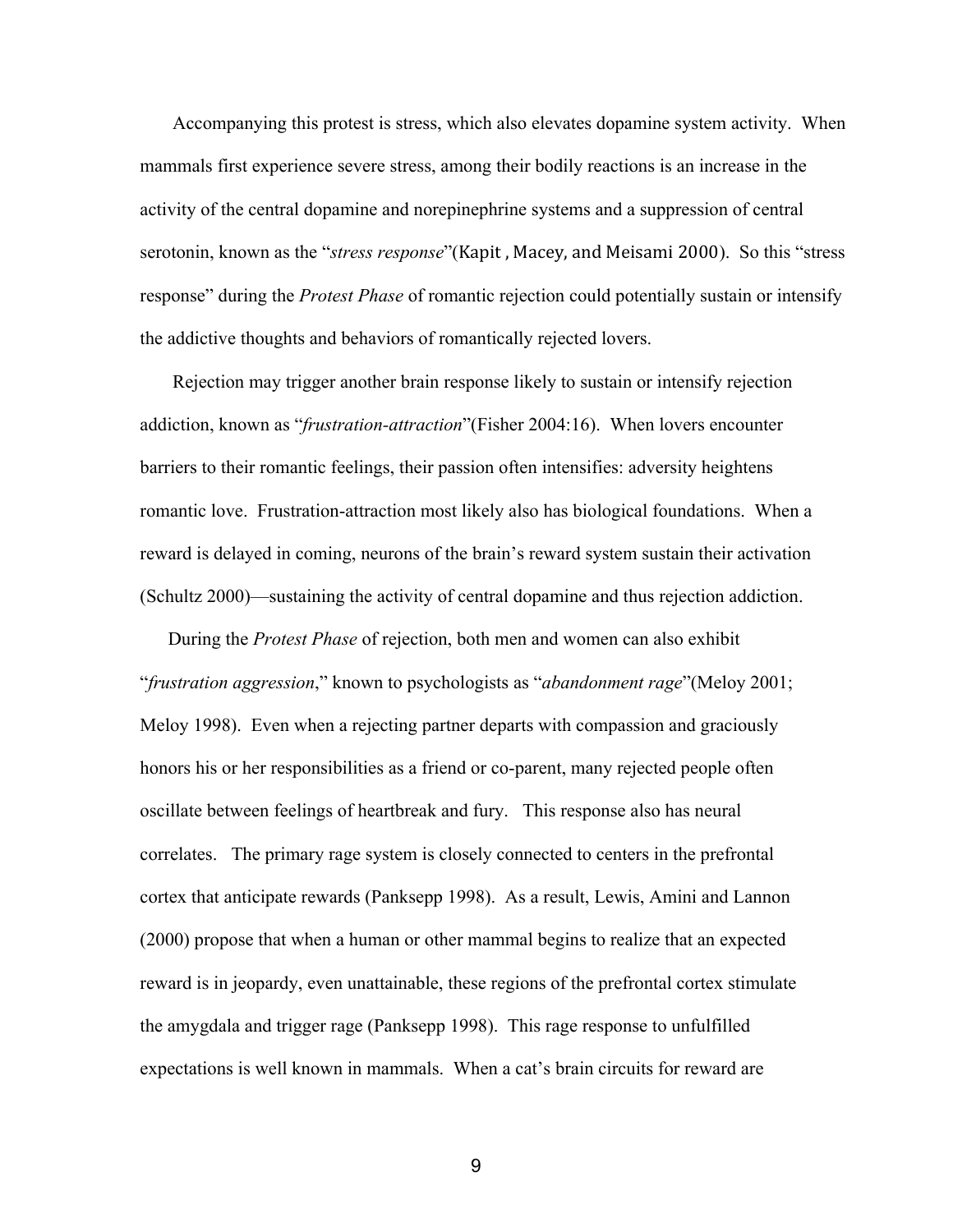Accompanying this protest is stress, which also elevates dopamine system activity. When mammals first experience severe stress, among their bodily reactions is an increase in the activity of the central dopamine and norepinephrine systems and a suppression of central serotonin, known as the "*stress response*"(Kapit , Macey, and Meisami 2000). So this "stress response" during the *Protest Phase* of romantic rejection could potentially sustain or intensify the addictive thoughts and behaviors of romantically rejected lovers.

 Rejection may trigger another brain response likely to sustain or intensify rejection addiction, known as "*frustration-attraction*"(Fisher 2004:16). When lovers encounter barriers to their romantic feelings, their passion often intensifies: adversity heightens romantic love. Frustration-attraction most likely also has biological foundations. When a reward is delayed in coming, neurons of the brain's reward system sustain their activation (Schultz 2000)—sustaining the activity of central dopamine and thus rejection addiction.

During the *Protest Phase* of rejection, both men and women can also exhibit "*frustration aggression*," known to psychologists as "*abandonment rage*"(Meloy 2001; Meloy 1998). Even when a rejecting partner departs with compassion and graciously honors his or her responsibilities as a friend or co-parent, many rejected people often oscillate between feelings of heartbreak and fury. This response also has neural correlates. The primary rage system is closely connected to centers in the prefrontal cortex that anticipate rewards (Panksepp 1998). As a result, Lewis, Amini and Lannon (2000) propose that when a human or other mammal begins to realize that an expected reward is in jeopardy, even unattainable, these regions of the prefrontal cortex stimulate the amygdala and trigger rage (Panksepp 1998). This rage response to unfulfilled expectations is well known in mammals. When a cat's brain circuits for reward are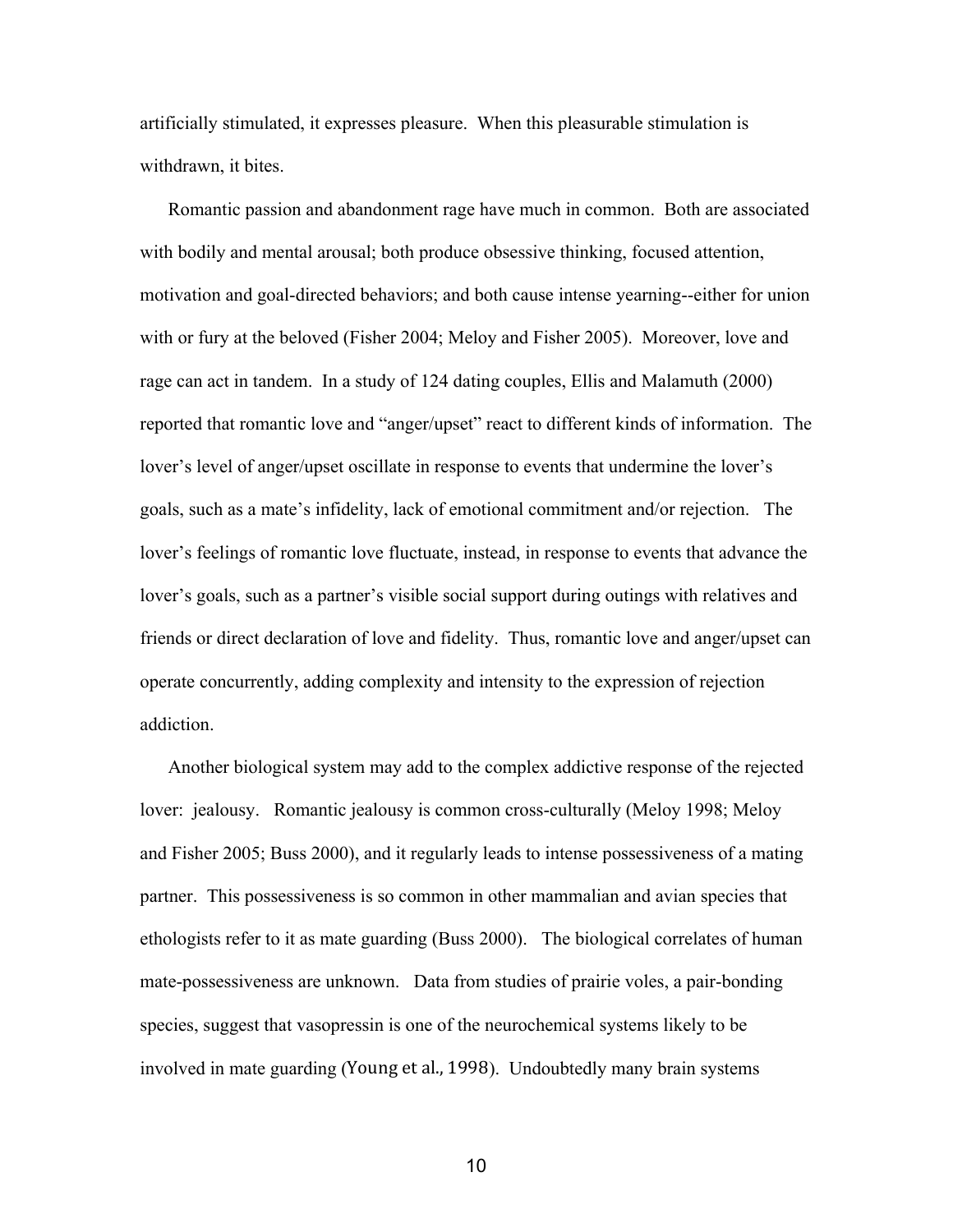artificially stimulated, it expresses pleasure. When this pleasurable stimulation is withdrawn, it bites.

 Romantic passion and abandonment rage have much in common. Both are associated with bodily and mental arousal; both produce obsessive thinking, focused attention, motivation and goal-directed behaviors; and both cause intense yearning--either for union with or fury at the beloved (Fisher 2004; Meloy and Fisher 2005). Moreover, love and rage can act in tandem. In a study of 124 dating couples, Ellis and Malamuth (2000) reported that romantic love and "anger/upset" react to different kinds of information. The lover's level of anger/upset oscillate in response to events that undermine the lover's goals, such as a mate's infidelity, lack of emotional commitment and/or rejection. The lover's feelings of romantic love fluctuate, instead, in response to events that advance the lover's goals, such as a partner's visible social support during outings with relatives and friends or direct declaration of love and fidelity. Thus, romantic love and anger/upset can operate concurrently, adding complexity and intensity to the expression of rejection addiction.

 Another biological system may add to the complex addictive response of the rejected lover: jealousy. Romantic jealousy is common cross-culturally (Meloy 1998; Meloy and Fisher 2005; Buss 2000), and it regularly leads to intense possessiveness of a mating partner. This possessiveness is so common in other mammalian and avian species that ethologists refer to it as mate guarding (Buss 2000). The biological correlates of human mate-possessiveness are unknown. Data from studies of prairie voles, a pair-bonding species, suggest that vasopressin is one of the neurochemical systems likely to be involved in mate guarding (Young et al., 1998). Undoubtedly many brain systems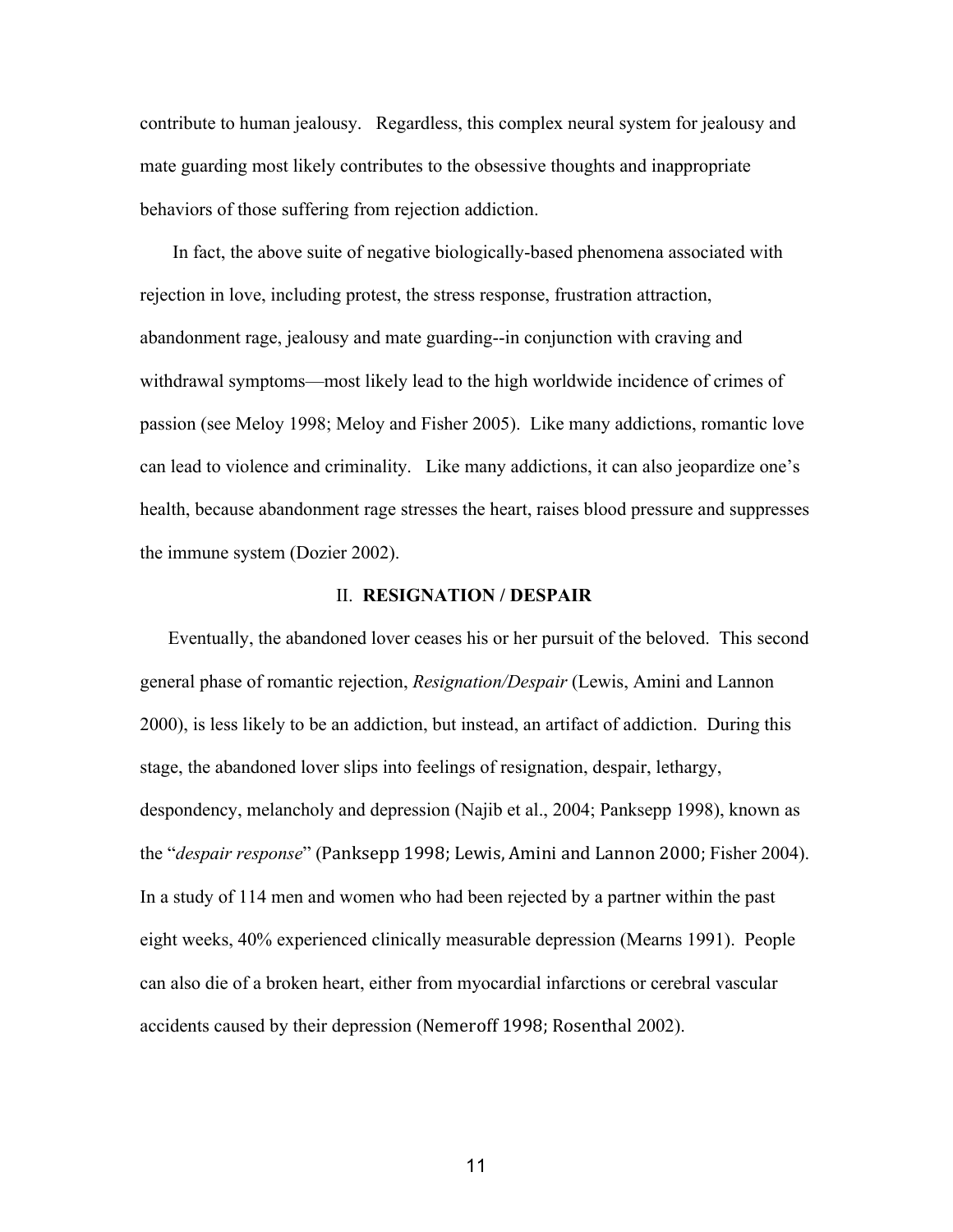contribute to human jealousy. Regardless, this complex neural system for jealousy and mate guarding most likely contributes to the obsessive thoughts and inappropriate behaviors of those suffering from rejection addiction.

In fact, the above suite of negative biologically-based phenomena associated with rejection in love, including protest, the stress response, frustration attraction, abandonment rage, jealousy and mate guarding--in conjunction with craving and withdrawal symptoms—most likely lead to the high worldwide incidence of crimes of passion (see Meloy 1998; Meloy and Fisher 2005). Like many addictions, romantic love can lead to violence and criminality. Like many addictions, it can also jeopardize one's health, because abandonment rage stresses the heart, raises blood pressure and suppresses the immune system (Dozier 2002).

# II. **RESIGNATION / DESPAIR**

 Eventually, the abandoned lover ceases his or her pursuit of the beloved. This second general phase of romantic rejection, *Resignation/Despair* (Lewis, Amini and Lannon 2000), is less likely to be an addiction, but instead, an artifact of addiction. During this stage, the abandoned lover slips into feelings of resignation, despair, lethargy, despondency, melancholy and depression (Najib et al., 2004; Panksepp 1998), known as the "*despair response*" (Panksepp 1998; Lewis, Amini and Lannon 2000; Fisher 2004). In a study of 114 men and women who had been rejected by a partner within the past eight weeks, 40% experienced clinically measurable depression (Mearns 1991). People can also die of a broken heart, either from myocardial infarctions or cerebral vascular accidents caused by their depression (Nemeroff 1998; Rosenthal 2002).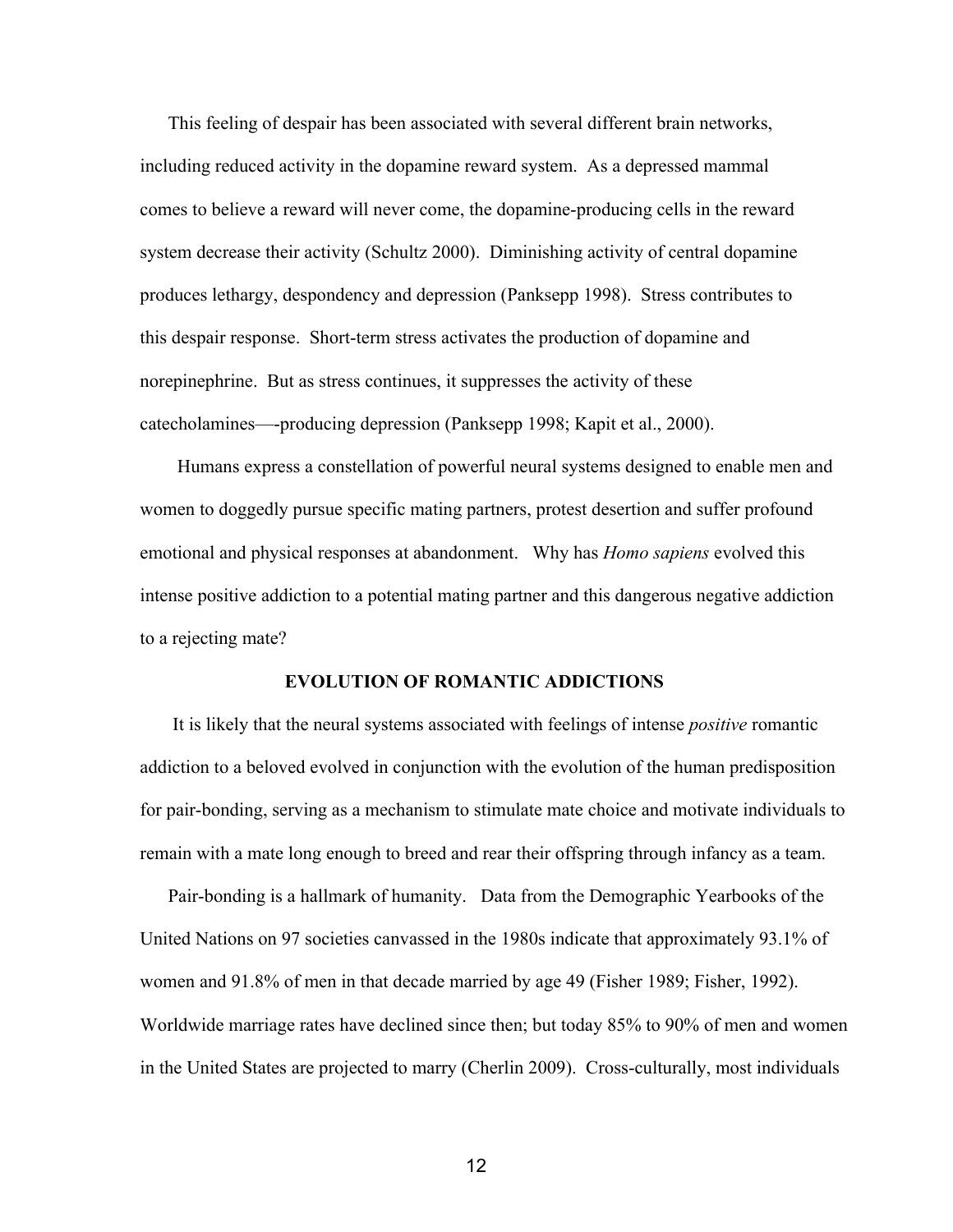This feeling of despair has been associated with several different brain networks, including reduced activity in the dopamine reward system. As a depressed mammal comes to believe a reward will never come, the dopamineproducing cells in the reward system decrease their activity (Schultz 2000). Diminishing activity of central dopamine produces lethargy, despondency and depression (Panksepp 1998). Stress contributes to this despair response. Short-term stress activates the production of dopamine and norepinephrine. But as stress continues, it suppresses the activity of these catecholamines—producing depression (Panksepp 1998; Kapit et al., 2000).

 Humans express a constellation of powerful neural systems designed to enable men and women to doggedly pursue specific mating partners, protest desertion and suffer profound emotional and physical responses at abandonment. Why has *Homo sapiens* evolved this intense positive addiction to a potential mating partner and this dangerous negative addiction to a rejecting mate?

# **EVOLUTION OF ROMANTIC ADDICTIONS**

It is likely that the neural systems associated with feelings of intense *positive* romantic addiction to a beloved evolved in conjunction with the evolution of the human predisposition for pair-bonding, serving as a mechanism to stimulate mate choice and motivate individuals to remain with a mate long enough to breed and rear their offspring through infancy as a team.

Pair-bonding is a hallmark of humanity. Data from the Demographic Yearbooks of the United Nations on 97 societies canvassed in the 1980s indicate that approximately 93.1% of women and 91.8% of men in that decade married by age 49 (Fisher 1989; Fisher, 1992). Worldwide marriage rates have declined since then; but today 85% to 90% of men and women in the United States are projected to marry (Cherlin 2009). Crossculturally, most individuals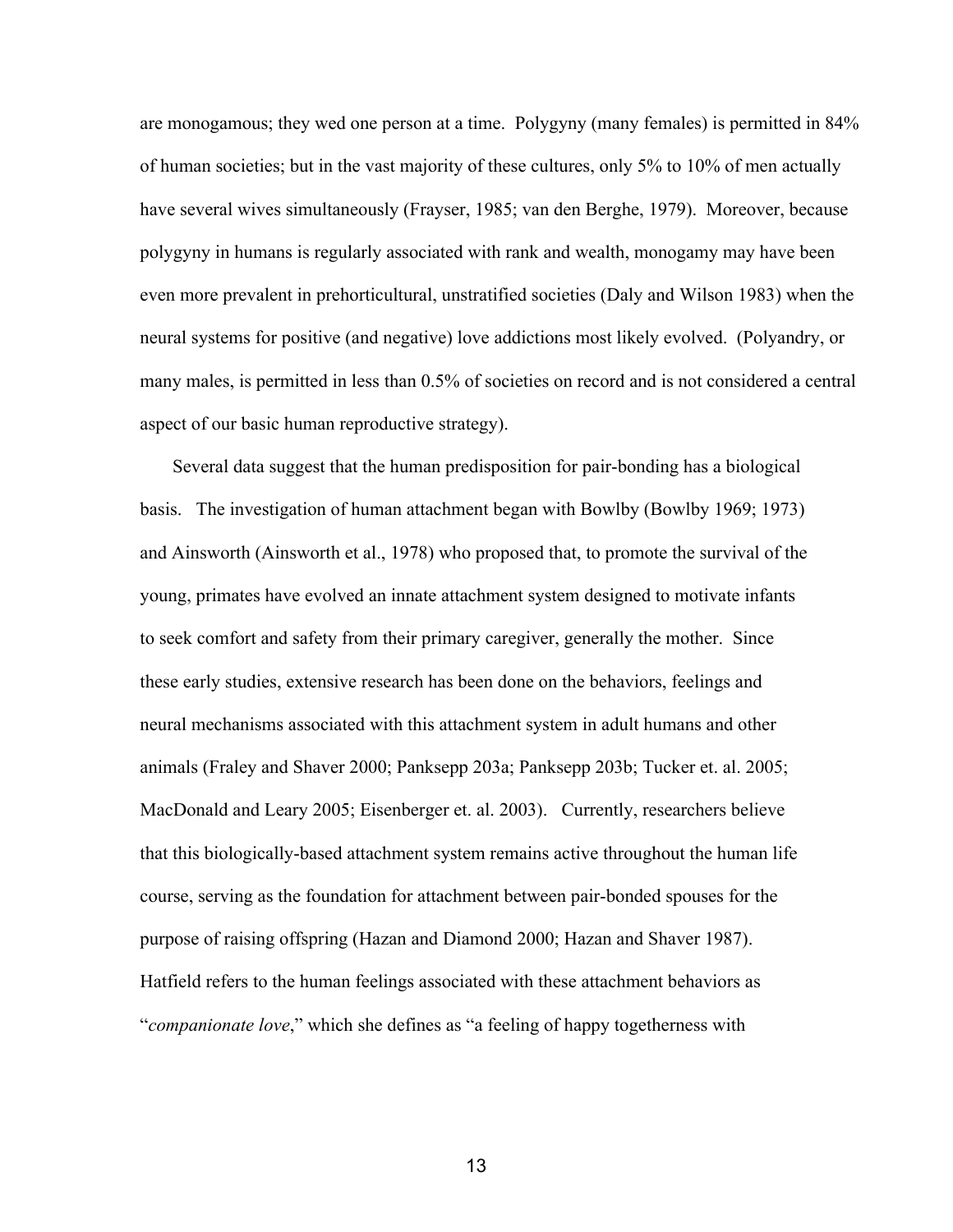are monogamous; they wed one person at a time. Polygyny (many females) is permitted in 84% of human societies; but in the vast majority of these cultures, only 5% to 10% of men actually have several wives simultaneously (Frayser, 1985; van den Berghe, 1979). Moreover, because polygyny in humans is regularly associated with rank and wealth, monogamy may have been even more prevalent in prehorticultural, unstratified societies (Daly and Wilson 1983) when the neural systems for positive (and negative) love addictions most likely evolved. (Polyandry, or many males, is permitted in less than 0.5% of societies on record and is not considered a central aspect of our basic human reproductive strategy).

Several data suggest that the human predisposition for pair-bonding has a biological basis. The investigation of human attachment began with Bowlby (Bowlby 1969; 1973) and Ainsworth (Ainsworth et al., 1978) who proposed that, to promote the survival of the young, primates have evolved an innate attachment system designed to motivate infants to seek comfort and safety from their primary caregiver, generally the mother. Since these early studies, extensive research has been done on the behaviors, feelings and neural mechanisms associated with this attachment system in adult humans and other animals (Fraley and Shaver 2000; Panksepp 203a; Panksepp 203b; Tucker et. al. 2005; MacDonald and Leary 2005; Eisenberger et. al. 2003). Currently, researchers believe that this biologically-based attachment system remains active throughout the human life course, serving as the foundation for attachment between pair-bonded spouses for the purpose of raising offspring (Hazan and Diamond 2000; Hazan and Shaver 1987). Hatfield refers to the human feelings associated with these attachment behaviors as "*companionate love*," which she defines as "a feeling of happy togetherness with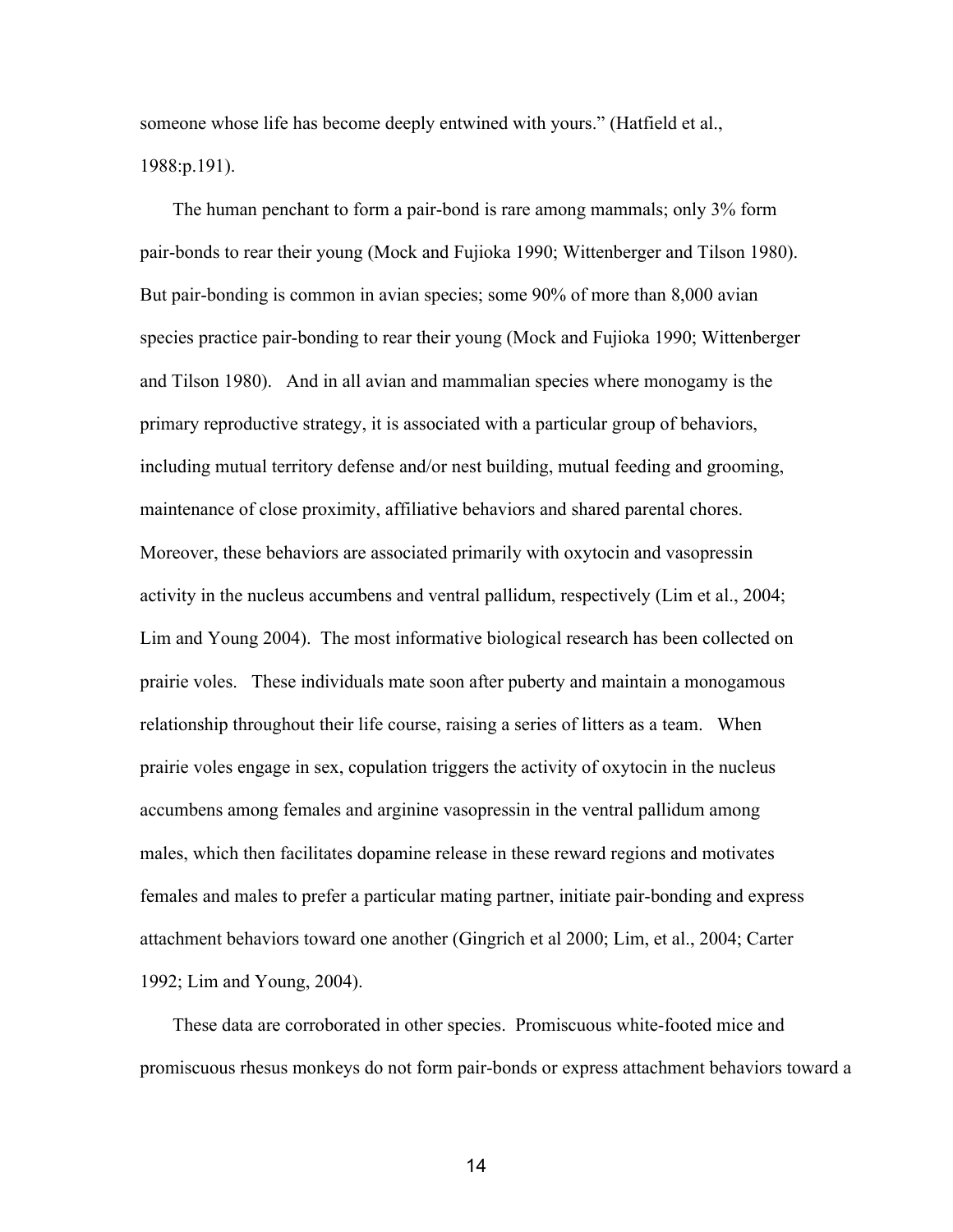someone whose life has become deeply entwined with yours." (Hatfield et al., 1988:p.191).

The human penchant to form a pair-bond is rare among mammals; only 3% form pair-bonds to rear their young (Mock and Fujioka 1990; Wittenberger and Tilson 1980). But pair-bonding is common in avian species; some 90% of more than 8,000 avian species practice pair-bonding to rear their young (Mock and Fujioka 1990; Wittenberger and Tilson 1980). And in all avian and mammalian species where monogamy is the primary reproductive strategy, it is associated with a particular group of behaviors, including mutual territory defense and/or nest building, mutual feeding and grooming, maintenance of close proximity, affiliative behaviors and shared parental chores. Moreover, these behaviors are associated primarily with oxytocin and vasopressin activity in the nucleus accumbens and ventral pallidum, respectively (Lim et al., 2004; Lim and Young 2004). The most informative biological research has been collected on prairie voles. These individuals mate soon after puberty and maintain a monogamous relationship throughout their life course, raising a series of litters as a team. When prairie voles engage in sex, copulation triggers the activity of oxytocin in the nucleus accumbens among females and arginine vasopressin in the ventral pallidum among males, which then facilitates dopamine release in these reward regions and motivates females and males to prefer a particular mating partner, initiate pair-bonding and express attachment behaviors toward one another (Gingrich et al 2000; Lim, et al., 2004; Carter 1992; Lim and Young, 2004).

These data are corroborated in other species. Promiscuous white-footed mice and promiscuous rhesus monkeys do not form pair-bonds or express attachment behaviors toward a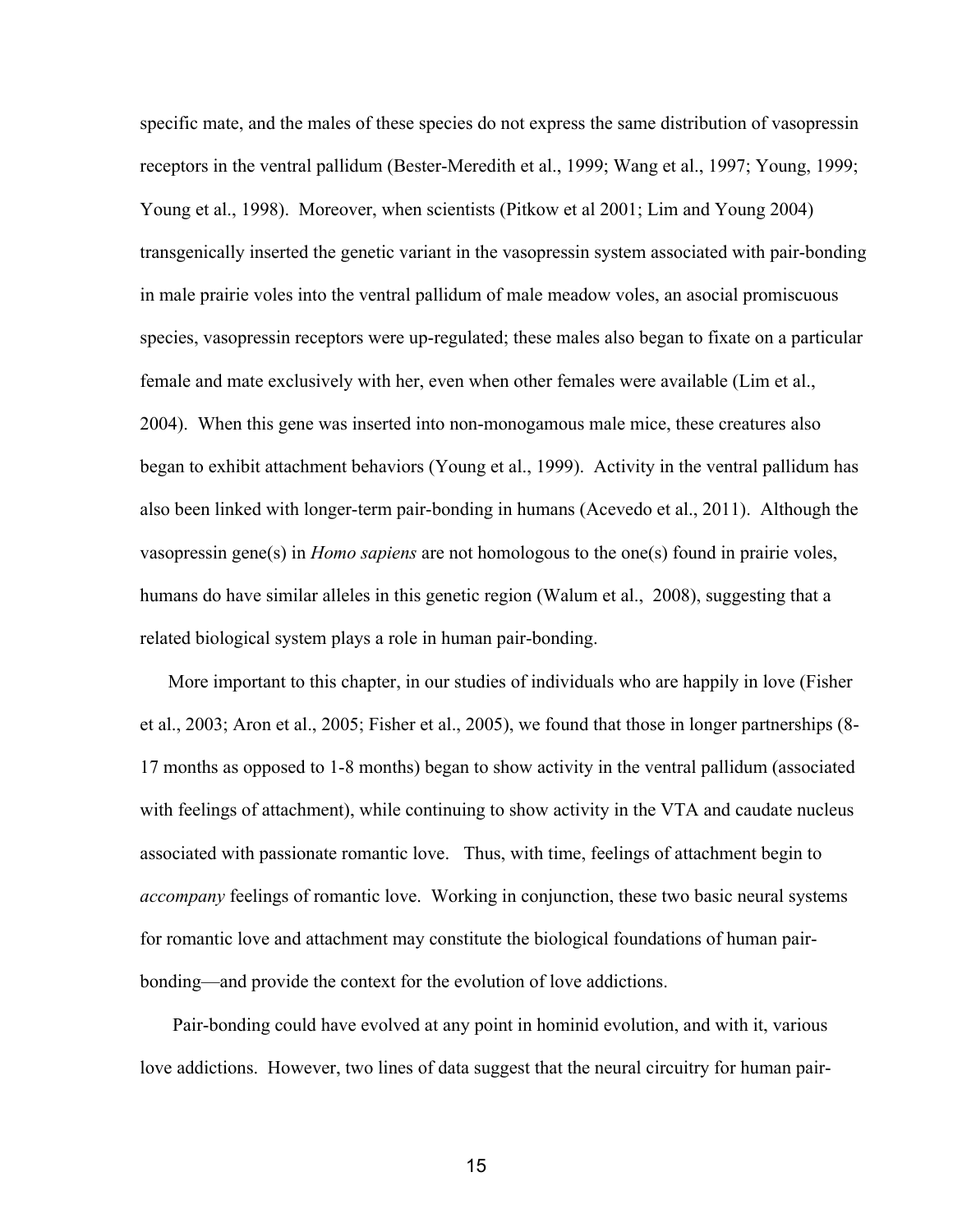specific mate, and the males of these species do not express the same distribution of vasopressin receptors in the ventral pallidum (Bester-Meredith et al., 1999; Wang et al., 1997; Young, 1999; Young et al., 1998). Moreover, when scientists (Pitkow et al 2001; Lim and Young 2004) transgenically inserted the genetic variant in the vasopressin system associated with pair-bonding in male prairie voles into the ventral pallidum of male meadow voles, an asocial promiscuous species, vasopressin receptors were up-regulated; these males also began to fixate on a particular female and mate exclusively with her, even when other females were available (Lim et al., 2004). When this gene was inserted into non-monogamous male mice, these creatures also began to exhibit attachment behaviors (Young et al., 1999). Activity in the ventral pallidum has also been linked with longer-term pair-bonding in humans (Acevedo et al., 2011). Although the vasopressin gene(s) in *Homo sapiens* are not homologous to the one(s) found in prairie voles, humans do have similar alleles in this genetic region (Walum et al., 2008), suggesting that a related biological system plays a role in human pair-bonding.

 More important to this chapter, in our studies of individuals who are happily in love (Fisher et al., 2003; Aron et al., 2005; Fisher et al., 2005), we found that those in longer partnerships (8 17 months as opposed to 18 months) began to show activity in the ventral pallidum (associated with feelings of attachment), while continuing to show activity in the VTA and caudate nucleus associated with passionate romantic love. Thus, with time, feelings of attachment begin to *accompany* feelings of romantic love.Working in conjunction, these two basic neural systems for romantic love and attachment may constitute the biological foundations of human pairbonding—and provide the context for the evolution of love addictions.

Pair-bonding could have evolved at any point in hominid evolution, and with it, various love addictions. However, two lines of data suggest that the neural circuitry for human pair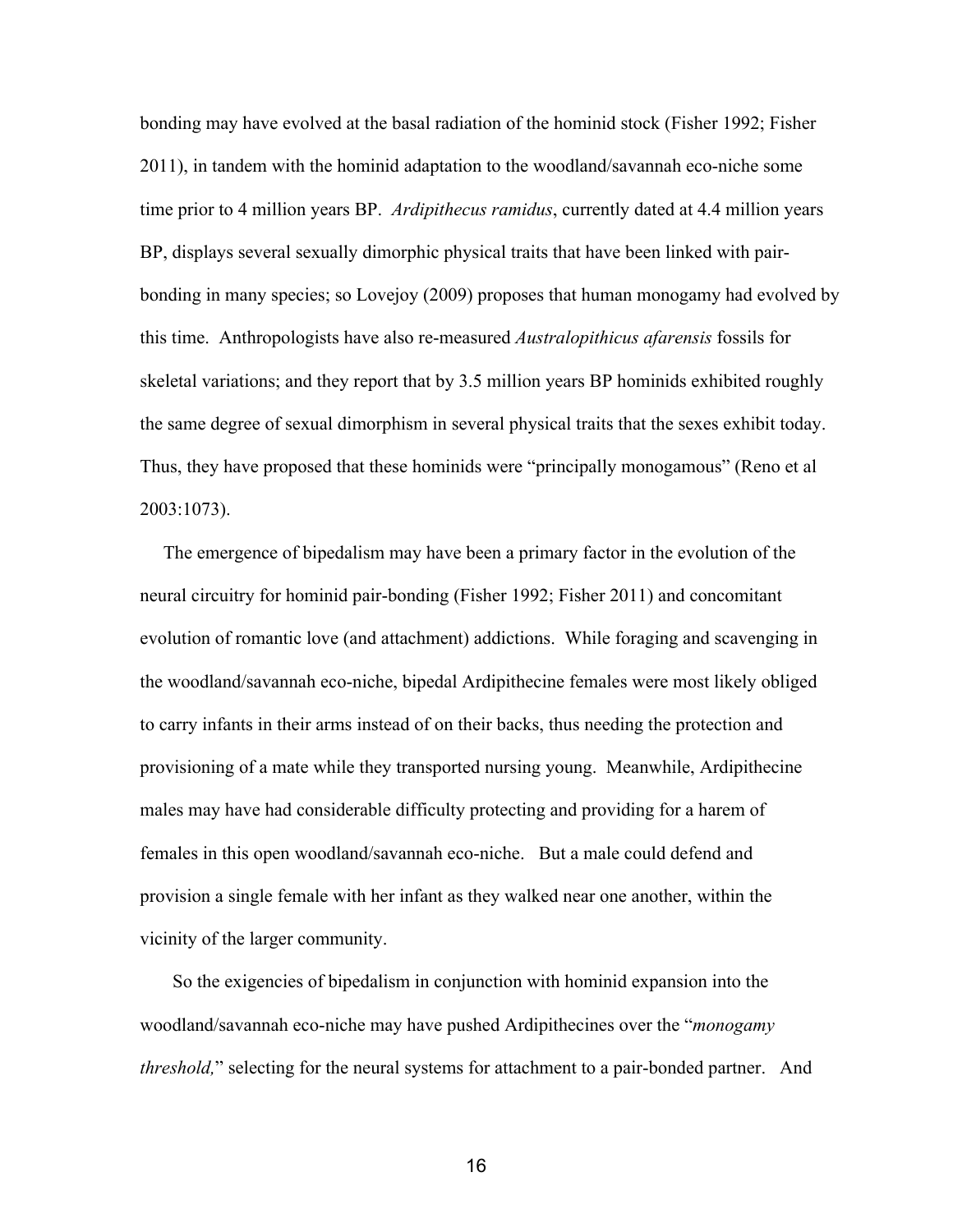bonding may have evolved at the basal radiation of the hominid stock (Fisher 1992; Fisher 2011), in tandem with the hominid adaptation to the woodland/savannah econiche some time prior to 4 million years BP. *Ardipithecus ramidus*, currently dated at 4.4 million years BP, displays several sexually dimorphic physical traits that have been linked with pairbonding in many species; so Lovejoy (2009) proposes that human monogamy had evolved by this time. Anthropologists have also re-measured *Australopithicus afarensis* fossils for skeletal variations; and they report that by 3.5 million years BP hominids exhibited roughly the same degree of sexual dimorphism in several physical traits that the sexes exhibit today. Thus, they have proposed that these hominids were "principally monogamous" (Reno et al 2003:1073).

 The emergence of bipedalism may have been a primary factor in the evolution of the neural circuitry for hominid pair-bonding (Fisher 1992; Fisher 2011) and concomitant evolution of romantic love (and attachment) addictions. While foraging and scavenging in the woodland/savannah eco-niche, bipedal Ardipithecine females were most likely obliged to carry infants in their arms instead of on their backs, thus needing the protection and provisioning of a mate while they transported nursing young. Meanwhile, Ardipithecine males may have had considerable difficulty protecting and providing for a harem of females in this open woodland/savannah eco-niche. But a male could defend and provision a single female with her infant as they walked near one another, within the vicinity of the larger community.

 So the exigencies of bipedalism in conjunction with hominid expansion into the woodland/savannah econiche may have pushed Ardipithecines over the "*monogamy threshold*," selecting for the neural systems for attachment to a pair-bonded partner. And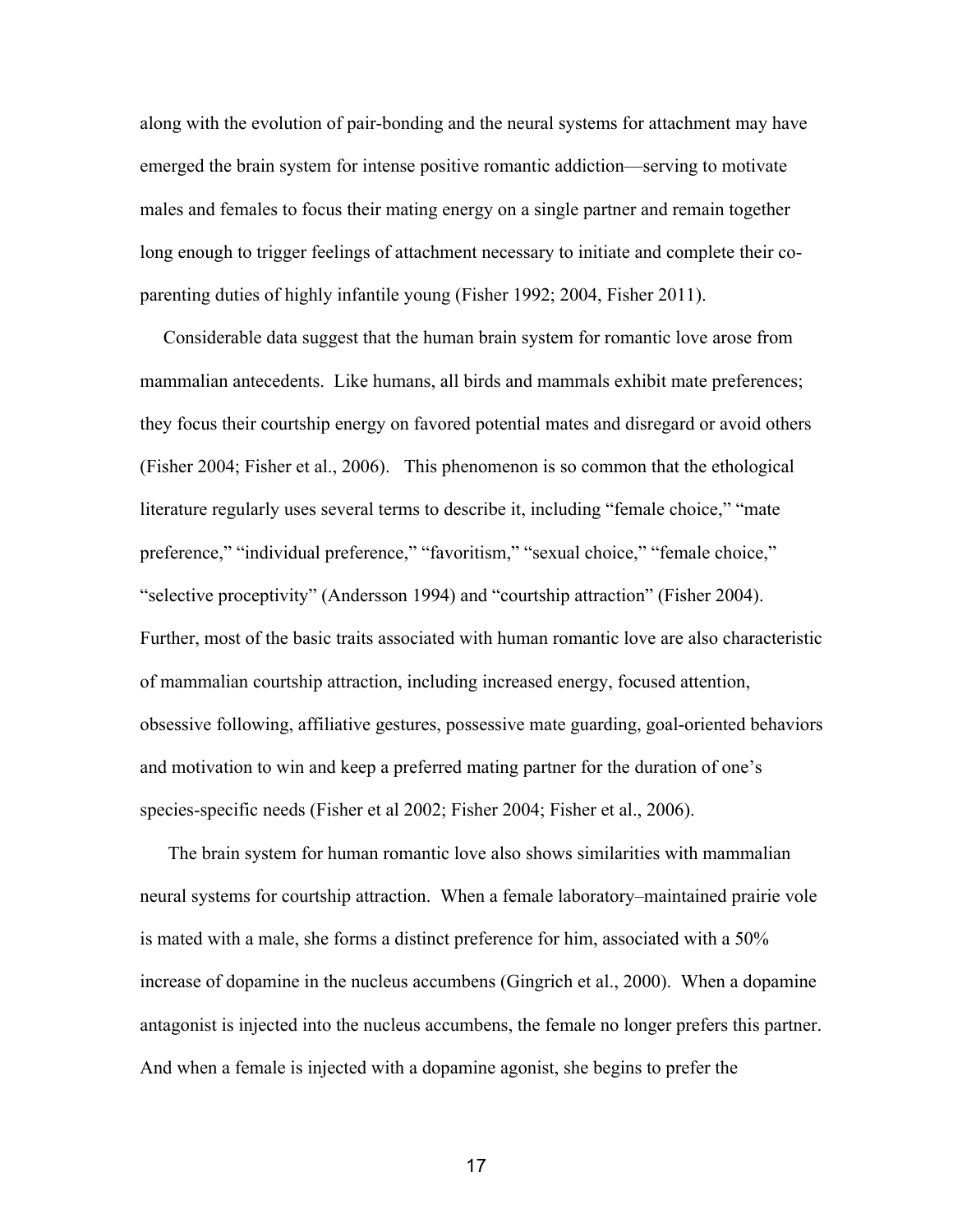along with the evolution of pair-bonding and the neural systems for attachment may have emerged the brain system for intense positive romantic addiction—serving to motivate males and females to focus their mating energy on a single partner and remain together long enough to trigger feelings of attachment necessary to initiate and complete their coparenting duties of highly infantile young (Fisher 1992; 2004, Fisher 2011).

 Considerable data suggest that the human brain system for romantic love arose from mammalian antecedents. Like humans, all birds and mammals exhibit mate preferences; they focus their courtship energy on favored potential mates and disregard or avoid others (Fisher 2004; Fisher et al., 2006). This phenomenon is so common that the ethological literature regularly uses several terms to describe it, including "female choice," "mate preference," "individual preference," "favoritism," "sexual choice," "female choice," "selective proceptivity" (Andersson 1994) and "courtship attraction" (Fisher 2004). Further, most of the basic traits associated with human romantic love are also characteristic of mammalian courtship attraction, including increased energy, focused attention, obsessive following, affiliative gestures, possessive mate guarding, goal-oriented behaviors and motivation to win and keep a preferred mating partner for the duration of one's species-specific needs (Fisher et al 2002; Fisher 2004; Fisher et al., 2006).

 The brain system for human romantic love also shows similarities with mammalian neural systems for courtship attraction. When a female laboratory–maintained prairie vole is mated with a male, she forms a distinct preference for him, associated with a 50% increase of dopamine in the nucleus accumbens (Gingrich et al., 2000). When a dopamine antagonist is injected into the nucleus accumbens, the female no longer prefers this partner. And when a female is injected with a dopamine agonist, she begins to prefer the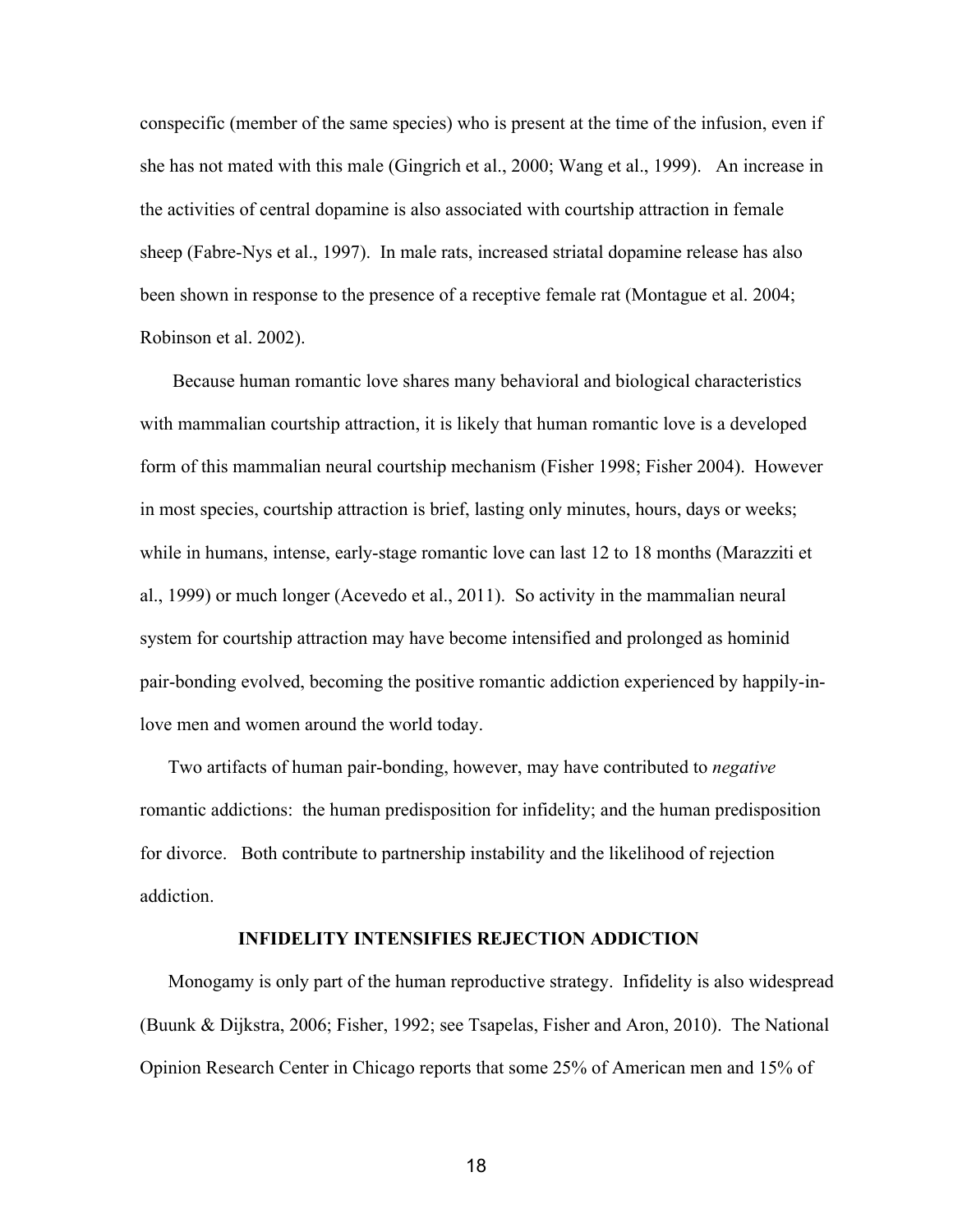conspecific (member of the same species) who is present at the time of the infusion, even if she has not mated with this male (Gingrich et al., 2000; Wang et al., 1999). An increase in the activities of central dopamine is also associated with courtship attraction in female sheep (Fabre-Nys et al., 1997). In male rats, increased striatal dopamine release has also been shown in response to the presence of a receptive female rat (Montague et al. 2004; Robinson et al. 2002).

 Because human romantic love shares many behavioral and biological characteristics with mammalian courtship attraction, it is likely that human romantic love is a developed form of this mammalian neural courtship mechanism (Fisher 1998; Fisher 2004). However in most species, courtship attraction is brief, lasting only minutes, hours, days or weeks; while in humans, intense, early-stage romantic love can last 12 to 18 months (Marazziti et al., 1999) or much longer (Acevedo et al., 2011). So activity in the mammalian neural system for courtship attraction may have become intensified and prolonged as hominid pair-bonding evolved, becoming the positive romantic addiction experienced by happily-inlove men and women around the world today.

Two artifacts of human pair-bonding, however, may have contributed to *negative* romantic addictions: the human predisposition for infidelity; and the human predisposition for divorce. Both contribute to partnership instability and the likelihood of rejection addiction.

# **INFIDELITY INTENSIFIES REJECTION ADDICTION**

 Monogamy is only part of the human reproductive strategy. Infidelity is also widespread (Buunk & Dijkstra, 2006; Fisher, 1992; see Tsapelas, Fisher and Aron, 2010). The National Opinion Research Center in Chicago reports that some 25% of American men and 15% of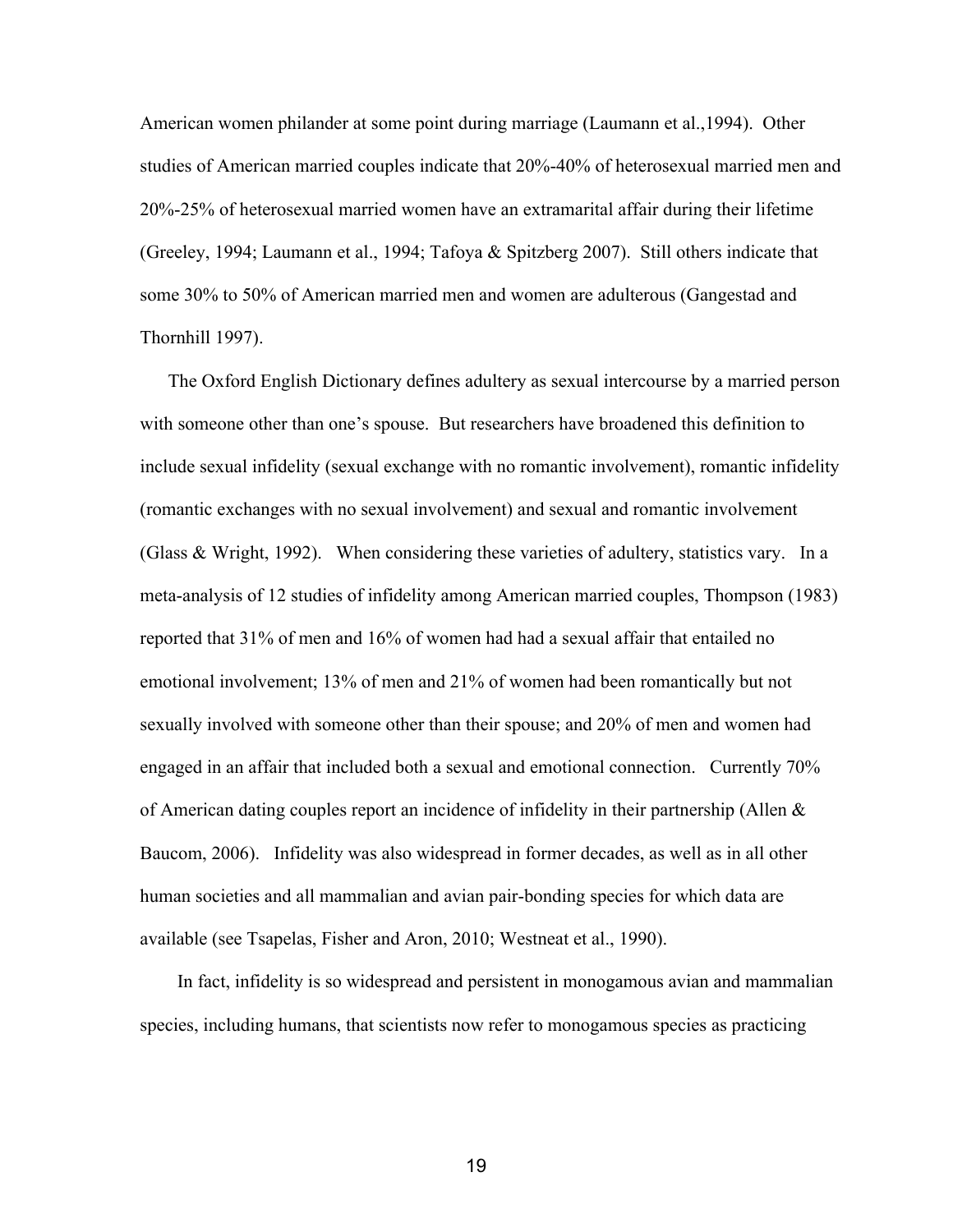American women philander at some point during marriage (Laumann et al.,1994). Other studies of American married couples indicate that 20%-40% of heterosexual married men and 20%25% of heterosexual married women have an extramarital affair during their lifetime (Greeley, 1994; Laumann et al., 1994; Tafoya & Spitzberg 2007). Still others indicate that some 30% to 50% of American married men and women are adulterous (Gangestad and Thornhill 1997).

 The Oxford English Dictionary defines adultery as sexual intercourse by a married person with someone other than one's spouse. But researchers have broadened this definition to include sexual infidelity (sexual exchange with no romantic involvement), romantic infidelity (romantic exchanges with no sexual involvement) and sexual and romantic involvement (Glass & Wright, 1992). When considering these varieties of adultery, statistics vary. In a meta-analysis of 12 studies of infidelity among American married couples, Thompson (1983) reported that 31% of men and 16% of women had had a sexual affair that entailed no emotional involvement; 13% of men and 21% of women had been romantically but not sexually involved with someone other than their spouse; and 20% of men and women had engaged in an affair that included both a sexual and emotional connection. Currently 70% of American dating couples report an incidence of infidelity in their partnership (Allen  $\&$ Baucom, 2006). Infidelity was also widespread in former decades, as well as in all other human societies and all mammalian and avian pair-bonding species for which data are available (see Tsapelas, Fisher and Aron, 2010; Westneat et al., 1990).

 In fact, infidelity is so widespread and persistent in monogamous avian and mammalian species, including humans, that scientists now refer to monogamous species as practicing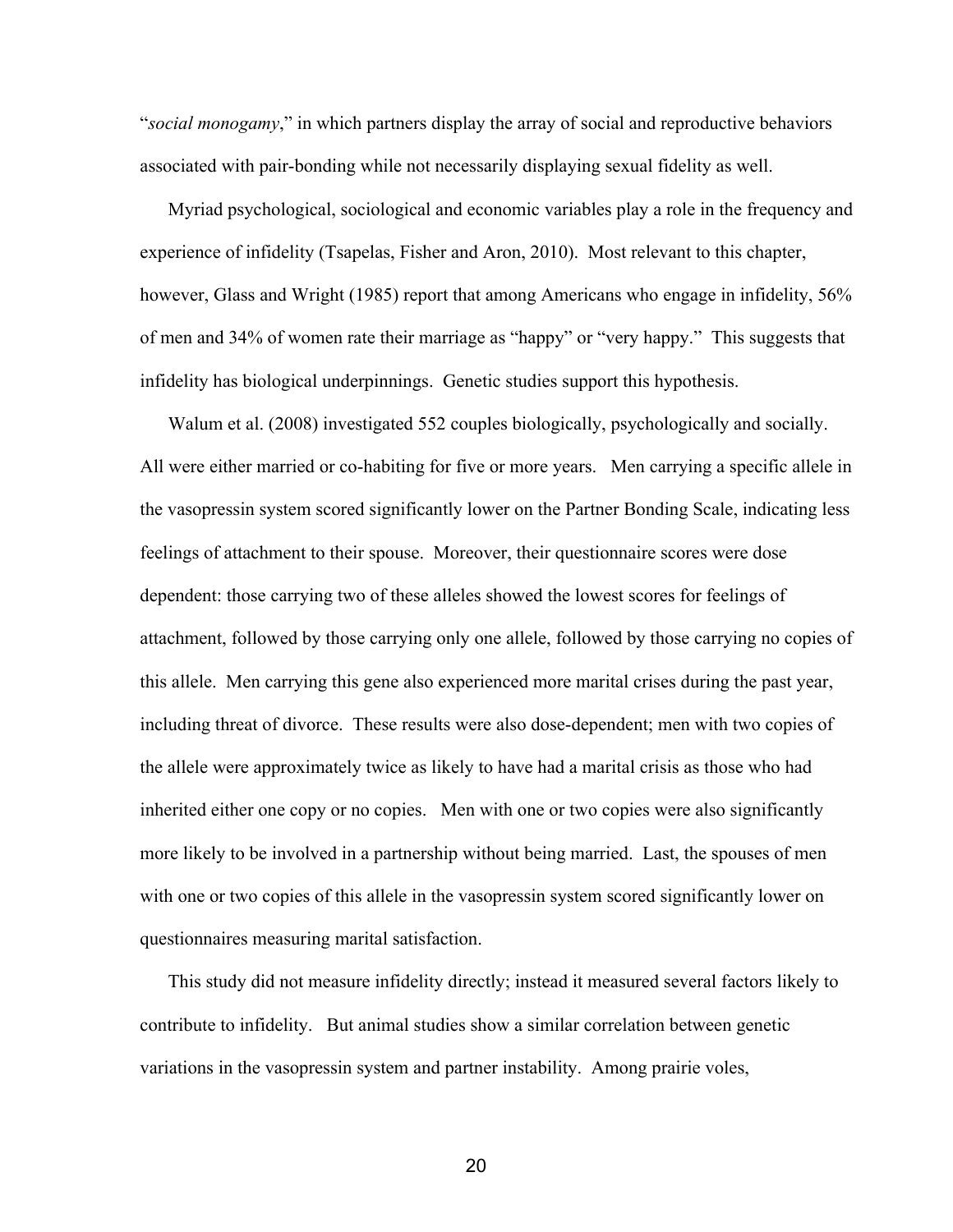"*social monogamy*," in which partners display the array of social and reproductive behaviors associated with pair-bonding while not necessarily displaying sexual fidelity as well.

 Myriad psychological, sociological and economic variables play a role in the frequency and experience of infidelity (Tsapelas, Fisher and Aron, 2010). Most relevant to this chapter, however, Glass and Wright (1985) report that among Americans who engage in infidelity, 56% of men and 34% of women rate their marriage as "happy" or "very happy." This suggests that infidelity has biological underpinnings. Genetic studies support this hypothesis.

 Walum et al. (2008) investigated 552 couples biologically, psychologically and socially. All were either married or co-habiting for five or more years. Men carrying a specific allele in the vasopressin system scored significantly lower on the Partner Bonding Scale, indicating less feelings of attachment to their spouse. Moreover, their questionnaire scores were dose dependent: those carrying two of these alleles showed the lowest scores for feelings of attachment, followed by those carrying only one allele, followed by those carrying no copies of this allele. Men carrying this gene also experienced more marital crises during the past year, including threat of divorce. These results were also dose-dependent; men with two copies of the allele were approximately twice as likely to have had a marital crisis as those who had inherited either one copy or no copies. Men with one or two copies were also significantly more likely to be involved in a partnership without being married. Last, the spouses of men with one or two copies of this allele in the vasopressin system scored significantly lower on questionnaires measuring marital satisfaction.

 This study did not measure infidelity directly; instead it measured several factors likely to contribute to infidelity. But animal studies show a similar correlation between genetic variations in the vasopressin system and partner instability. Among prairie voles,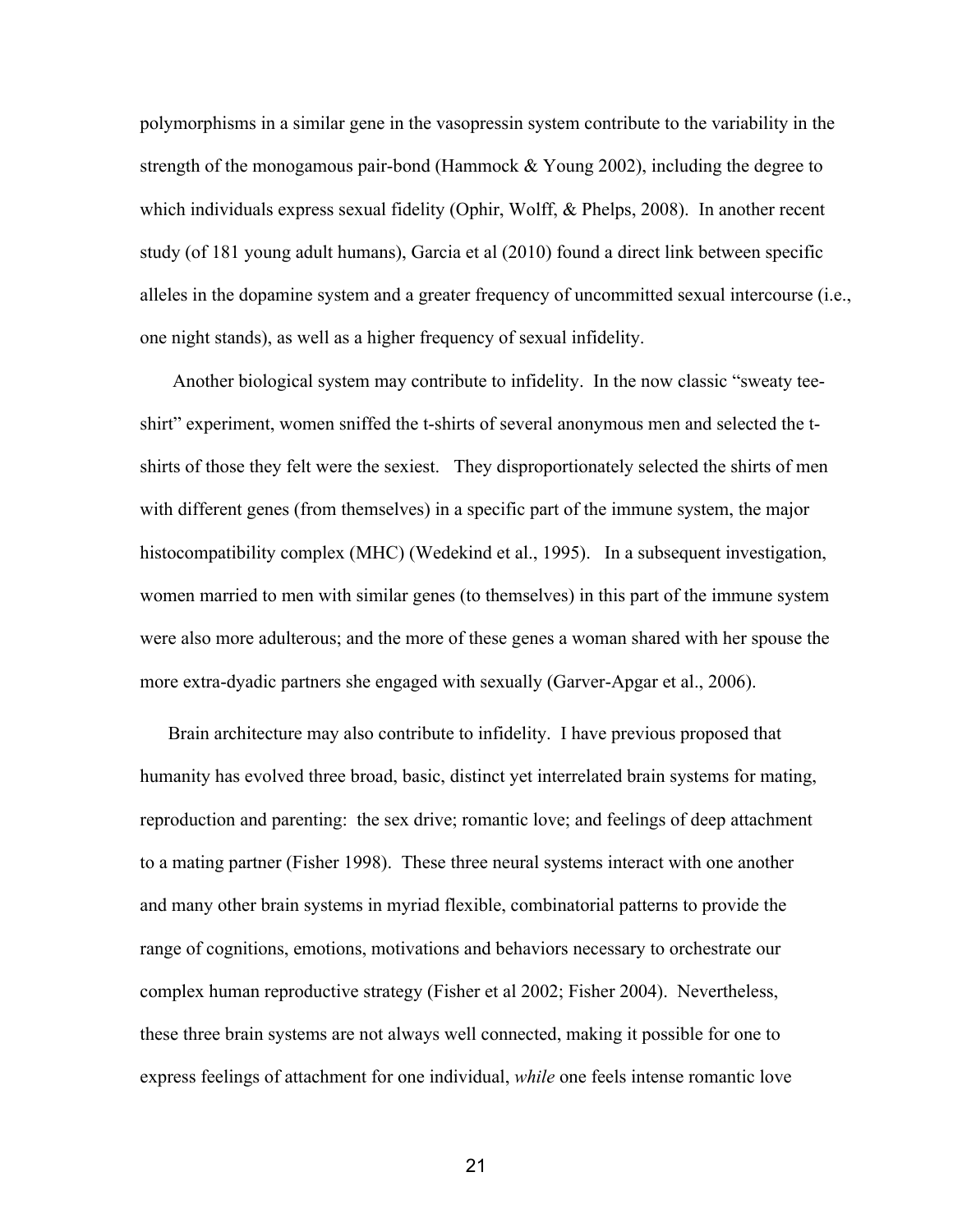polymorphisms in a similar gene in the vasopressin system contribute to the variability in the strength of the monogamous pair-bond (Hammock  $&$  Young 2002), including the degree to which individuals express sexual fidelity (Ophir, Wolff, & Phelps, 2008). In another recent study (of 181 young adult humans), Garcia et al (2010) found a direct link between specific alleles in the dopamine system and a greater frequency of uncommitted sexual intercourse (i.e., one night stands), as well as a higher frequency of sexual infidelity.

 Another biological system may contribute to infidelity. In the now classic "sweaty tee shirt" experiment, women sniffed the t-shirts of several anonymous men and selected the tshirts of those they felt were the sexiest. They disproportionately selected the shirts of men with different genes (from themselves) in a specific part of the immune system, the major histocompatibility complex (MHC) (Wedekind et al., 1995). In a subsequent investigation, women married to men with similar genes (to themselves) in this part of the immune system were also more adulterous; and the more of these genes a woman shared with her spouse the more extra-dyadic partners she engaged with sexually (Garver-Apgar et al., 2006).

 Brain architecture may also contribute to infidelity. I have previous proposed that humanity has evolved three broad, basic, distinct yet interrelated brain systems for mating, reproduction and parenting: the sex drive; romantic love; and feelings of deep attachment to a mating partner (Fisher 1998). These three neural systems interact with one another and many other brain systems in myriad flexible, combinatorial patterns to provide the range of cognitions, emotions, motivations and behaviors necessary to orchestrate our complex human reproductive strategy (Fisher et al 2002; Fisher 2004). Nevertheless, these three brain systems are not always well connected, making it possible for one to express feelings of attachment for one individual, *while* one feels intense romantic love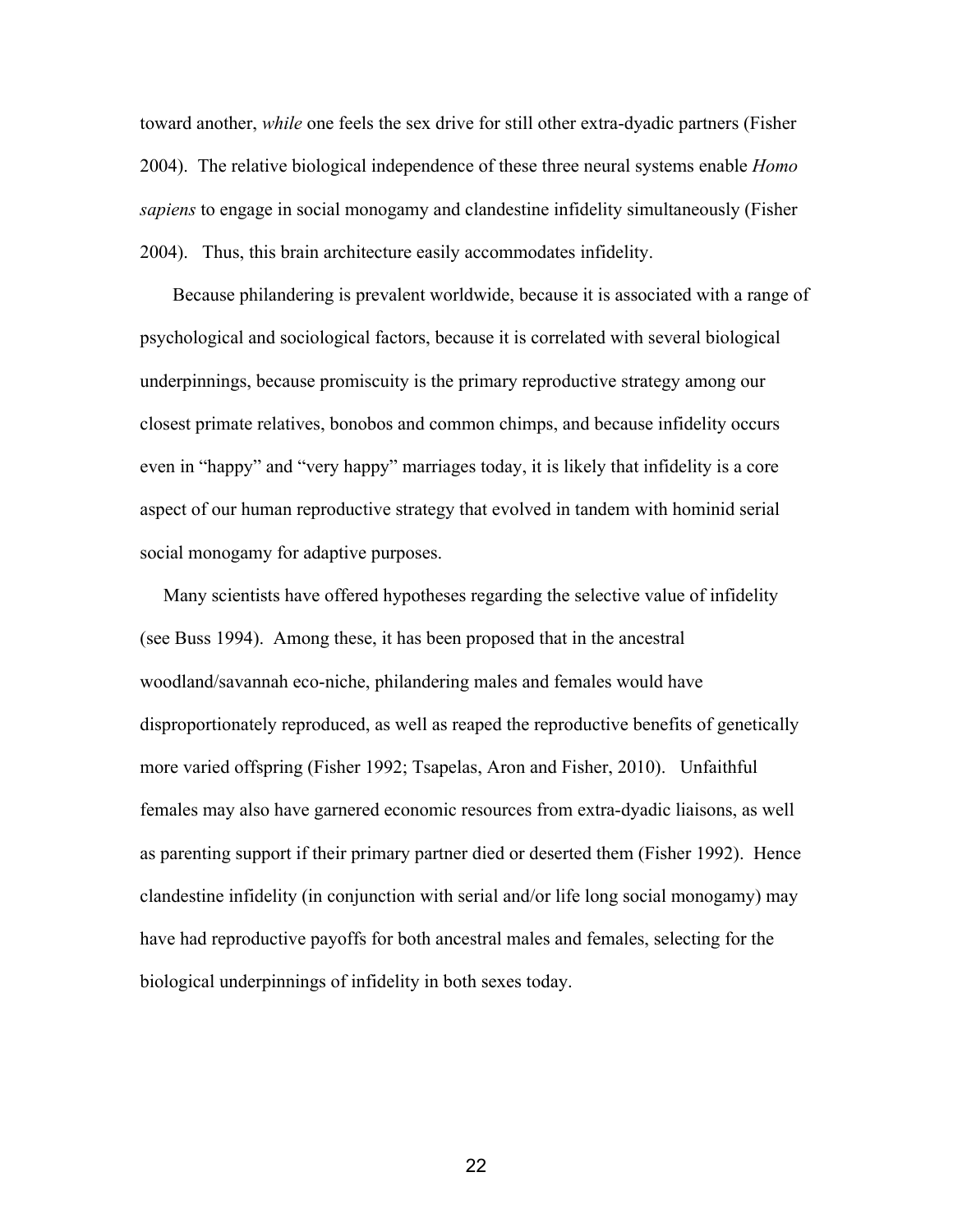toward another, *while* one feels the sex drive for still other extra-dyadic partners (Fisher 2004). The relative biological independence of these three neural systems enable *Homo sapiens* to engage in social monogamy and clandestine infidelity simultaneously (Fisher 2004). Thus, this brain architecture easily accommodates infidelity.

 Because philandering is prevalent worldwide, because it is associated with a range of psychological and sociological factors, because it is correlated with several biological underpinnings, because promiscuity is the primary reproductive strategy among our closest primate relatives, bonobos and common chimps, and because infidelity occurs even in "happy" and "very happy" marriages today, it is likely that infidelity is a core aspect of our human reproductive strategy that evolved in tandem with hominid serial social monogamy for adaptive purposes.

 Many scientists have offered hypotheses regarding the selective value of infidelity (see Buss 1994). Among these, it has been proposed that in the ancestral woodland/savannah eco-niche, philandering males and females would have disproportionately reproduced, as well as reaped the reproductive benefits of genetically more varied offspring (Fisher 1992; Tsapelas, Aron and Fisher, 2010). Unfaithful females may also have garnered economic resources from extra-dyadic liaisons, as well as parenting support if their primary partner died or deserted them (Fisher 1992). Hence clandestine infidelity (in conjunction with serial and/or life long social monogamy) may have had reproductive payoffs for both ancestral males and females, selecting for the biological underpinnings of infidelity in both sexes today.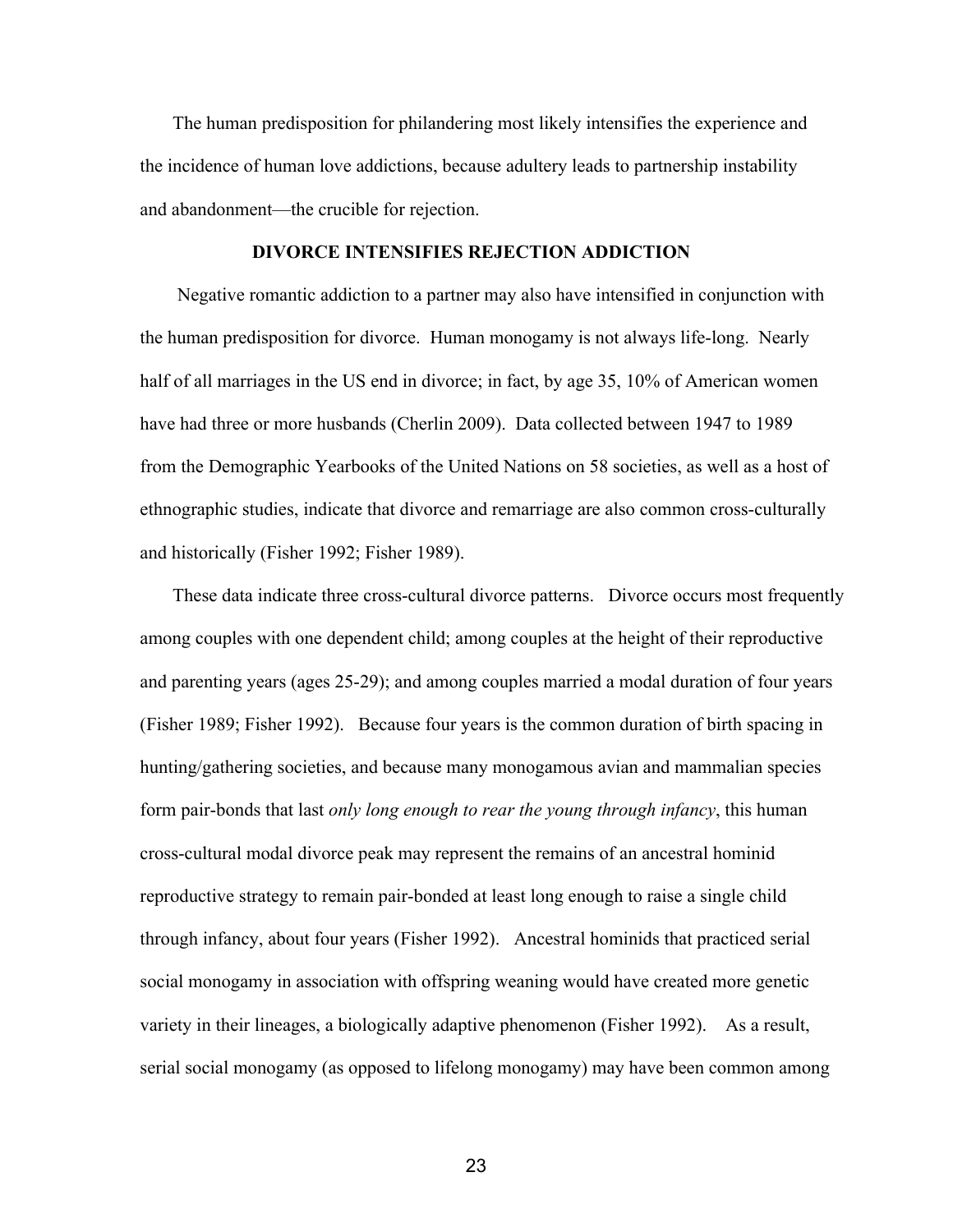The human predisposition for philandering most likely intensifies the experience and the incidence of human love addictions, because adultery leads to partnership instability and abandonment—the crucible for rejection.

### **DIVORCE INTENSIFIES REJECTION ADDICTION**

Negative romantic addiction to a partner may also have intensified in conjunction with the human predisposition for divorce. Human monogamy is not always life-long. Nearly half of all marriages in the US end in divorce; in fact, by age 35, 10% of American women have had three or more husbands (Cherlin 2009). Data collected between 1947 to 1989 from the Demographic Yearbooks of the United Nations on 58 societies, as well as a host of ethnographic studies, indicate that divorce and remarriage are also common cross-culturally and historically (Fisher 1992; Fisher 1989).

These data indicate three cross-cultural divorce patterns. Divorce occurs most frequently among couples with one dependent child; among couples at the height of their reproductive and parenting years (ages 2529); and among couples married a modal duration of four years (Fisher 1989; Fisher 1992). Because four years is the common duration of birth spacing in hunting/gathering societies, and because many monogamous avian and mammalian species form pair-bonds that last *only long enough to rear the young through infancy*, this human cross-cultural modal divorce peak may represent the remains of an ancestral hominid reproductive strategy to remain pair-bonded at least long enough to raise a single child through infancy, about four years (Fisher 1992). Ancestral hominids that practiced serial social monogamy in association with offspring weaning would have created more genetic variety in their lineages, a biologically adaptive phenomenon (Fisher 1992). As a result, serial social monogamy (as opposed to lifelong monogamy) may have been common among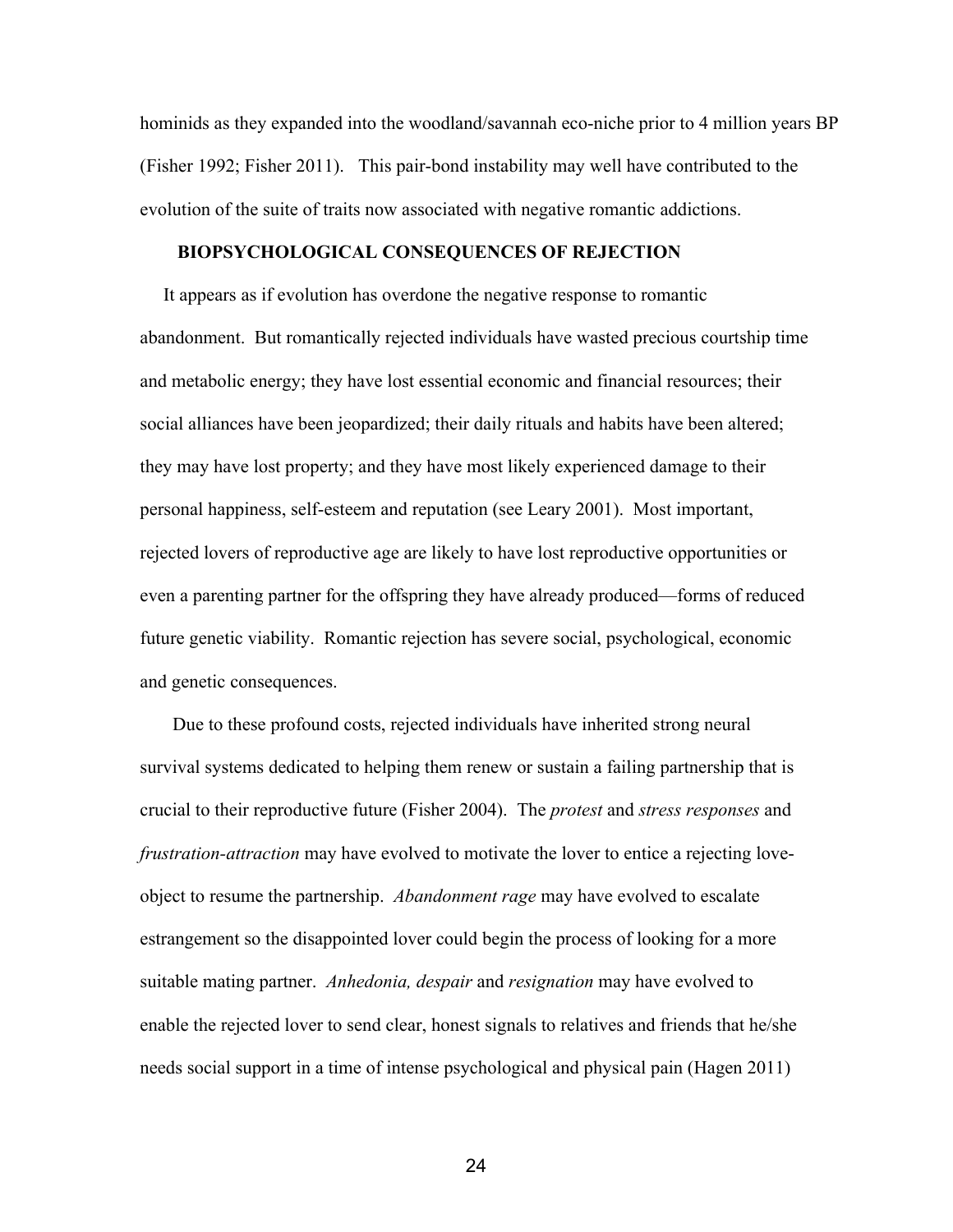hominids as they expanded into the woodland/savannah eco-niche prior to 4 million years BP (Fisher 1992; Fisher 2011). This pair-bond instability may well have contributed to the evolution of the suite of traits now associated with negative romantic addictions.

### **BIOPSYCHOLOGICAL CONSEQUENCES OF REJECTION**

 It appears as if evolution has overdone the negative response to romantic abandonment. But romantically rejected individuals have wasted precious courtship time and metabolic energy; they have lost essential economic and financial resources; their social alliances have been jeopardized; their daily rituals and habits have been altered; they may have lost property; and they have most likely experienced damage to their personal happiness, self-esteem and reputation (see Leary 2001). Most important, rejected lovers of reproductive age are likely to have lost reproductive opportunities or even a parenting partner for the offspring they have already produced—forms of reduced future genetic viability. Romantic rejection has severe social, psychological, economic and genetic consequences.

Due to these profound costs, rejected individuals have inherited strong neural survival systems dedicated to helping them renew or sustain a failing partnership that is crucial to their reproductive future (Fisher 2004). The *protest* and *stress responses* and *frustration-attraction* may have evolved to motivate the lover to entice a rejecting loveobject to resume the partnership. *Abandonment rage* may have evolved to escalate estrangement so the disappointed lover could begin the process of looking for a more suitable mating partner. *Anhedonia, despair* and *resignation* may have evolved to enable the rejected lover to send clear, honest signals to relatives and friends that he/she needs social support in a time of intense psychological and physical pain (Hagen 2011)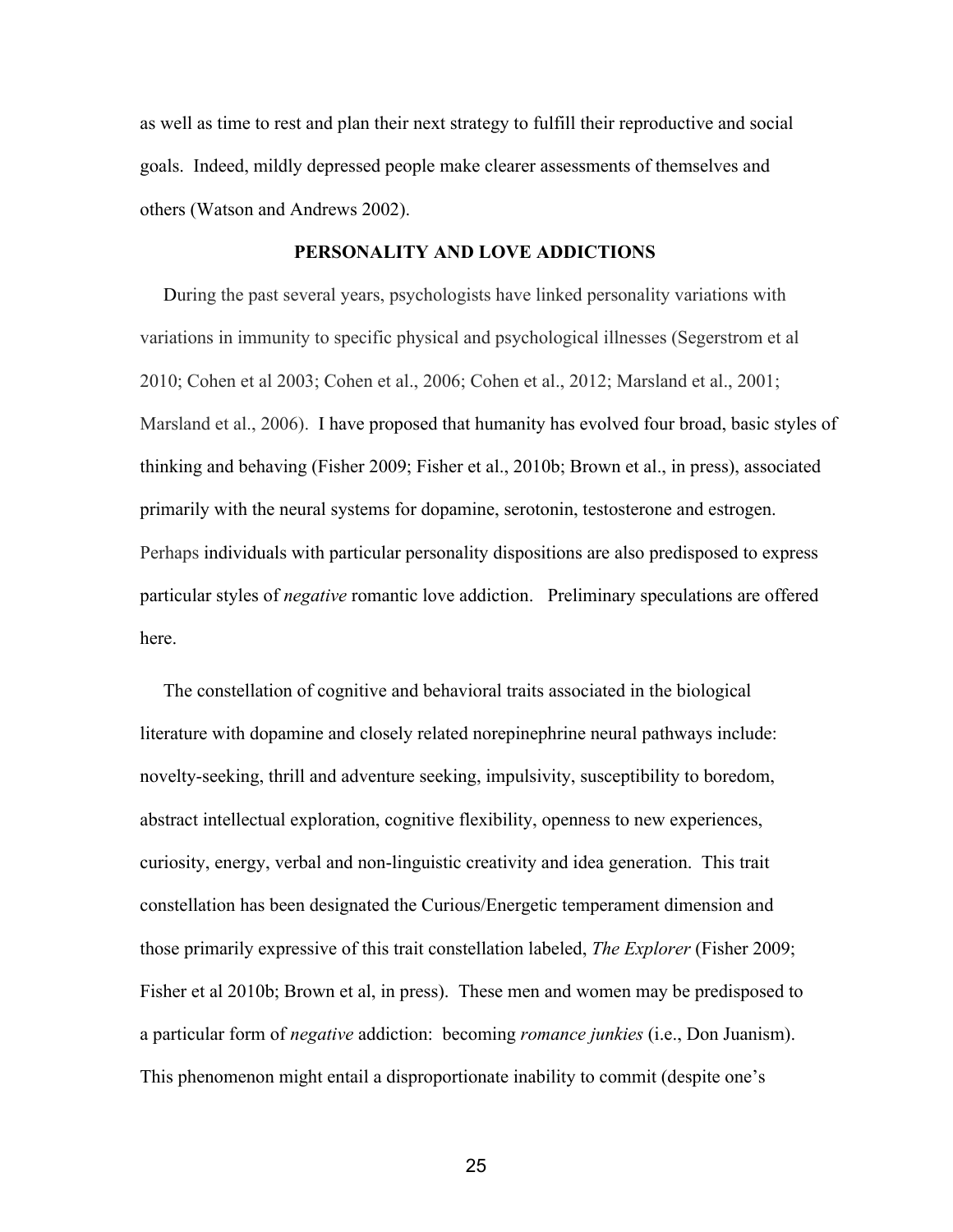as well as time to rest and plan their next strategy to fulfill their reproductive and social goals. Indeed, mildly depressed people make clearer assessments of themselves and others (Watson and Andrews 2002).

# **PERSONALITY AND LOVE ADDICTIONS**

 During the past several years, psychologists have linked personality variations with variations in immunity to specific physical and psychological illnesses (Segerstrom et al 2010; Cohen et al 2003; Cohen et al., 2006; Cohen et al., 2012; Marsland et al., 2001; Marsland et al., 2006). I have proposed that humanity has evolved four broad, basic styles of thinking and behaving (Fisher 2009; Fisher et al., 2010b; Brown et al., in press), associated primarily with the neural systems for dopamine, serotonin, testosterone and estrogen. Perhaps individuals with particular personality dispositions are also predisposed to express particular styles of *negative* romantic love addiction. Preliminary speculations are offered here.

 The constellation of cognitive and behavioral traits associated in the biological literature with dopamine and closely related norepinephrine neural pathways include: novelty-seeking, thrill and adventure seeking, impulsivity, susceptibility to boredom, abstract intellectual exploration, cognitive flexibility, openness to new experiences, curiosity, energy, verbal and non-linguistic creativity and idea generation. This trait constellation has been designated the Curious/Energetic temperament dimension and those primarily expressive of this trait constellation labeled, *The Explorer* (Fisher 2009; Fisher et al 2010b; Brown et al, in press). These men and women may be predisposed to a particular form of *negative* addiction: becoming *romance junkies* (i.e., Don Juanism). This phenomenon might entail a disproportionate inability to commit (despite one's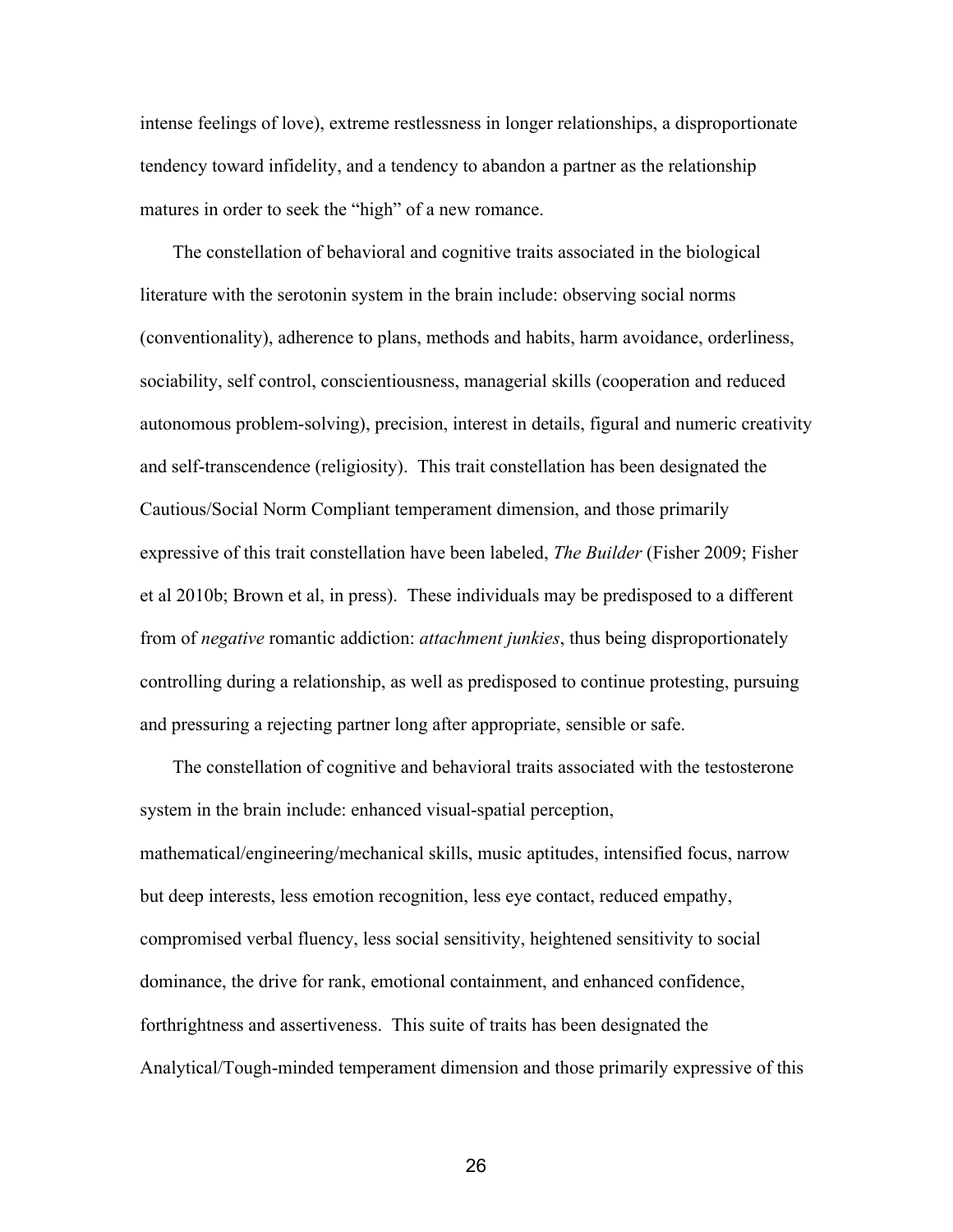intense feelings of love), extreme restlessness in longer relationships, a disproportionate tendency toward infidelity, and a tendency to abandon a partner as the relationship matures in order to seek the "high" of a new romance.

 The constellation of behavioral and cognitive traits associated in the biological literature with the serotonin system in the brain include: observing social norms (conventionality), adherence to plans, methods and habits, harm avoidance, orderliness, sociability, self control, conscientiousness, managerial skills (cooperation and reduced autonomous problemsolving), precision, interest in details, figural and numeric creativity and self-transcendence (religiosity). This trait constellation has been designated the Cautious/Social Norm Compliant temperament dimension, and those primarily expressive of this trait constellation have been labeled, *The Builder* (Fisher 2009; Fisher et al 2010b; Brown et al, in press). These individuals may be predisposed to a different from of *negative* romantic addiction: *attachment junkies*, thus being disproportionately controlling during a relationship, as well as predisposed to continue protesting, pursuing and pressuring a rejecting partner long after appropriate, sensible or safe.

 The constellation of cognitive and behavioral traits associated with the testosterone system in the brain include: enhanced visual-spatial perception, mathematical/engineering/mechanical skills, music aptitudes, intensified focus, narrow but deep interests, less emotion recognition, less eye contact, reduced empathy, compromised verbal fluency, less social sensitivity, heightened sensitivity to social dominance, the drive for rank, emotional containment, and enhanced confidence, forthrightness and assertiveness. This suite of traits has been designated the Analytical/Tough-minded temperament dimension and those primarily expressive of this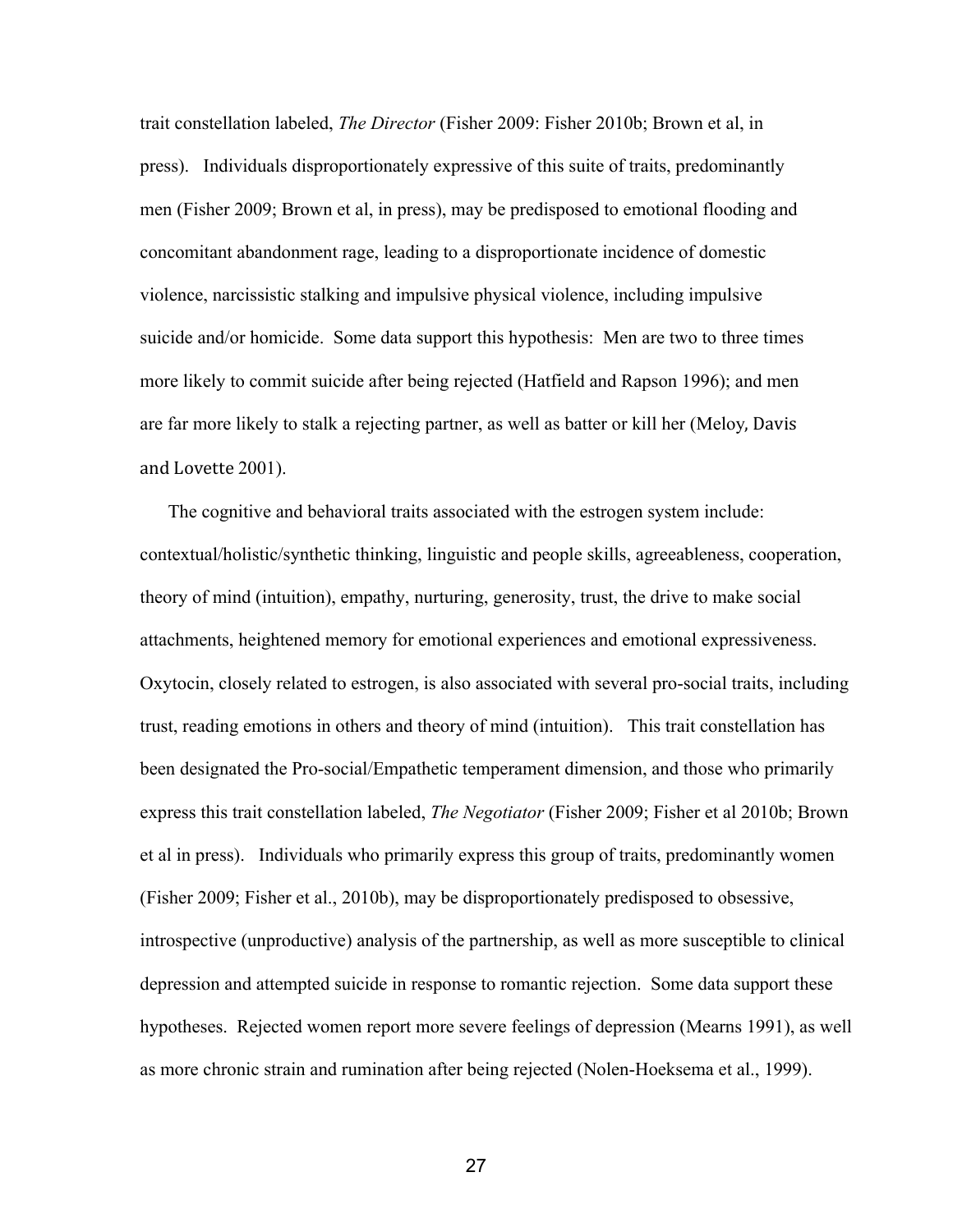trait constellation labeled, *The Director* (Fisher 2009: Fisher 2010b; Brown et al, in press). Individuals disproportionately expressive of this suite of traits, predominantly men (Fisher 2009; Brown et al, in press), may be predisposed to emotional flooding and concomitant abandonment rage, leading to a disproportionate incidence of domestic violence, narcissistic stalking and impulsive physical violence, including impulsive suicide and/or homicide. Some data support this hypothesis: Men are two to three times more likely to commit suicide after being rejected (Hatfield and Rapson 1996); and men are far more likely to stalk a rejecting partner, as well as batter or kill her (Meloy, Davis and Lovette 2001).

 The cognitive and behavioral traits associated with the estrogen system include: contextual/holistic/synthetic thinking, linguistic and people skills, agreeableness, cooperation, theory of mind (intuition), empathy, nurturing, generosity, trust, the drive to make social attachments, heightened memory for emotional experiences and emotional expressiveness. Oxytocin, closely related to estrogen, is also associated with several pro-social traits, including trust, reading emotions in others and theory of mind (intuition). This trait constellation has been designated the Pro-social/Empathetic temperament dimension, and those who primarily express this trait constellation labeled, *The Negotiator* (Fisher 2009; Fisher et al 2010b; Brown et al in press). Individuals who primarily express this group of traits, predominantly women (Fisher 2009; Fisher et al., 2010b), may be disproportionately predisposed to obsessive, introspective (unproductive) analysis of the partnership, as well as more susceptible to clinical depression and attempted suicide in response to romantic rejection. Some data support these hypotheses. Rejected women report more severe feelings of depression (Mearns 1991), as well as more chronic strain and rumination after being rejected (Nolen-Hoeksema et al., 1999).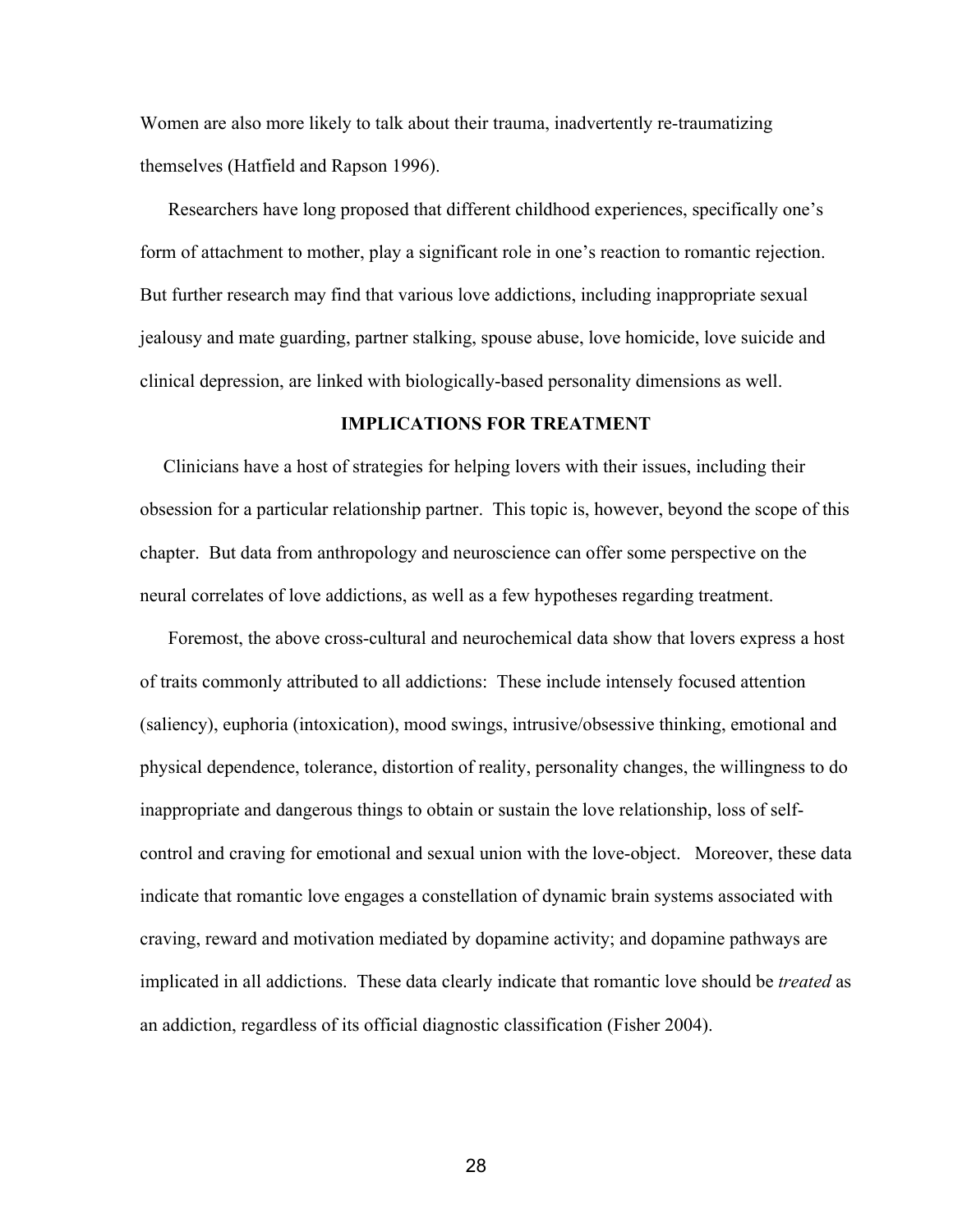Women are also more likely to talk about their trauma, inadvertently re-traumatizing themselves (Hatfield and Rapson 1996).

 Researchers have long proposed that different childhood experiences, specifically one's form of attachment to mother, play a significant role in one's reaction to romantic rejection. But further research may find that various love addictions, including inappropriate sexual jealousy and mate guarding, partner stalking, spouse abuse, love homicide, love suicide and clinical depression, are linked with biologicallybased personality dimensions as well.

# **IMPLICATIONS FOR TREATMENT**

 Clinicians have a host of strategies for helping lovers with their issues, including their obsession for a particular relationship partner. This topic is, however, beyond the scope of this chapter. But data from anthropology and neuroscience can offer some perspective on the neural correlates of love addictions, as well as a few hypotheses regarding treatment.

Foremost, the above cross-cultural and neurochemical data show that lovers express a host of traits commonly attributed to all addictions: These include intensely focused attention (saliency), euphoria (intoxication), mood swings, intrusive/obsessive thinking, emotional and physical dependence, tolerance, distortion of reality, personality changes, the willingness to do inappropriate and dangerous things to obtain or sustain the love relationship, loss of selfcontrol and craving for emotional and sexual union with the love-object. Moreover, these data indicate that romantic love engages a constellation of dynamic brain systems associated with craving, reward and motivation mediated by dopamine activity; and dopamine pathways are implicated in all addictions. These data clearly indicate that romantic love should be *treated* as an addiction, regardless of its official diagnostic classification (Fisher 2004).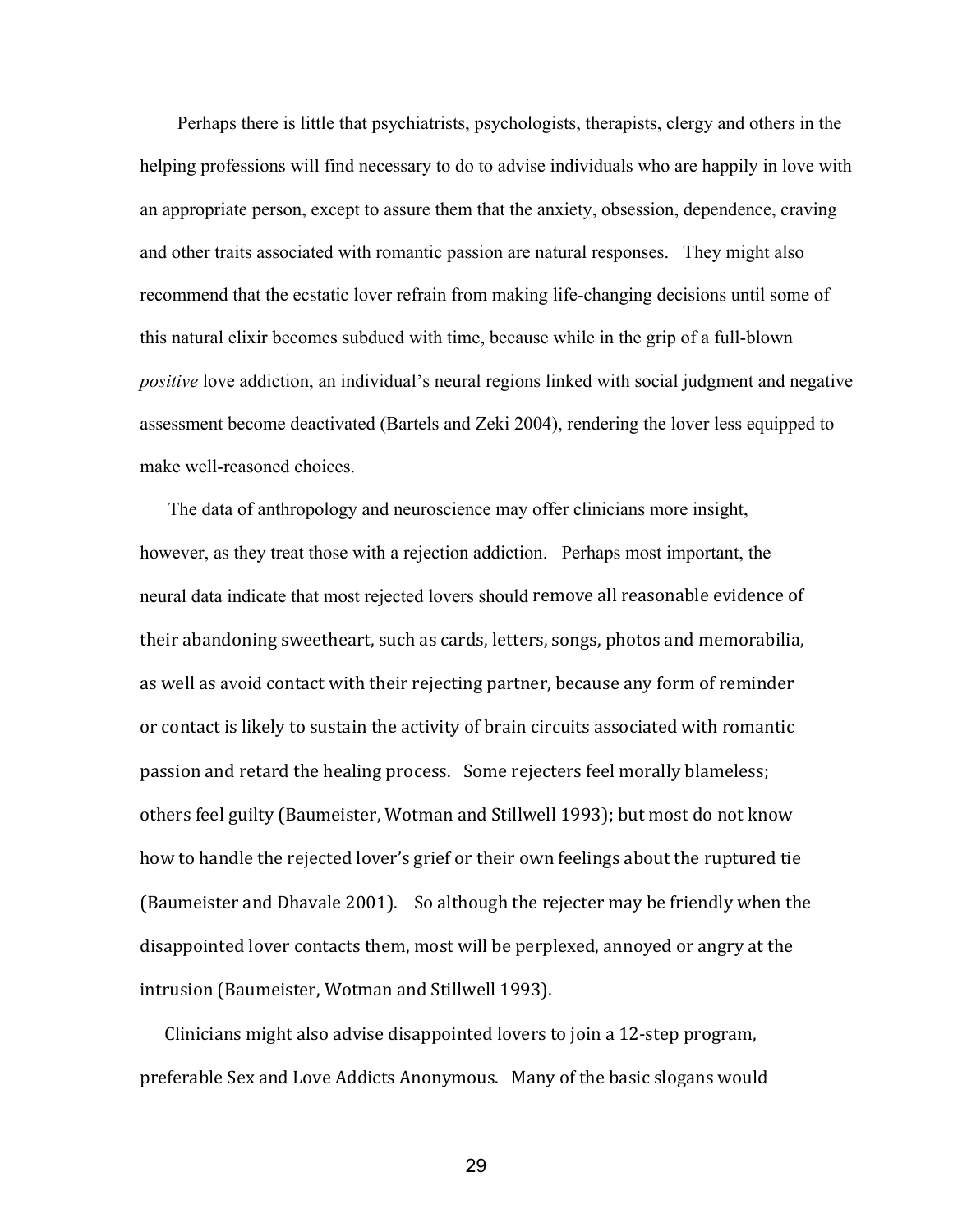Perhaps there is little that psychiatrists, psychologists, therapists, clergy and others in the helping professions will find necessary to do to advise individuals who are happily in love with an appropriate person, except to assure them that the anxiety, obsession, dependence, craving and other traits associated with romantic passion are natural responses. They might also recommend that the ecstatic lover refrain from making life-changing decisions until some of this natural elixir becomes subdued with time, because while in the grip of a full-blown *positive* love addiction, an individual's neural regions linked with social judgment and negative assessment become deactivated (Bartels and Zeki 2004), rendering the lover less equipped to make well-reasoned choices.

 The data of anthropology and neuroscience may offer clinicians more insight, however, as they treat those with a rejection addiction. Perhaps most important, the neural data indicate that most rejected lovers should remove all reasonable evidence of their abandoning sweetheart, such as cards, letters, songs, photos and memorabilia, as well as avoid contact with their rejecting partner, because any form of reminder or contact is likely to sustain the activity of brain circuits associated with romantic passion and retard the healing process. Some rejecters feel morally blameless; others feel guilty (Baumeister, Wotman and Stillwell 1993); but most do not know how to handle the rejected lover's grief or their own feelings about the ruptured tie (Baumeister and Dhavale 2001). So although the rejecter may be friendly when the disappointed lover contacts them, most will be perplexed, annoyed or angry at the intrusion (Baumeister, Wotman and Stillwell 1993).

 Clinicians might also advise disappointed lovers to join a 12‐step program, preferable Sex and Love Addicts Anonymous. Many of the basic slogans would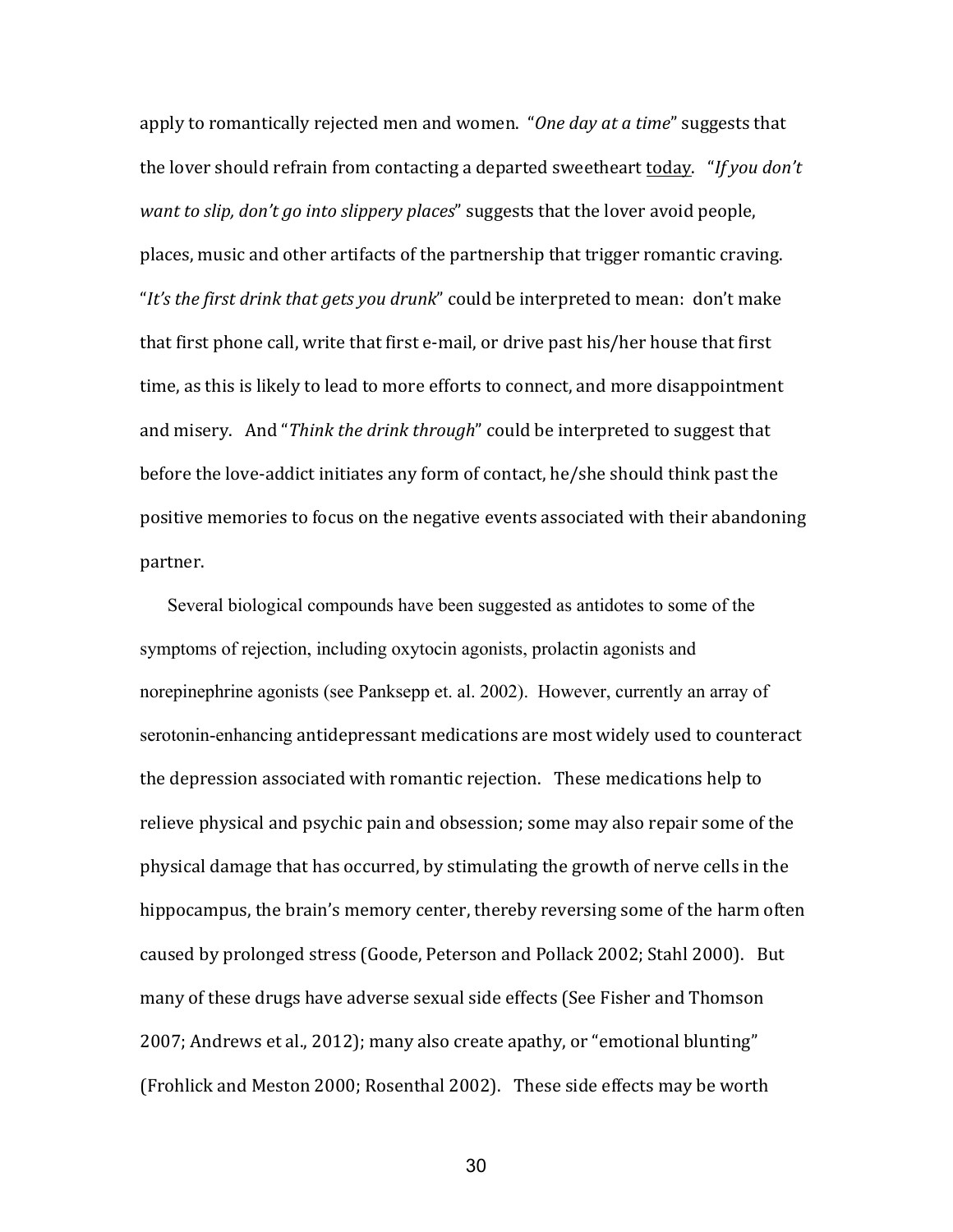apply to romantically rejected men and women. "*One day at a time*" suggests that the lover should refrain from contacting a departed sweetheart today. "*If you don't want to slip, don't go into slippery places*" suggests that the lover avoid people, places, music and other artifacts of the partnership that trigger romantic craving. "*It's the first drink that gets you drunk*" could be interpreted to mean: don't make that first phone call, write that first e‐mail, or drive past his/her house that first time, as this is likely to lead to more efforts to connect, and more disappointment and misery. And "*Think the drink through*" could be interpreted to suggest that before the love-addict initiates any form of contact, he/she should think past the positive memories to focus on the negative events associated with their abandoning partner.

 Several biological compounds have been suggested as antidotes to some of the symptoms of rejection, including oxytocin agonists, prolactin agonists and norepinephrine agonists (see Panksepp et. al. 2002). However, currently an array of serotonin-enhancing antidepressant medications are most widely used to counteract the depression associated with romantic rejection. These medications help to relieve physical and psychic pain and obsession; some may also repair some of the physical damage that has occurred, by stimulating the growth of nerve cells in the hippocampus, the brain's memory center, thereby reversing some of the harm often caused by prolonged stress (Goode, Peterson and Pollack 2002; Stahl 2000). But many of these drugs have adverse sexual side effects (See Fisher and Thomson 2007; Andrews et al., 2012); many also create apathy, or "emotional blunting" (Frohlick and Meston 2000; Rosenthal 2002). These side effects may be worth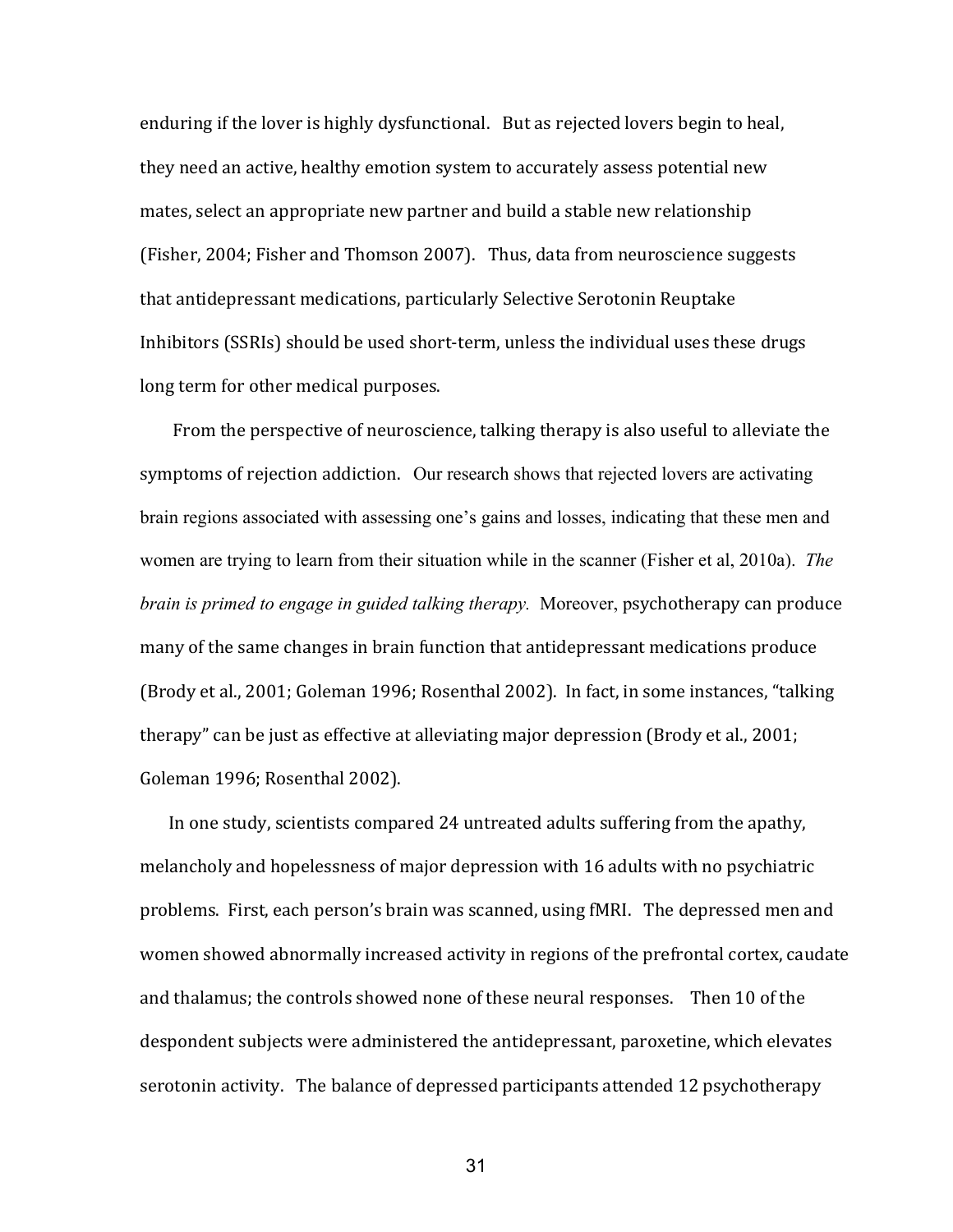enduring if the lover is highly dysfunctional. But as rejected lovers begin to heal, they need an active, healthy emotion system to accurately assess potential new mates, select an appropriate new partner and build a stable new relationship (Fisher, 2004; Fisher and Thomson 2007). Thus, data from neuroscience suggests that antidepressant medications, particularly Selective Serotonin Reuptake Inhibitors (SSRIs) should be used short-term, unless the individual uses these drugs long term for other medical purposes.

 From the perspective of neuroscience, talking therapy is also useful to alleviate the symptoms of rejection addiction. Our research shows that rejected lovers are activating brain regions associated with assessing one's gains and losses, indicating that these men and women are trying to learn from their situation while in the scanner (Fisher et al, 2010a). *The brain is primed to engage in guided talking therapy.* Moreover, psychotherapy can produce many of the same changes in brain function that antidepressant medications produce (Brody et al., 2001; Goleman 1996; Rosenthal 2002). In fact, in some instances, "talking therapy" can be just as effective at alleviating major depression (Brody et al., 2001; Goleman 1996; Rosenthal 2002).

In one study, scientists compared 24 untreated adults suffering from the apathy, melancholy and hopelessness of major depression with 16 adults with no psychiatric problems. First, each person's brain was scanned, using fMRI. The depressed men and women showed abnormally increased activity in regions of the prefrontal cortex, caudate and thalamus; the controls showed none of these neural responses. Then 10 of the despondent subjects were administered the antidepressant, paroxetine, which elevates serotonin activity. The balance of depressed participants attended 12 psychotherapy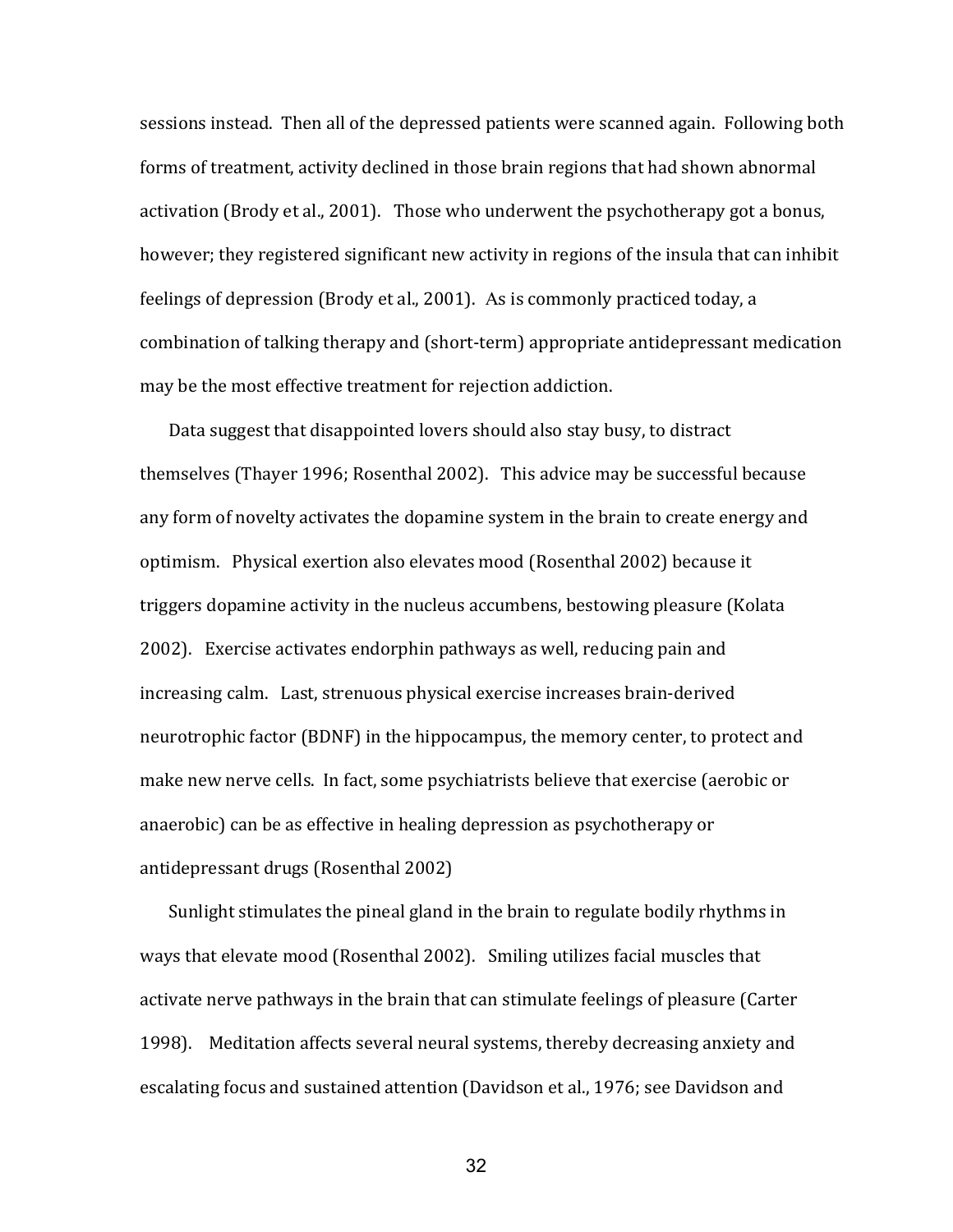sessions instead. Then all of the depressed patients were scanned again. Following both forms of treatment, activity declined in those brain regions that had shown abnormal activation (Brody et al., 2001). Those who underwent the psychotherapy got a bonus, however; they registered significant new activity in regions of the insula that can inhibit feelings of depression (Brody et al., 2001). As is commonly practiced today, a combination of talking therapy and (short‐term) appropriate antidepressant medication may be the most effective treatment for rejection addiction.

 Data suggest that disappointed lovers should also stay busy, to distract themselves (Thayer 1996; Rosenthal 2002). This advice may be successful because any form of novelty activates the dopamine system in the brain to create energy and optimism. Physical exertion also elevates mood (Rosenthal 2002) because it triggers dopamine activity in the nucleus accumbens, bestowing pleasure (Kolata 2002). Exercise activates endorphin pathways as well, reducing pain and increasing calm. Last, strenuous physical exercise increases brain‐derived neurotrophic factor (BDNF) in the hippocampus, the memory center, to protect and make new nerve cells. In fact, some psychiatrists believe that exercise (aerobic or anaerobic) can be as effective in healing depression as psychotherapy or antidepressant drugs (Rosenthal 2002)

 Sunlight stimulates the pineal gland in the brain to regulate bodily rhythms in ways that elevate mood (Rosenthal 2002). Smiling utilizes facial muscles that activate nerve pathways in the brain that can stimulate feelings of pleasure (Carter 1998). Meditation affects several neural systems, thereby decreasing anxiety and escalating focus and sustained attention (Davidson et al., 1976; see Davidson and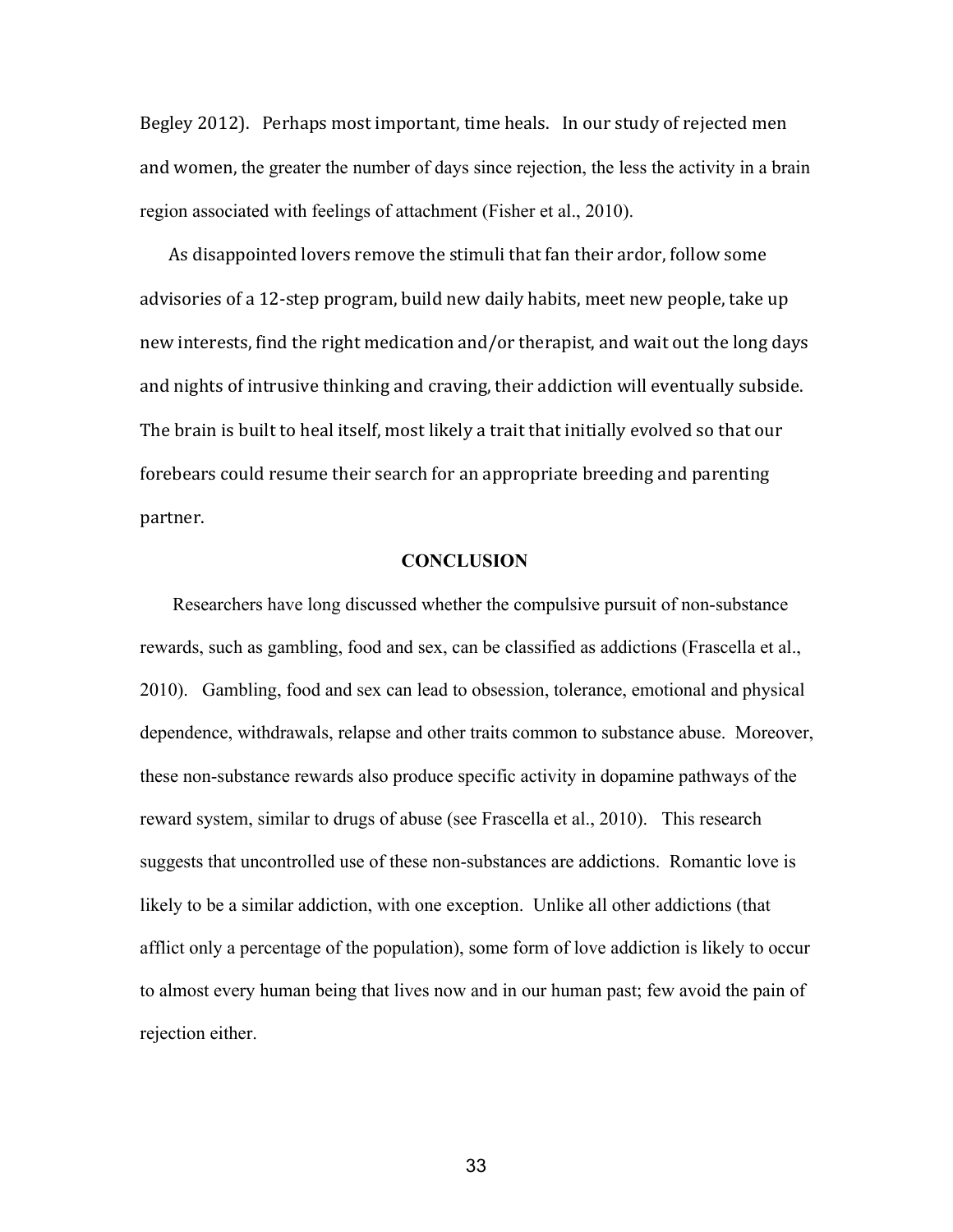Begley 2012). Perhaps most important, time heals. In our study of rejected men and women, the greater the number of days since rejection, the less the activity in a brain region associated with feelings of attachment (Fisher et al., 2010).

 As disappointed lovers remove the stimuli that fan their ardor, follow some advisories of a 12‐step program, build new daily habits, meet new people, take up new interests, find the right medication and/or therapist, and wait out the long days and nights of intrusive thinking and craving, their addiction will eventually subside. The brain is built to heal itself, most likely a trait that initially evolved so that our forebears could resume their search for an appropriate breeding and parenting partner.

# **CONCLUSION**

Researchers have long discussed whether the compulsive pursuit of non-substance rewards, such as gambling, food and sex, can be classified as addictions (Frascella et al., 2010). Gambling, food and sex can lead to obsession, tolerance, emotional and physical dependence, withdrawals, relapse and other traits common to substance abuse. Moreover, these nonsubstance rewards also produce specific activity in dopamine pathways of the reward system, similar to drugs of abuse (see Frascella et al., 2010). This research suggests that uncontrolled use of these non-substances are addictions. Romantic love is likely to be a similar addiction, with one exception. Unlike all other addictions (that afflict only a percentage of the population), some form of love addiction is likely to occur to almost every human being that lives now and in our human past; few avoid the pain of rejection either.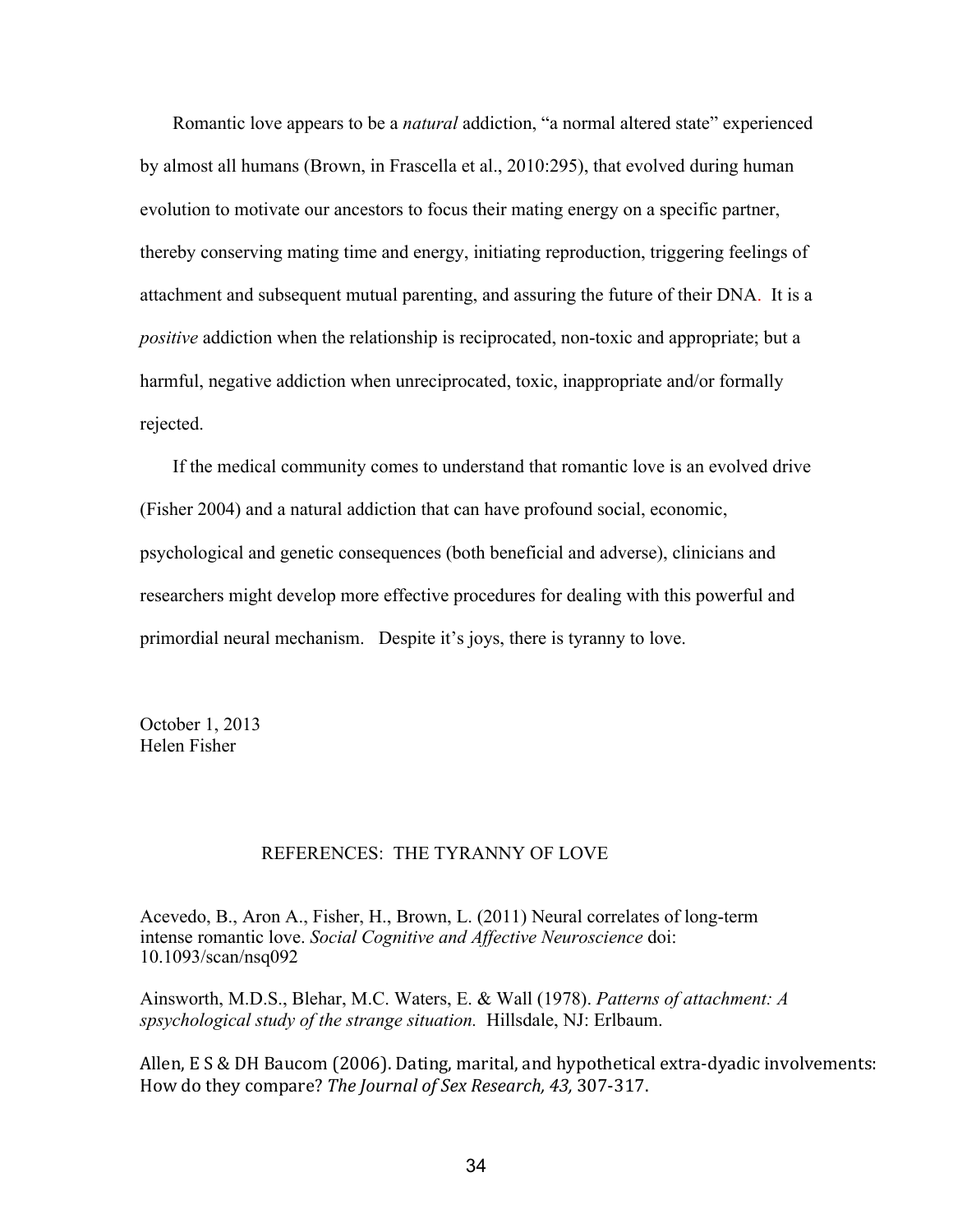Romantic love appears to be a *natural* addiction, "a normal altered state" experienced by almost all humans (Brown, in Frascella et al., 2010:295), that evolved during human evolution to motivate our ancestors to focus their mating energy on a specific partner, thereby conserving mating time and energy, initiating reproduction, triggering feelings of attachment and subsequent mutual parenting, and assuring the future of their DNA. It is a *positive* addiction when the relationship is reciprocated, non-toxic and appropriate; but a harmful, negative addiction when unreciprocated, toxic, inappropriate and/or formally rejected.

 If the medical community comes to understand that romantic love is an evolved drive (Fisher 2004) and a natural addiction that can have profound social, economic, psychological and genetic consequences (both beneficial and adverse), clinicians and researchers might develop more effective procedures for dealing with this powerful and primordial neural mechanism. Despite it's joys, there is tyranny to love.

October 1, 2013 Helen Fisher

# REFERENCES: THE TYRANNY OF LOVE

Acevedo, B., Aron A., Fisher, H., Brown, L.  $(2011)$  Neural correlates of long-term intense romantic love. *Social Cognitive and Affective Neuroscience* doi: 10.1093/scan/nsq092

Ainsworth, M.D.S., Blehar, M.C. Waters, E. & Wall (1978). *Patterns of attachment: A spsychological study of the strange situation.*  Hillsdale, NJ: Erlbaum.

Allen, E S & DH Baucom (2006). Dating, marital, and hypothetical extra‐dyadic involvements: How do they compare? *The Journal of Sex Research, 43,* 307‐317.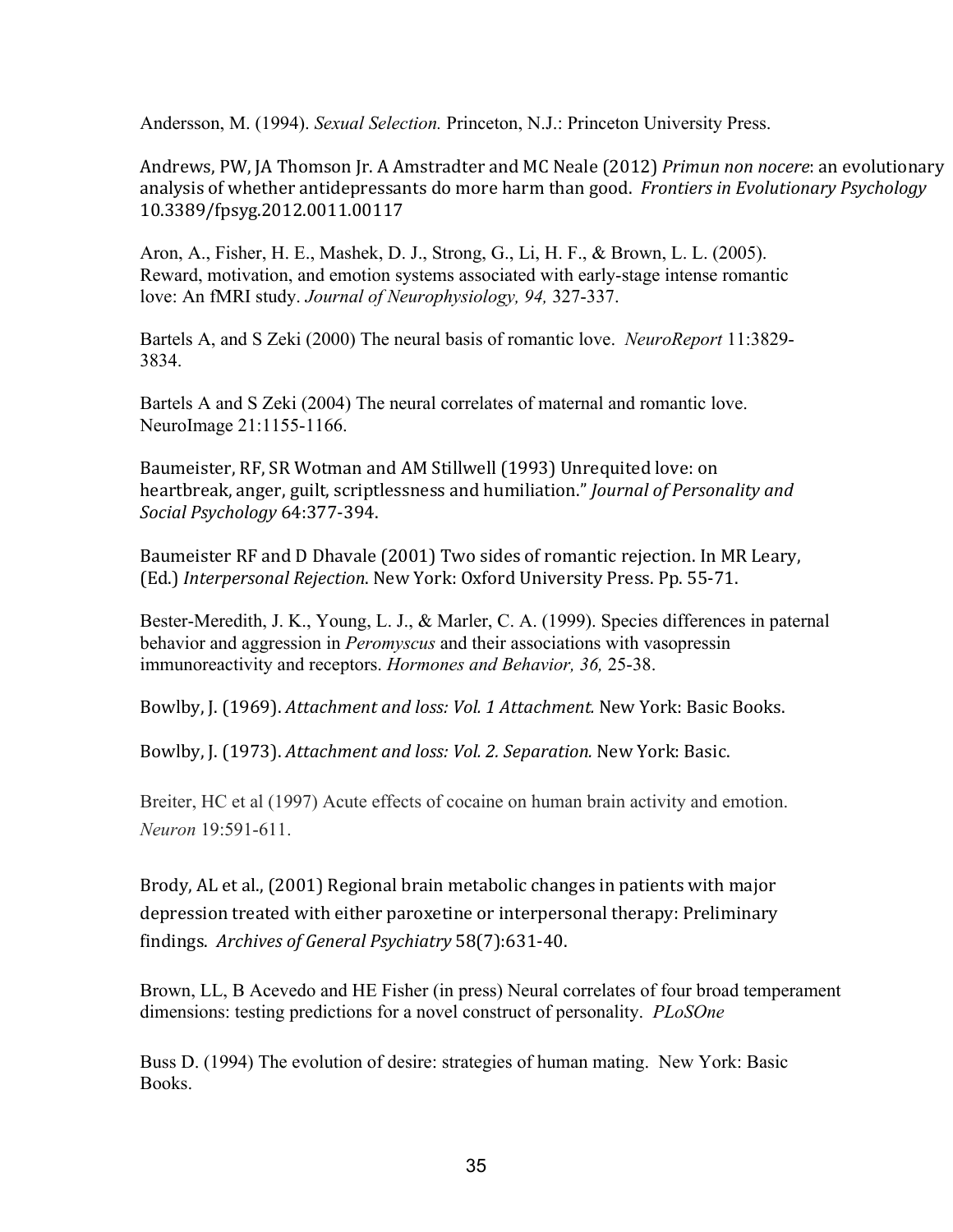Andersson, M. (1994). *Sexual Selection.* Princeton, N.J.: Princeton University Press.

Andrews, PW, JA Thomson Jr. A Amstradter and MC Neale (2012) *Primun non nocere*: an evolutionary analysis of whether antidepressants do more harm than good. *Frontiers in Evolutionary Psychology* 10.3389/fpsyg.2012.0011.00117

Aron, A., Fisher, H. E., Mashek, D. J., Strong, G., Li, H. F., & Brown, L. L. (2005). Reward, motivation, and emotion systems associated with early-stage intense romantic love: An fMRI study. *Journal of Neurophysiology*, 94, 327-337.

Bartels A, and S Zeki (2000) The neural basis of romantic love. *NeuroReport* 11:3829 3834.

Bartels A and S Zeki (2004) The neural correlates of maternal and romantic love. NeuroImage 21:1155-1166.

Baumeister, RF, SR Wotman and AM Stillwell (1993) Unrequited love: on heartbreak, anger, guilt, scriptlessness and humiliation." *Journal of Personality and Social Psychology* 64:377‐394.

Baumeister RF and D Dhavale (2001) Two sides of romantic rejection. In MR Leary, (Ed.) *Interpersonal Rejection*. New York: Oxford University Press. Pp. 55‐71.

Bester-Meredith, J. K., Young, L. J., & Marler, C. A. (1999). Species differences in paternal behavior and aggression in *Peromyscus* and their associations with vasopressin immunoreactivity and receptors. *Hormones and Behavior*, 36, 25-38.

Bowlby, J. (1969). *Attachment and loss: Vol. 1 Attachment.* New York: Basic Books.

Bowlby, J. (1973). *Attachment and loss: Vol. 2. Separation.* New York: Basic.

Breiter, HC et al (1997) Acute effects of cocaine on human brain activity and emotion. *Neuron* 19:591-611.

Brody, AL et al., (2001) Regional brain metabolic changes in patients with major depression treated with either paroxetine or interpersonal therapy: Preliminary findings. *Archives of General Psychiatry* 58(7):631‐40.

Brown, LL, B Acevedo and HE Fisher (in press) Neural correlates of four broad temperament dimensions: testing predictions for a novel construct of personality. *PLoSOne*

Buss D. (1994) The evolution of desire: strategies of human mating. New York: Basic Books.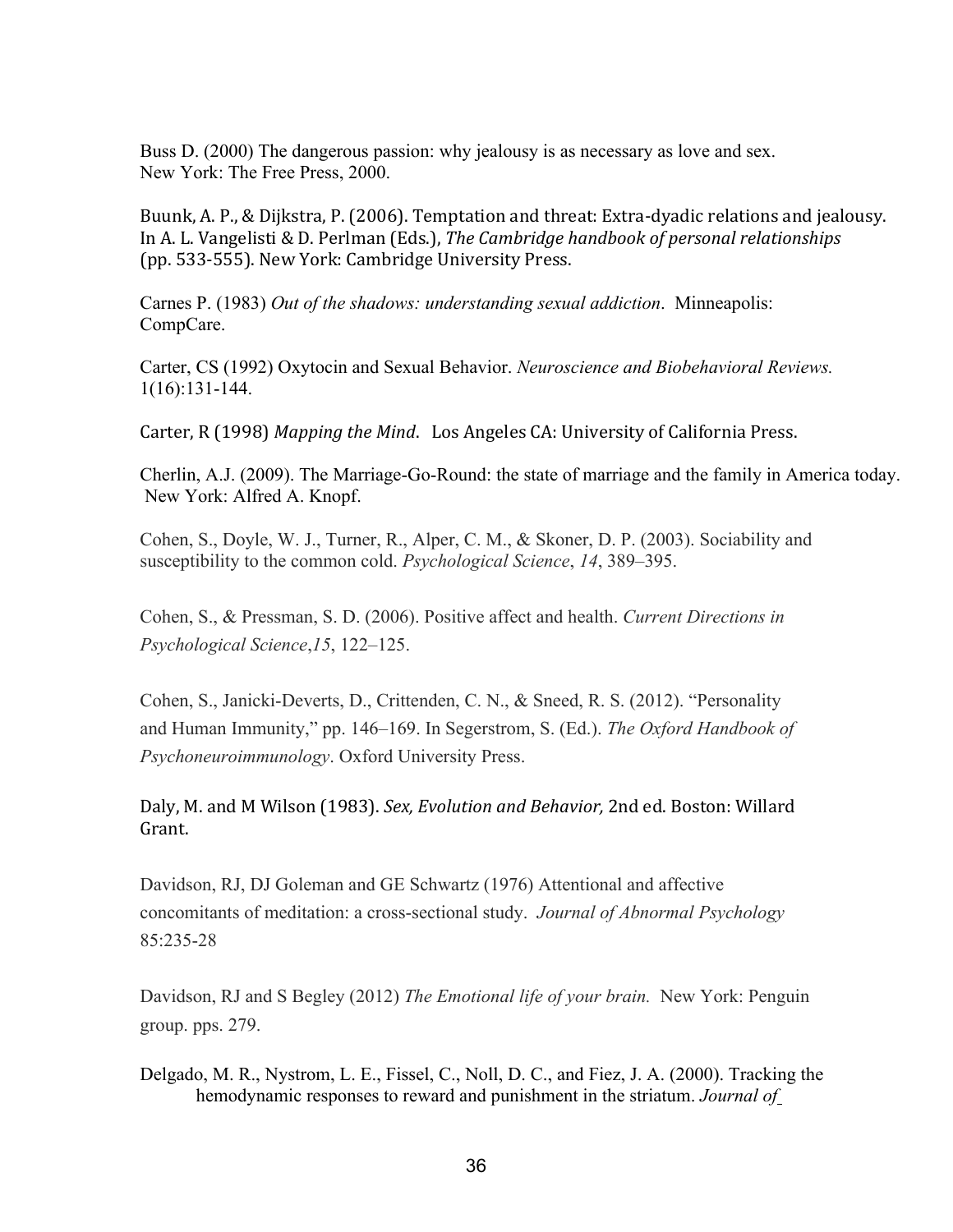Buss D. (2000) The dangerous passion: why jealousy is as necessary as love and sex. New York: The Free Press, 2000.

Buunk, A. P., & Dijkstra, P. (2006). Temptation and threat: Extra-dyadic relations and jealousy. In A. L. Vangelisti & D. Perlman (Eds.), *The Cambridge handbook of personal relationships* (pp. 533‐555). New York: Cambridge University Press.

Carnes P. (1983) *Out of the shadows: understanding sexual addiction*. Minneapolis: CompCare.

Carter, CS (1992) Oxytocin and Sexual Behavior. *Neuroscience and Biobehavioral Reviews.*  $1(16):131-144.$ 

Carter, R (1998) *Mapping the Mind*. Los Angeles CA: University of California Press.

Cherlin, A.J. (2009). The Marriage-Go-Round: the state of marriage and the family in America today. New York: Alfred A. Knopf.

Cohen, S., Doyle, W. J., Turner, R., Alper, C. M., & Skoner, D. P. (2003). Sociability and susceptibility to the common cold. *Psychological Science*, *14*, 389–395.

Cohen, S., & Pressman, S. D. (2006). Positive affect and health. *Current Directions in Psychological Science*,*15*, 122–125.

Cohen, S., Janicki-Deverts, D., Crittenden, C. N., & Sneed, R. S. (2012). "Personality and Human Immunity," pp. 146–169. In Segerstrom, S. (Ed.). *The Oxford Handbook of Psychoneuroimmunology*. Oxford University Press.

Daly, M. and M Wilson (1983). *Sex, Evolution and Behavior,* 2nd ed. Boston: Willard Grant.

Davidson, RJ, DJ Goleman and GE Schwartz (1976) Attentional and affective concomitants of meditation: a cross-sectional study. Journal of Abnormal Psychology 85:23528

Davidson, RJ and S Begley (2012) *The Emotional life of your brain.* New York: Penguin group. pps. 279.

Delgado, M. R., Nystrom, L. E., Fissel, C., Noll, D. C., and Fiez, J. A. (2000). Tracking the hemodynamic responses to reward and punishment in the striatum. *Journal of*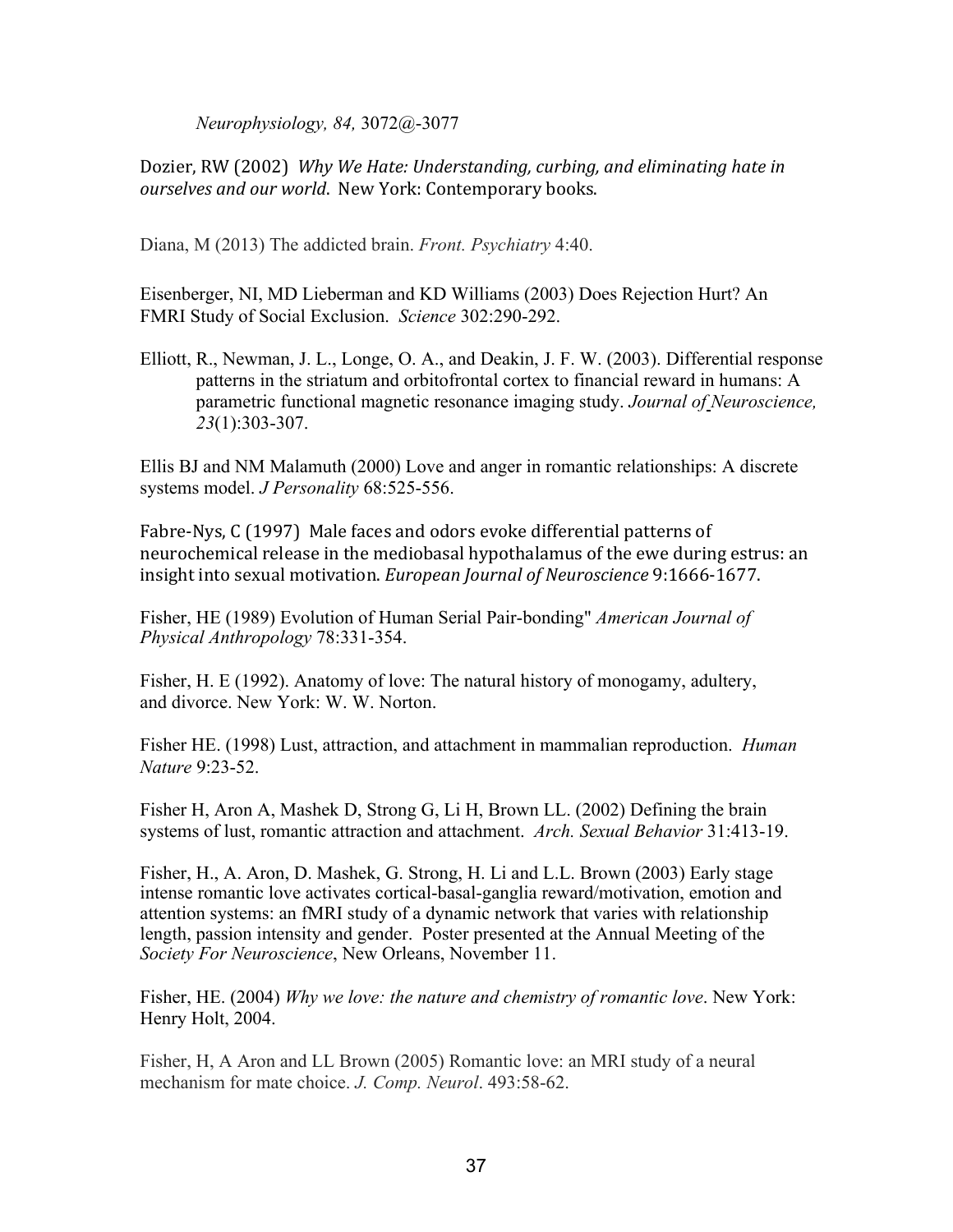*Neurophysiology, 84, 3072@-3077* 

Dozier, RW (2002) *Why We Hate: Understanding, curbing, and eliminating hate in ourselves and our world*. New York: Contemporary books.

Diana, M (2013) The addicted brain. *Front. Psychiatry* 4:40.

Eisenberger, NI, MD Lieberman and KD Williams (2003) Does Rejection Hurt? An FMRI Study of Social Exclusion. Science 302:290-292.

Elliott, R., Newman, J. L., Longe, O. A., and Deakin, J. F. W. (2003). Differential response patterns in the striatum and orbitofrontal cortex to financial reward in humans: A parametric functional magnetic resonance imaging study. *Journal of Neuroscience,*  23(1):303-307.

Ellis BJ and NM Malamuth (2000) Love and anger in romantic relationships: A discrete systems model. *J Personality* 68:525-556.

Fabre‐Nys, C (1997) Male faces and odors evoke differential patterns of neurochemical release in the mediobasal hypothalamus of the ewe during estrus: an insight into sexual motivation. *European Journal of Neuroscience* 9:1666‐1677.

Fisher, HE (1989) Evolution of Human Serial Pair-bonding" *American Journal of Physical Anthropology* 78:331-354.

Fisher, H. E (1992). Anatomy of love: The natural history of monogamy, adultery, and divorce. New York: W. W. Norton.

Fisher HE. (1998) Lust, attraction, and attachment in mammalian reproduction. *Human Nature* 9:23-52.

Fisher H, Aron A, Mashek D, Strong G, Li H, Brown LL. (2002) Defining the brain systems of lust, romantic attraction and attachment. *Arch. Sexual Behavior* 31:413-19.

Fisher, H., A. Aron, D. Mashek, G. Strong, H. Li and L.L. Brown (2003) Early stage intense romantic love activates cortical-basal-ganglia reward/motivation, emotion and attention systems: an fMRI study of a dynamic network that varies with relationship length, passion intensity and gender. Poster presented at the Annual Meeting of the *Society For Neuroscience*, New Orleans, November 11.

Fisher, HE. (2004) *Why we love: the nature and chemistry of romantic love*. New York: Henry Holt, 2004.

Fisher, H, A Aron and LL Brown (2005) Romantic love: an MRI study of a neural mechanism for mate choice. *J. Comp. Neurol*. 493:58-62.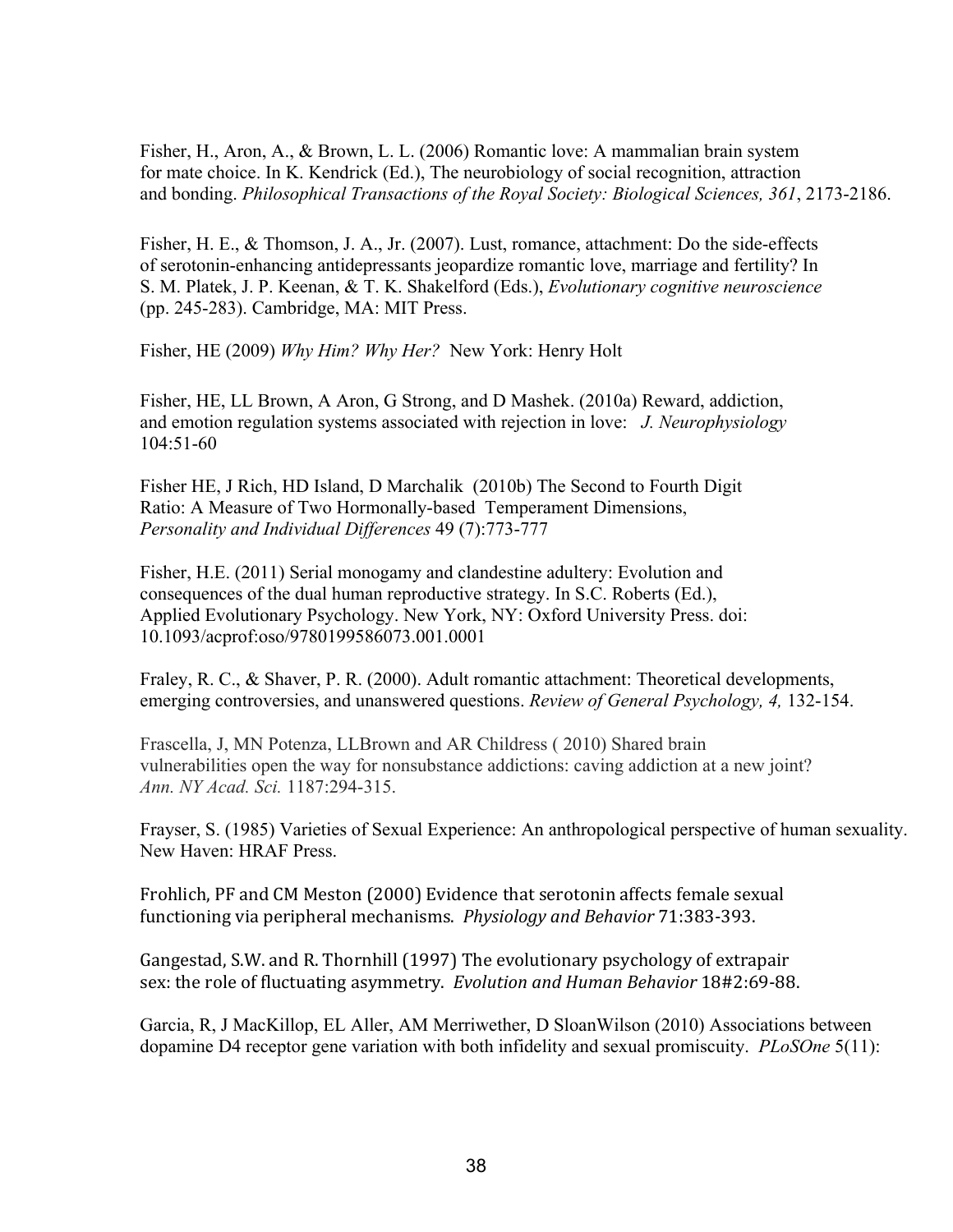Fisher, H., Aron, A., & Brown, L. L. (2006) Romantic love: A mammalian brain system for mate choice. In K. Kendrick (Ed.), The neurobiology of social recognition, attraction and bonding. *Philosophical Transactions of the Royal Society: Biological Sciences, 361, 2173-2186.* 

Fisher, H. E., & Thomson, J. A., Jr. (2007). Lust, romance, attachment: Do the side-effects of serotoninenhancing antidepressants jeopardize romantic love, marriage and fertility? In S. M. Platek, J. P. Keenan, & T. K. Shakelford (Eds.), *Evolutionary cognitive neuroscience* (pp. 245283). Cambridge, MA: MIT Press.

Fisher, HE (2009) *Why Him? Why Her?* New York: Henry Holt

Fisher, HE, LL Brown, A Aron, G Strong, and D Mashek. (2010a) Reward, addiction, and emotion regulation systems associated with rejection in love: *J. Neurophysiology*  $104:51-60$ 

Fisher HE, J Rich, HD Island, D Marchalik (2010b) The Second to Fourth Digit Ratio: A Measure of Two Hormonally-based Temperament Dimensions, *Personality and Individual Differences* 49 (7):773-777

Fisher, H.E. (2011) Serial monogamy and clandestine adultery: Evolution and consequences of the dual human reproductive strategy. In S.C. Roberts (Ed.), Applied Evolutionary Psychology. New York, NY: Oxford University Press. doi: 10.1093/acprof:oso/9780199586073.001.0001

Fraley, R. C., & Shaver, P. R. (2000). Adult romantic attachment: Theoretical developments, emerging controversies, and unanswered questions. *Review of General Psychology*, 4, 132-154.

Frascella, J, MN Potenza, LLBrown and AR Childress ( 2010) Shared brain vulnerabilities open the way for nonsubstance addictions: caving addiction at a new joint? Ann. NY Acad. Sci. 1187:294-315.

Frayser, S. (1985) Varieties of Sexual Experience: An anthropological perspective of human sexuality. New Haven: HRAF Press.

Frohlich, PF and CM Meston (2000) Evidence that serotonin affects female sexual functioning via peripheral mechanisms. *Physiology and Behavior* 71:383‐393.

Gangestad, S.W. and R. Thornhill (1997) The evolutionary psychology of extrapair sex: the role of fluctuating asymmetry. *Evolution and Human Behavior* 18#2:69‐88.

Garcia, R, J MacKillop, EL Aller, AM Merriwether, D SloanWilson (2010) Associations between dopamine D4 receptor gene variation with both infidelity and sexual promiscuity. *PLoSOne* 5(11):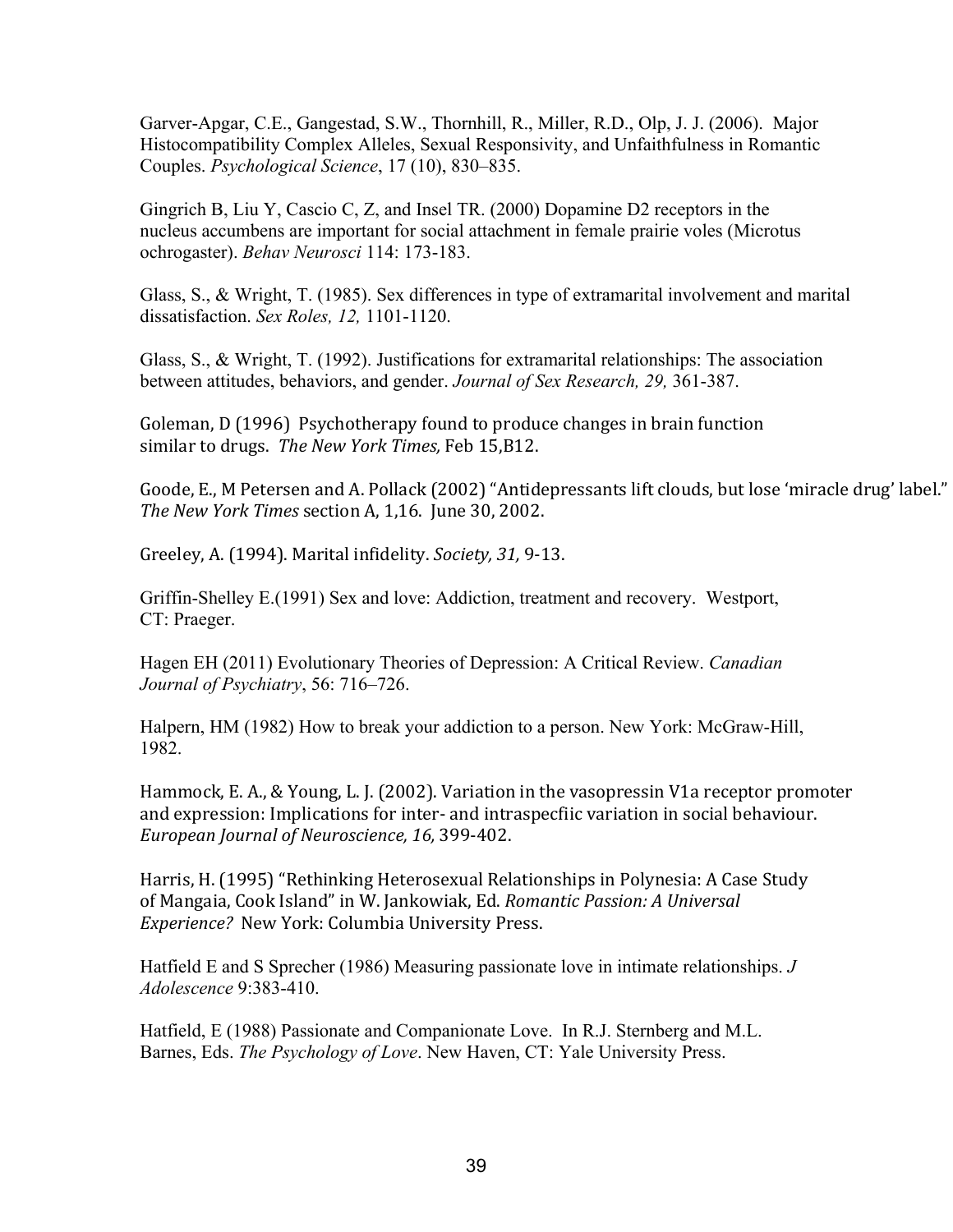Garver-Apgar, C.E., Gangestad, S.W., Thornhill, R., Miller, R.D., Olp, J. J. (2006). Maior Histocompatibility Complex Alleles, Sexual Responsivity, and Unfaithfulness in Romantic Couples. *Psychological Science*, 17 (10), 830–835.

Gingrich B, Liu Y, Cascio C, Z, and Insel TR. (2000) Dopamine D2 receptors in the nucleus accumbens are important for social attachment in female prairie voles (Microtus ochrogaster). *Behav Neurosci* 114: 173-183.

Glass, S., & Wright, T. (1985). Sex differences in type of extramarital involvement and marital dissatisfaction. *Sex Roles, 12,* 1101-1120.

Glass, S., & Wright, T. (1992). Justifications for extramarital relationships: The association between attitudes, behaviors, and gender. *Journal of Sex Research*, 29, 361-387.

Goleman, D (1996) Psychotherapy found to produce changes in brain function similar to drugs. *The New York Times,* Feb 15,B12.

Goode, E., M Petersen and A. Pollack (2002) "Antidepressants lift clouds, but lose 'miracle drug' label." *The New York Times* section A, 1,16. June 30, 2002.

Greeley, A. (1994). Marital infidelity. *Society, 31,* 9‐13.

Griffin-Shelley E.(1991) Sex and love: Addiction, treatment and recovery. Westport, CT: Praeger.

Hagen EH (2011) Evolutionary Theories of Depression: A Critical Review. *Canadian Journal of Psychiatry*, 56: 716–726.

Halpern, HM (1982) How to break your addiction to a person. New York: McGraw-Hill, 1982.

Hammock, E. A., & Young, L. J. (2002). Variation in the vasopressin V1a receptor promoter and expression: Implications for inter‐ and intraspecfiic variation in social behaviour. *European Journal of Neuroscience, 16,* 399‐402.

Harris, H. (1995) "Rethinking Heterosexual Relationships in Polynesia: A Case Study of Mangaia, Cook Island" in W. Jankowiak, Ed. *Romantic Passion: A Universal Experience?* New York: Columbia University Press.

Hatfield E and S Sprecher (1986) Measuring passionate love in intimate relationships. *J Adolescence* 9:383410.

Hatfield, E (1988) Passionate and Companionate Love. In R.J. Sternberg and M.L. Barnes, Eds. *The Psychology of Love*. New Haven, CT: Yale University Press.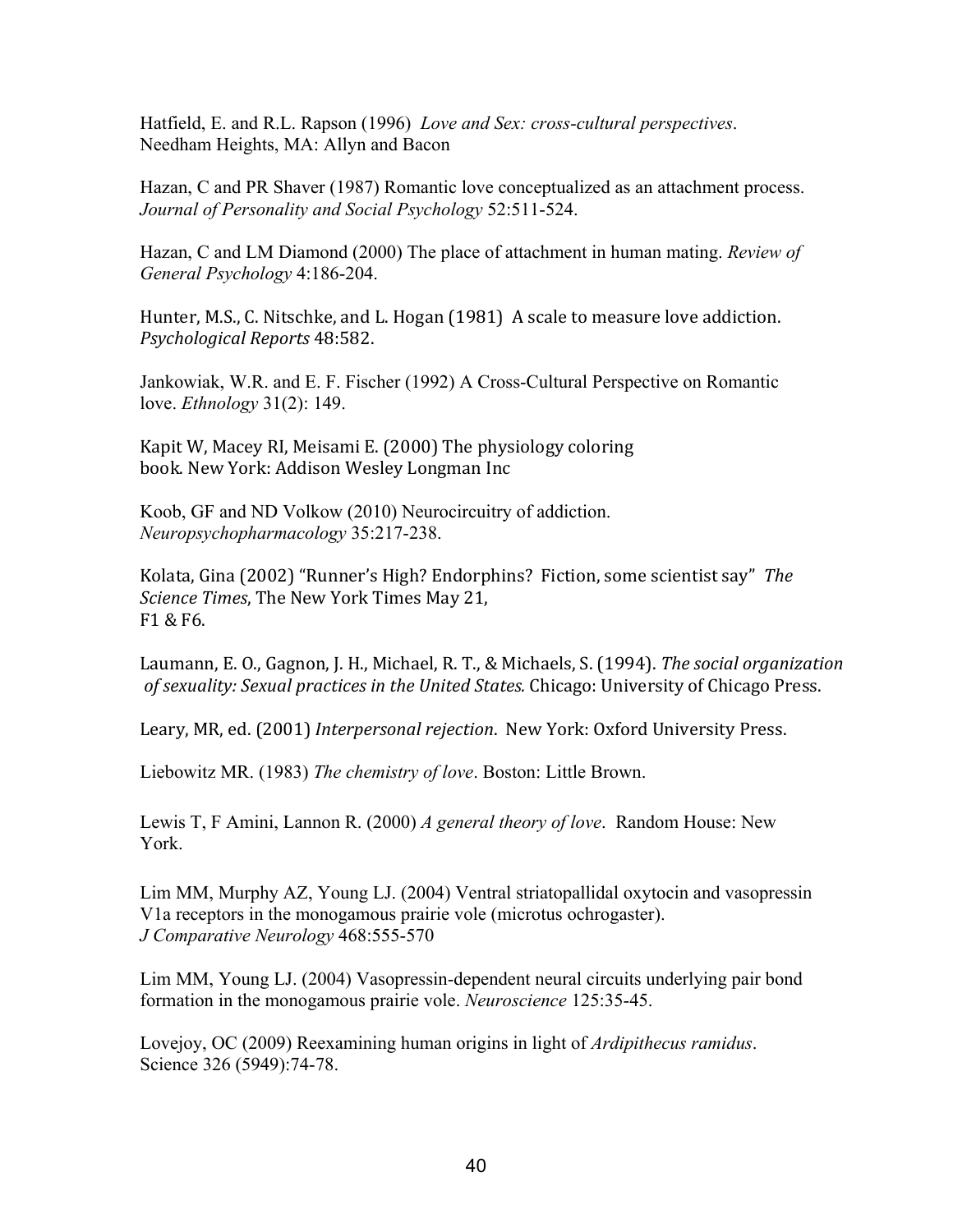Hatfield, E. and R.L. Rapson (1996) *Love and Sex: crosscultural perspectives*. Needham Heights, MA: Allyn and Bacon

Hazan, C and PR Shaver (1987) Romantic love conceptualized as an attachment process. *Journal of Personality and Social Psychology* 52:511-524.

Hazan, C and LM Diamond (2000) The place of attachment in human mating. *Review of General Psychology* 4:186-204.

Hunter, M.S., C. Nitschke, and L. Hogan (1981) A scale to measure love addiction. *Psychological Reports* 48:582.

Jankowiak, W.R. and E. F. Fischer (1992) A Cross-Cultural Perspective on Romantic love. *Ethnology* 31(2): 149.

Kapit W, Macey RI, Meisami E. (2000) The physiology coloring book. New York: Addison Wesley Longman Inc

Koob, GF and ND Volkow (2010) Neurocircuitry of addiction. *Neuropsychopharmacology* 35:217-238.

Kolata, Gina (2002) "Runner's High? Endorphins? Fiction, some scientist say" *The Science Times*, The New York Times May 21, F1 & F6.

Laumann, E. O., Gagnon, J. H., Michael, R. T., & Michaels, S. (1994). *The social organization of sexuality: Sexual practices in the United States.* Chicago: University of Chicago Press.

Leary, MR, ed. (2001) *Interpersonal rejection*. New York: Oxford University Press.

Liebowitz MR. (1983) *The chemistry of love*. Boston: Little Brown.

Lewis T, F Amini, Lannon R. (2000) *A general theory of love*. Random House: New York.

Lim MM, Murphy AZ, Young LJ. (2004) Ventral striatopallidal oxytocin and vasopressin V1a receptors in the monogamous prairie vole (microtus ochrogaster). *J* Comparative Neurology 468:555-570

Lim MM, Young LJ. (2004) Vasopressin-dependent neural circuits underlying pair bond formation in the monogamous prairie vole. *Neuroscience* 125:3545.

Lovejoy, OC (2009) Reexamining human origins in light of *Ardipithecus ramidus*. Science 326 (5949):74-78.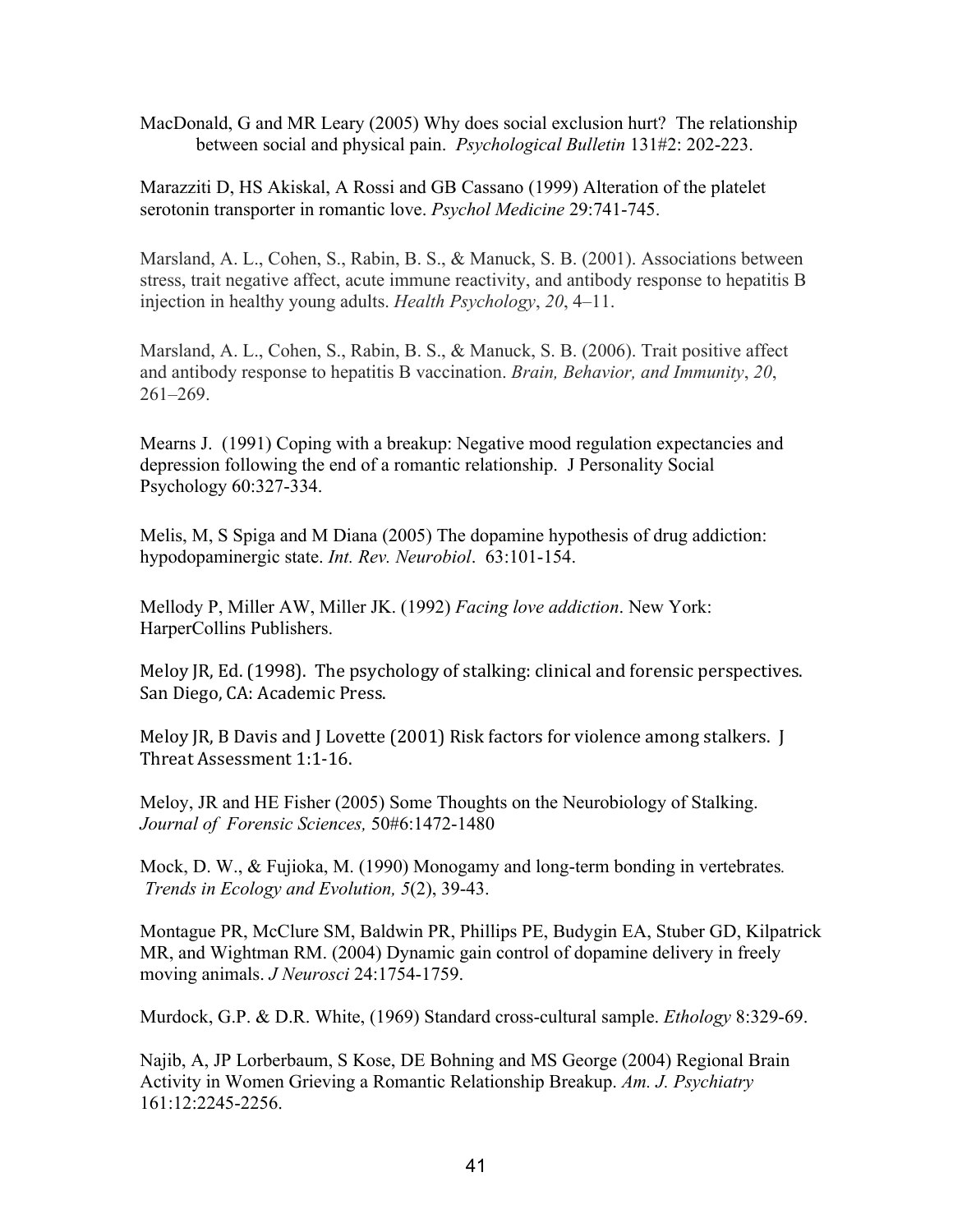MacDonald, G and MR Leary (2005) Why does social exclusion hurt? The relationship between social and physical pain. *Psychological Bulletin* 131#2: 202-223.

Marazziti D, HS Akiskal, A Rossi and GB Cassano (1999) Alteration of the platelet serotonin transporter in romantic love. *Psychol Medicine* 29:741-745.

Marsland, A. L., Cohen, S., Rabin, B. S., & Manuck, S. B. (2001). Associations between stress, trait negative affect, acute immune reactivity, and antibody response to hepatitis B injection in healthy young adults. *Health Psychology*, *20*, 4–11.

Marsland, A. L., Cohen, S., Rabin, B. S., & Manuck, S. B. (2006). Trait positive affect and antibody response to hepatitis B vaccination. *Brain, Behavior, and Immunity*, *20*, 261–269.

Mearns J. (1991) Coping with a breakup: Negative mood regulation expectancies and depression following the end of a romantic relationship. J Personality Social Psychology 60:327-334.

Melis, M, S Spiga and M Diana (2005) The dopamine hypothesis of drug addiction: hypodopaminergic state. *Int. Rev. Neurobiol.* 63:101-154.

Mellody P, Miller AW, Miller JK. (1992) *Facing love addiction*. New York: HarperCollins Publishers.

Meloy JR, Ed. (1998). The psychology of stalking: clinical and forensic perspectives. San Diego, CA: Academic Press.

Meloy JR, B Davis and J Lovette (2001) Risk factors for violence among stalkers. J Threat Assessment 1:1‐16.

Meloy, JR and HE Fisher (2005) Some Thoughts on the Neurobiology of Stalking. *Journal of Forensic Sciences,* 50#6:14721480

Mock, D. W., & Fujioka, M. (1990) Monogamy and long-term bonding in vertebrates. *Trends in Ecology and Evolution,* 5(2), 39-43.

Montague PR, McClure SM, Baldwin PR, Phillips PE, Budygin EA, Stuber GD, Kilpatrick MR, and Wightman RM. (2004) Dynamic gain control of dopamine delivery in freely moving animals. *J Neurosci* 24:1754-1759.

Murdock, G.P. & D.R. White, (1969) Standard cross-cultural sample. *Ethology* 8:329-69.

Najib, A, JP Lorberbaum, S Kose, DE Bohning and MS George (2004) Regional Brain Activity in Women Grieving a Romantic Relationship Breakup. *Am. J. Psychiatry* 161:12:2245-2256.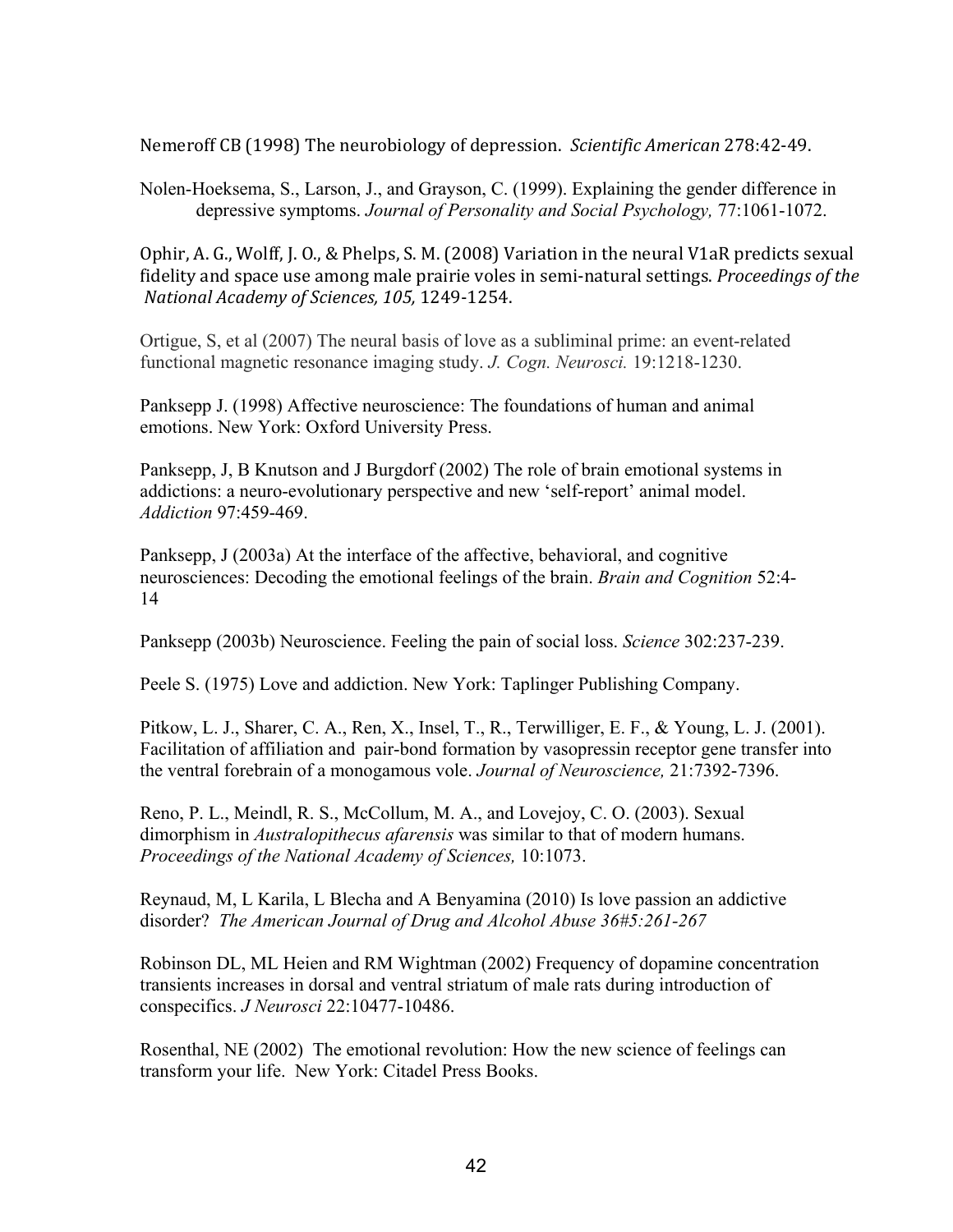Nemeroff CB (1998) The neurobiology of depression. *Scientific American* 278:42‐49.

Nolen-Hoeksema, S., Larson, J., and Grayson, C. (1999). Explaining the gender difference in depressive symptoms. *Journal of Personality and Social Psychology*, 77:1061-1072.

Ophir, A. G., Wolff, J. O., & Phelps, S. M. (2008) Variation in the neural V1aR predicts sexual fidelity and space use among male prairie voles in semi‐natural settings. *Proceedings of the National Academy of Sciences, 105,* 1249‐1254.

Ortigue, S, et al  $(2007)$  The neural basis of love as a subliminal prime: an event-related functional magnetic resonance imaging study. *J. Cogn. Neurosci.* 19:1218-1230.

Panksepp J. (1998) Affective neuroscience: The foundations of human and animal emotions. New York: Oxford University Press.

Panksepp, J, B Knutson and J Burgdorf (2002) The role of brain emotional systems in addictions: a neuro-evolutionary perspective and new 'self-report' animal model. *Addiction* 97:459-469.

Panksepp, J (2003a) At the interface of the affective, behavioral, and cognitive neurosciences: Decoding the emotional feelings of the brain. *Brain and Cognition* 52:4 14

Panksepp (2003b) Neuroscience. Feeling the pain of social loss. *Science* 302:237-239.

Peele S. (1975) Love and addiction. New York: Taplinger Publishing Company.

Pitkow, L. J., Sharer, C. A., Ren, X., Insel, T., R., Terwilliger, E. F., & Young, L. J. (2001). Facilitation of affiliation and pair-bond formation by vasopressin receptor gene transfer into the ventral forebrain of a monogamous vole. *Journal of Neuroscience*, 21:7392-7396.

Reno, P. L., Meindl, R. S., McCollum, M. A., and Lovejoy, C. O. (2003). Sexual dimorphism in *Australopithecus afarensis* was similar to that of modern humans. *Proceedings of the National Academy of Sciences,* 10:1073.

Reynaud, M, L Karila, L Blecha and A Benyamina (2010) Is love passion an addictive disorder? *The American Journal of Drug and Alcohol Abuse* 36#5:261-267

Robinson DL, ML Heien and RM Wightman (2002) Frequency of dopamine concentration transients increases in dorsal and ventral striatum of male rats during introduction of conspecifics. *J Neurosci* 22:10477-10486.

Rosenthal, NE (2002) The emotional revolution: How the new science of feelings can transform your life. New York: Citadel Press Books.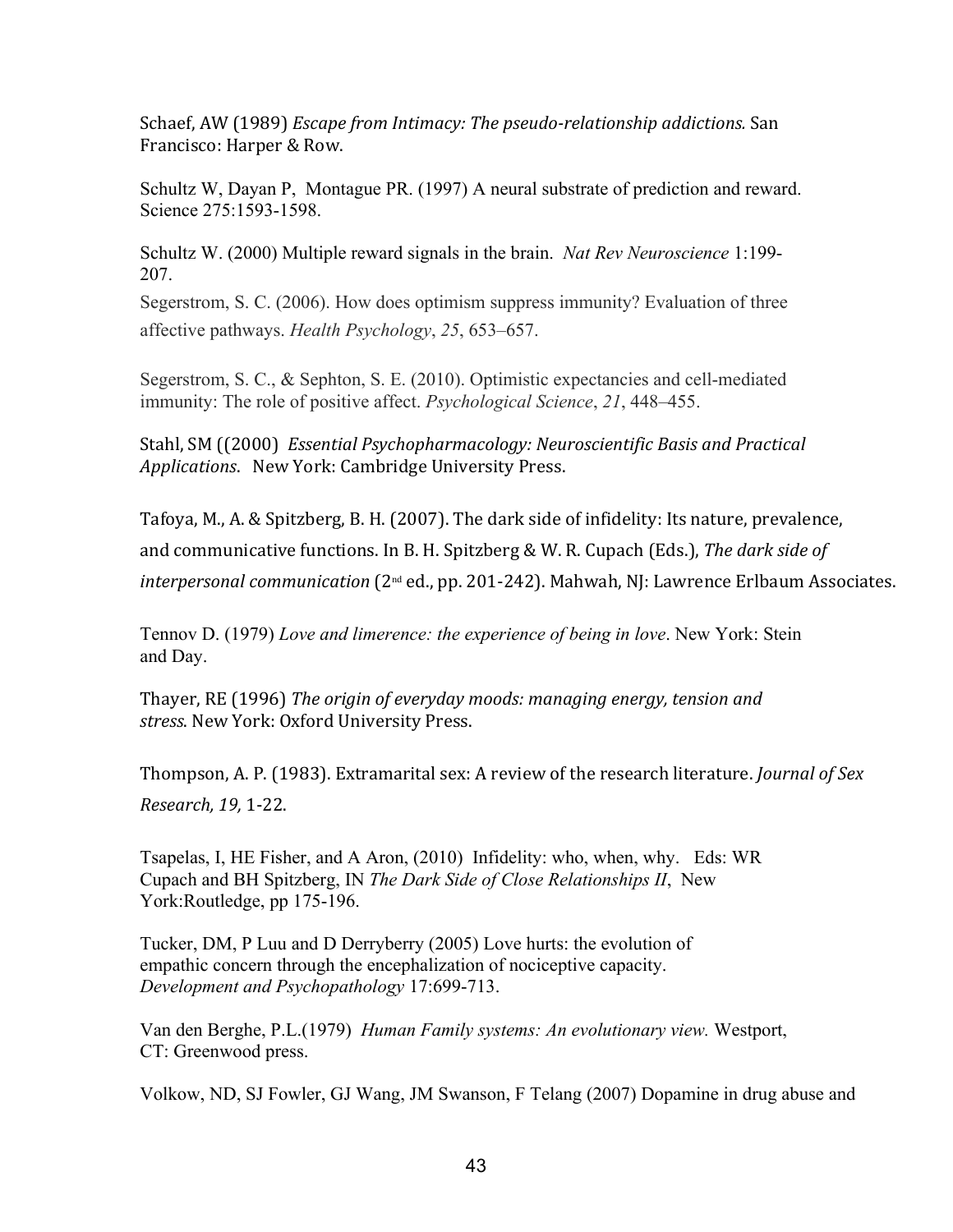Schaef, AW (1989) *Escape from Intimacy: The pseudo-relationship addictions.* San Francisco: Harper & Row.

Schultz W, Dayan P, Montague PR. (1997) A neural substrate of prediction and reward. Science 275:1593-1598.

Schultz W. (2000) Multiple reward signals in the brain. *Nat Rev Neuroscience* 1:199 207.

Segerstrom, S. C. (2006). How does optimism suppress immunity? Evaluation of three affective pathways. *Health Psychology*, *25*, 653–657.

Segerstrom, S. C., & Sephton, S. E. (2010). Optimistic expectancies and cell-mediated immunity: The role of positive affect. *Psychological Science*, *21*, 448–455.

Stahl, SM ((2000) *Essential Psychopharmacology: Neuroscientific Basis and Practical Applications*. New York: Cambridge University Press.

Tafoya, M., A. & Spitzberg, B. H. (2007). The dark side of infidelity: Its nature, prevalence, and communicative functions. In B. H. Spitzberg & W. R. Cupach (Eds.), *The dark side of interpersonal communication* (2nd ed., pp. 201‐242). Mahwah, NJ: Lawrence Erlbaum Associates.

Tennov D. (1979) *Love and limerence: the experience of being in love*. New York: Stein and Day.

Thayer, RE (1996) *The origin of everyday moods: managing energy, tension and stress*. New York: Oxford University Press.

Thompson, A. P. (1983). Extramarital sex: A review of the research literature. *Journal of Sex Research, 19,* 1‐22.

Tsapelas, I, HE Fisher, and A Aron, (2010) Infidelity: who, when, why. Eds: WR Cupach and BH Spitzberg, IN *The Dark Side of Close Relationships II*, New York:Routledge, pp 175-196.

Tucker, DM, P Luu and D Derryberry (2005) Love hurts: the evolution of empathic concern through the encephalization of nociceptive capacity. *Development and Psychopathology* 17:699-713.

Van den Berghe, P.L.(1979) *Human Family systems: An evolutionary view.* Westport, CT: Greenwood press.

Volkow, ND, SJ Fowler, GJ Wang, JM Swanson, F Telang (2007) Dopamine in drug abuse and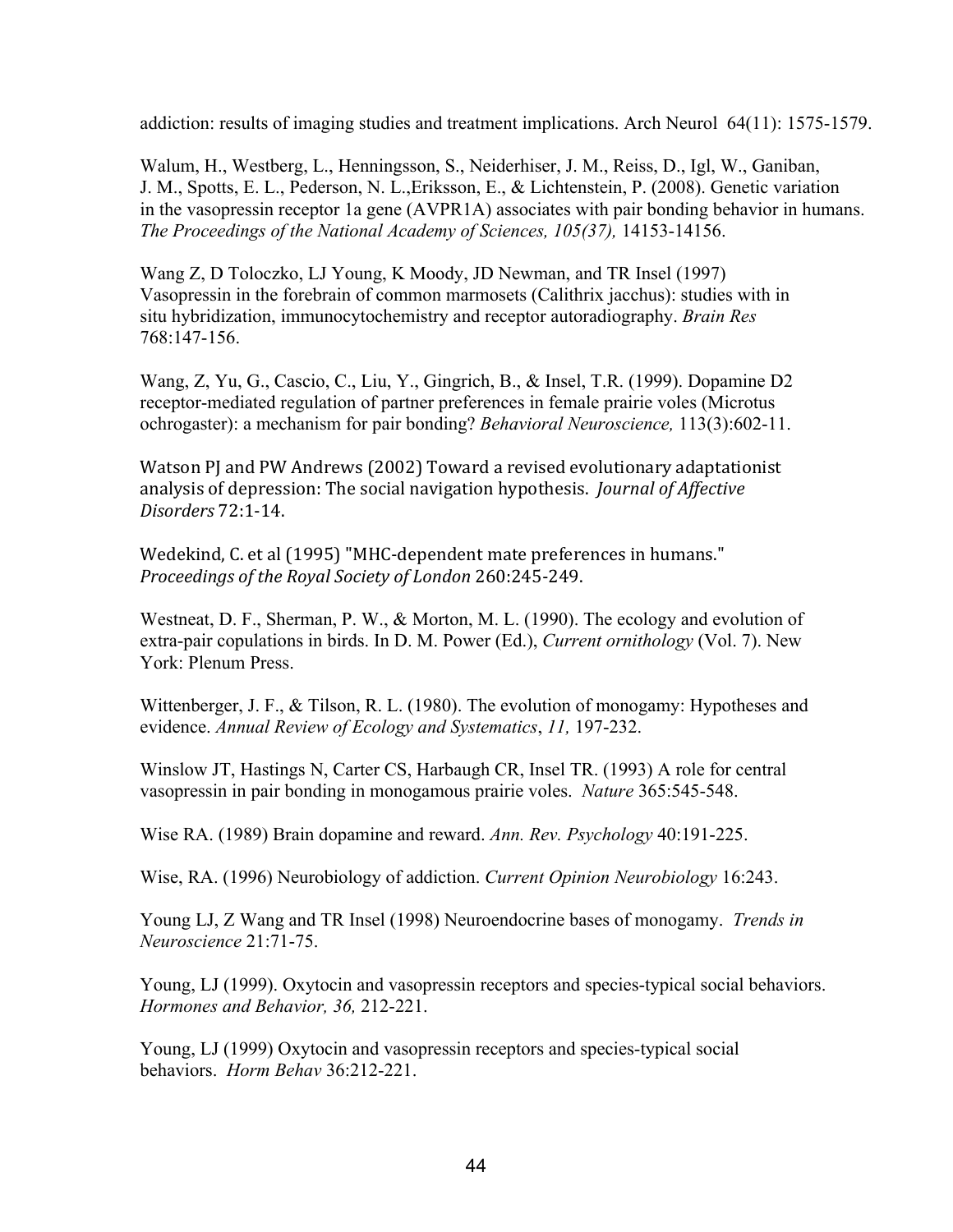addiction: results of imaging studies and treatment implications. Arch Neurol  $64(11)$ : 1575-1579.

Walum, H., Westberg, L., Henningsson, S., Neiderhiser, J. M., Reiss, D., Igl, W., Ganiban, J. M., Spotts, E. L., Pederson, N. L.,Eriksson, E., & Lichtenstein, P. (2008). Genetic variation in the vasopressin receptor 1a gene (AVPR1A) associates with pair bonding behavior in humans. *The Proceedings of the National Academy of Sciences, 105(37), 14153-14156.* 

Wang Z, D Toloczko, LJ Young, K Moody, JD Newman, and TR Insel (1997) Vasopressin in the forebrain of common marmosets (Calithrix jacchus): studies with in situ hybridization, immunocytochemistry and receptor autoradiography. *Brain Res* 768:147-156.

Wang, Z, Yu, G., Cascio, C., Liu, Y., Gingrich, B., & Insel, T.R. (1999). Dopamine D2 receptor-mediated regulation of partner preferences in female prairie voles (Microtus ochrogaster): a mechanism for pair bonding? *Behavioral Neuroscience*, 113(3):602-11.

Watson PJ and PW Andrews (2002) Toward a revised evolutionary adaptationist analysis of depression: The social navigation hypothesis. *Journal of Affective Disorders* 72:1‐14.

Wedekind, C. et al (1995) "MHC‐dependent mate preferences in humans." *Proceedings of the Royal Society of London* 260:245‐249.

Westneat, D. F., Sherman, P. W., & Morton, M. L. (1990). The ecology and evolution of extra-pair copulations in birds. In D. M. Power (Ed.), *Current ornithology* (Vol. 7). New York: Plenum Press.

Wittenberger, J. F., & Tilson, R. L. (1980). The evolution of monogamy: Hypotheses and evidence. Annual Review of Ecology and Systematics, 11, 197-232.

Winslow JT, Hastings N, Carter CS, Harbaugh CR, Insel TR. (1993) A role for central vasopressin in pair bonding in monogamous prairie voles. *Nature* 365:545-548.

Wise RA. (1989) Brain dopamine and reward. *Ann. Rev. Psychology* 40:191-225.

Wise, RA. (1996) Neurobiology of addiction. *Current Opinion Neurobiology* 16:243.

Young LJ, Z Wang and TR Insel (1998) Neuroendocrine bases of monogamy. *Trends in Neuroscience* 21:71-75.

Young, LJ (1999). Oxytocin and vasopressin receptors and species-typical social behaviors. Hormones and Behavior, 36, 212-221.

Young, LJ (1999) Oxytocin and vasopressin receptors and species-typical social behaviors. Horm Behav 36:212-221.